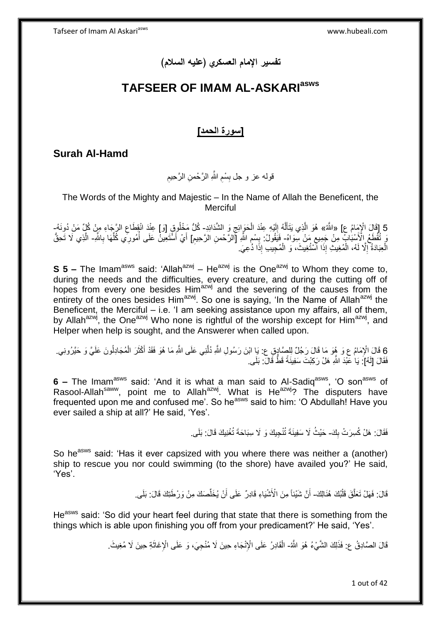**تفسير اإلمام العسكري )عليه السالم(**

# **TAFSEER OF IMAM AL-ASKARIasws**

### **]سورة الحمد[**

**Surah Al-Hamd**

قوله عز و جل بِسْمِ اللَّهِ الرَّحْمنِ الرَّحِيمِ ِ ِ **ِ** 

The Words of the Mighty and Majestic – In the Name of Allah the Beneficent, the Merciful

5 [قَالَ الْإِمَامُ ع] «اللَّهُ» هُوَ الَّذِي يَتَأَلَّهُ إِلَيْهِ عِنْدَ الْحَوَائِجِ وَ الشَّدَائِدِ- كُلُّ مَخْلُوقٍ [وَ] عِنْدَ انْقِطَاعِ الرَّجَاءِ مِنْ كُلِّ مَنْ دُونَهُ-<br>وَإِذْ أَوْ أَوْ إِنَّ أَوْ إِنَّ مَنْ ذَو ْ لَ ِ ه َ ِ ِّ تُقْطَعُ الْأَسْبَابِ مِنْ جَمِيعِ مَنْ سِوَاهُ- فَيَقُولُ: بِسْمِ اللَّهِ [الرَّحْمنِ الرَّحِيمِ] أَيْ أَسْتَعِينَ عَلَى أُمُورِكِي كُلِّهَا بِاللَّهِ- الَّذِي لَا تَحِقُّ<br>وَ شَفْعَ الْأَسْبَابِ مِنْ جَمِيعِ مَنْ سِوَ :<br>أ ِ ِ **∫** ِ ِ ِّ ا<br>ا َ ه الْعِبَادَةُ إِلَّا لَهُ، الْمُغِيثِ إِذَا آَسْتُغِيثَ، وَ الْمُجِيبِ إِذًا ذُعِيَ. ْ ْ ْ ِ

**S 5 –** The Imam<sup>asws</sup> said: 'Allah<sup>azwj</sup> – He<sup>azwj</sup> is the One<sup>azwj</sup> to Whom they come to, during the needs and the difficulties, every creature, and during the cutting off of hopes from every one besides Him<sup>azwj</sup> and the severing of the causes from the entirety of the ones besides Him<sup>azwj</sup>. So one is saying, 'In the Name of Allah<sup>azwj</sup> the Beneficent, the Merciful – i.e. 'I am seeking assistance upon my affairs, all of them, by Allah<sup>azwj</sup>, the One<sup>azwj</sup> Who none is rightful of the worship except for Him<sup>azwj</sup>, and Helper when help is sought, and the Answerer when called upon.

6 قَالَ الْإِمَامُ عِ وَ هُوَ مَا قَالَ رَجُلٌ لِلصَّادِقِ عِ: يَا ابْنَ رَسُولِ اللَّهِ دُلَّنِي عَلَى اللَّهِ مَا هُوَ فَقَدْ أَكْثَرَ الْمُجَادِلُونَ عَلَيَّ وَ حَيْرُونِي.<br>6 قَالَ الْإِمَامُ عِ وَ عُجَبَ مِن مَّا قَال ْ َ ه فَقَالَ [لَهُ] ۖ يَا عَبْدَ اللَّهِ هَلْ رَكِبْتَ سَفِيذَةً قَطَّ قَالَ: بَلَى.

**6** – The Imam<sup>asws</sup> said: 'And it is what a man said to Al-Sadiq<sup>asws</sup>, 'O son<sup>asws</sup> of Rasool-Allah<sup>saww</sup>, point me to Allah<sup>azwj</sup>. What is He<sup>azwj</sup>? The disputers have frequented upon me and confused me'. So he<sup>asws</sup> said to him: 'O Abdullah! Have you ever sailed a ship at all?' He said, 'Yes'.

> فَقَالَ: هَلْ كُسِرَتْ بِكَ- حَيْثُ لَا سَفِينَةَ تُنْجِيكَ وَ لَا سِبَاحَةَ تُغْنِيكَ قَالَ: بَلَى. ِ

So he<sup>asws</sup> said: 'Has it ever capsized with you where there was neither a (another) ship to rescue you nor could swimming (to the shore) have availed you?' He said, 'Yes'.

> قَالَ: فَهَلْ تَعَلَّقَ قَلْبُكَ هُذَالِكَ- أَنَّ شَيْئاً مِنَ الْأَشْيَاءِ قَادِرٌ عَلَى أَنْ يُخَلِّصَكَ مِنْ وَرْطَتِكَ قَالَ: بَلَى ْ ه ِّ اُ

He<sup>asws</sup> said: 'So did your heart feel during that state that there is something from the things which is able upon finishing you off from your predicament?' He said, 'Yes'.

> قَالَ الصَّادِقُ ع: فَذَلِكَ الشَّيْءُ هُوَ اللَّهُ- الْقَادِرُ عَلَى الْإِنْجَاءِ حِينَ لَا مُنْجِيَ، وَ عَلَى الْإِغَاثَةِ حِينَ لَا مُغِيثَ. َ ْ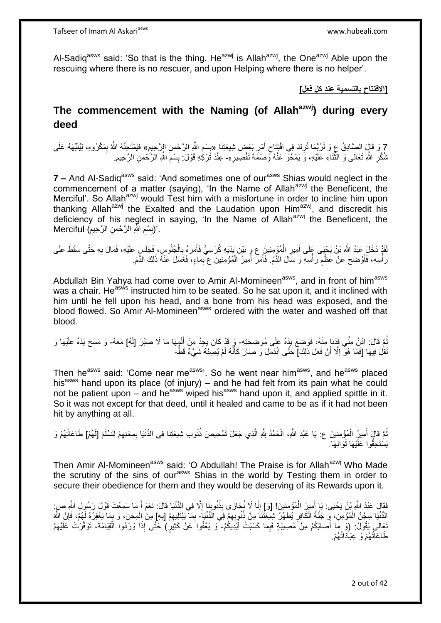Al-Sadiq<sup>asws</sup> said: 'So that is the thing. He<sup>azwj</sup> is Allah<sup>azwj</sup>, the One<sup>azwj</sup> Able upon the rescuing where there is no rescuer, and upon Helping where there is no helper'.

**]االفتتاح بالتسمية عند كل فعل[**

# **The commencement with the Naming (of Allahazwj) during every deed**

7 وَ قَالَ الصَّادِقُ عِ وَ لَرُبَّمَا تُرِكَ فِي افْتِتَاحِ أَهْرِ بَعْضِ شِيعَتِنَا «بِسْمِ اللَّهِ الرَّحْمنِ الإِرَجِيمِ» فَيَمْتَحِنُهُ اللَّهُ بِمَكْرُوهِ، لِيُنَبِّهَهُ عَلَى<br>وُفِي بَيَ يَمْهَ بِمَثَّلِ لِنَّذَى بِ َ ِ ِ ِ ِ ِ ثْمُكْرِ اللَّهِ تَعَالَى وَ النَّتَـاءِ عَلَيْهِ، وَ يَمْحُوَّ عَنْهُ وَصْمَةَ تَقْصِيرِهِ- عِنْدَ تَرْكِهِ قَوْلَ: بِسْمَ اللَّهِ الرَّحْمنِ الرَّحِيمِ. **∶** ه **∶** ِ ِ ِ

**7** – And Al-Sadiq<sup>asws</sup> said: 'And sometimes one of our<sup>asws</sup> Shias would neglect in the commencement of a matter (saying), 'In the Name of Allah<sup>azwj</sup> the Beneficent, the Merciful'. So Allah<sup>azwj</sup> would Test him with a misfortune in order to incline him upon thanking Allah<sup>azwj</sup> the Exalted and the Laudation upon Him<sup>azwj</sup>, and discredit his deficiency of his neglect in saying, 'In the Name of Allahazwj the Beneficent, the . '(بِسْمِ اللَّهِ الرَّحْمنِ الرَّحِيمِ) Merciful ِ ِ ِ

لَقَدْ دَخَلَ عَبْدُ اللَّهِ بْنُ يَحْيَى عَلَى أَمِيرِ الْمُؤْمِنِينَ ع وَ بَيْنَ يَدَيْهِ كُرْسِيٌّ فَأَمَرَهُ بِالْجُلُوسِ، فَجَلَسَ عَلَيْهِ، فَمَالَ بِهِ حَتَّى سَقَطَ عَلَى ْ ِ َ ْ ِ َ ِ رَ أُسِهِ، فَأَوْضَحَ عَنْ عَظْمِ رَأْسِهِ وَ سَالَ الذَّمُ. فَأَمَرَ أَمِيرُ الْمُؤْمِنِينَ ع بِمَاءٍ، فَغَسَلَ عَنْهُ ذَلِكَ الذَّمَ. ِ َ ֦֧֡֝֟֓֕<sup>֢</sup> َ َ ِ ْ

Abdullah Bin Yahya had come over to Amir Al-Momineen<sup>asws</sup>, and in front of him<sup>asws</sup> was a chair. He<sup>asws</sup> instructed him to be seated. So he sat upon it, and it inclined with him until he fell upon his head, and a bone from his head was exposed, and the blood flowed. So Amir Al-Momineen<sup>asws</sup> ordered with the water and washed off that blood.

ثُمَّ قَالَ: ادْنُ مِنِّي فَذَا مِنْهُ، فَوَضَعَ يَدَهُ عَلَى مُوضِحَتِهِ- وَ قَدْ كَانَ يَجِدُ مِنْ أَلِمِهَا مَا لَا صَبْرَ [لَهُ] مَعَهُ- وَ مَسَحَ يَدَهُ عَلَيْهَا وَ لَ َ نَّفَلُ فِيهَا [فَمَا هُوَّ إِلَّا أَنْ فَعَلَ ذَٰلِكَ) حَتَّى انْدَمَلَ وَ صَارَ كَأَنَّهُ لَمْ يُصِّبْهُ شَيْءٌ قَطُّ-ِ َ

Then he<sup>asws</sup> said: 'Come near me<sup>asws</sup>'. So he went near him<sup>asws</sup>, and he<sup>asws</sup> placed his<sup>asws</sup> hand upon its place (of injury) – and he had felt from its pain what he could not be patient upon – and he<sup>asws</sup> wiped his<sup>asws</sup> hand upon it, and applied spittle in it. So it was not except for that deed, until it healed and came to be as if it had not been hit by anything at all.

نُّمَّ قَالٍَ أَمِيرُ الْمُؤْمِنِينَ ع: يَا عَبْدَ اللَّهِ، الْحَمْدُ بِلَّهِ الَّذِي جَعَلَ تَمْحِيصَ ذُنُوبِ شِيعَتِنَا فِي الدُّنْيَا بِمِحَنِهِمْ لِتَسْلَمَ [لَهُمْ] طَاعَاتُهُمْ وَ ه ْ ْ َ ِ ِ يَسْتَحِقُّوا عَلَيْهَا ثَوَابَهَا. روبا<br>سا

Then Amir Al-Momineen<sup>asws</sup> said: 'O Abdullah! The Praise is for Allah<sup>azwj</sup> Who Made the scrutiny of the sins of our<sup>asws</sup> Shias in the world by Testing them in order to secure their obedience for them and they would be deserving of its Rewards upon it.

فَقَالَ عَبْدُ اللَّهِ بْنُ يَحْيَى: يَا أَمِيرَ الْمُؤْمِنِينَ! [وَ] إِنَّا لَا يُجَازَى بِذُنُوبِنَا إِلَّا فِي الدُّنْيَا قَالَ: نَعَمْ أَ مَا سَمِعْتَ قَوْلَ رَسُولِ الثَّهِ صِ َ ِ ׇ֧֦֧֦֧֦֧֦֧֦֧֬֝֝֜<u>֚֓</u> ِ ْ َ الدُّنْيَا سِجْنُ الْمُؤْمِنِ، مِّ جَنَّةُ الْكَافِرِ يُطَهِّرُ شِيعَتْنَا مِنْ ذُنُوبِهِمْ فِي الدُّنْيَاَ- بِمَا يَبْتَلِيهِمْ [بِهِ] مِنَ الْمِحَنِ، وَ بِمَا يَغْفِرُهُ لَهُمْ، فَإِنَّ اللَّهَ ِ ِ ْ ْ ِ **∶** ِ  $\sum_{i=1}^{n}$ ۔<br>پ ْ َعَالَى يَقُولُ: (وَ مِّا أَصابَكُمْ مِنْ مُصِيبَةٍ فَبِما كَسَبَتْ أَيْدَيكُمْ- ۖ وَ يَعْفُوا َعَنْ كَثِيرٍ ۗ حَتَّى إِذَا وَرَدُوا الْقِيَامَةَ، تَوَفَّرَتْ عَلَيْهِمْ َ ِ ْ طَاعَاتُهُمْ وَ عِبَادَاتُهُمْ.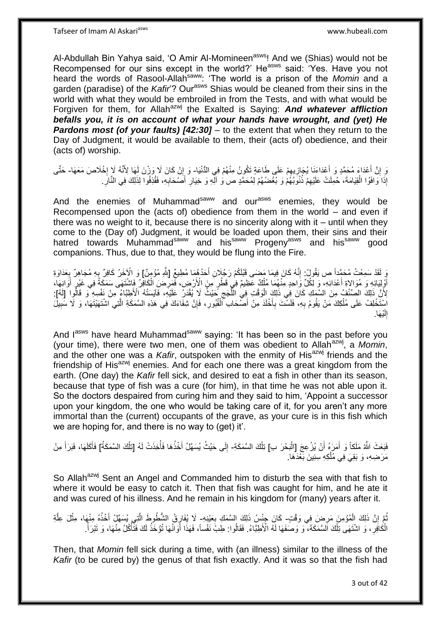Al-Abdullah Bin Yahya said, 'O Amir Al-Momineen<sup>asws</sup>! And we (Shias) would not be Recompensed for our sins except in the world?' He<sup>asws</sup> said: 'Yes. Have you not heard the words of Rasool-Allah<sup>saww</sup>: 'The world is a prison of the *Momin* and a garden (paradise) of the *Kafir*'? Our<sup>asws</sup> Shias would be cleaned from their sins in the world with what they would be embroiled in from the Tests, and with what would be Forgiven for them, for Allah<sup>azwj</sup> the Exalted is Saying: **And whatever affliction** *befalls you, it is on account of what your hands have wrought, and (yet) He Pardons most (of your faults) [42:30]* – to the extent that when they return to the Day of Judgment, it would be available to them, their (acts of) obedience, and their (acts of) worship.

#### وَ إِنَّ أَعْدَاءَ مُحَمَّدٍ وَ أَعْدَاءَنَا يُجَازِيهِمْ عَلَى طَاعَةٍ تَكُونُ مِنْهُمْ فِي الدُّنْيَا- وَ إِنْ كَانَ لَا وَزْنَ لَهَا لِأَنَّهُ لَا إِخْلَاصَ مَعَهَا- حَتَّى  $\ddot{\bm{z}}$ **∶** َ َ ֧<u>׀</u> ا.<br>: ِ إِذَا َوَافَوُا الْقِيَامَةَ، خُمِلَتْ عَلَيْهِمْ ذُنُوَبُهُمْ وَ بُغْضُهُمْ لِمُحَمَّدٍ ص وَ آلِّهِ وَ خِيَارِ أَصْحَابِهِ، فَقُرْفُوا لِذَلِكَ فِي النَّارِ ـ ِ ْ ِ ِ َ ِ

And the enemies of Muhammad<sup>saww</sup> and our<sup>asws</sup> enemies, they would be Recompensed upon the (acts of) obedience from them in the world – and even if there was no weight to it, because there is no sincerity along with it – until when they come to the (Day of) Judgment, it would be loaded upon them, their sins and their batred towards Muhammad<sup>saww</sup> and his<sup>saww</sup> Progeny<sup>asws</sup> and his<sup>saww</sup> good companions. Thus, due to that, they would be flung into the Fire.

رَ لَقَدْ سَمِعْتُ مُحَمَّداً ص يَقُولُ: إِنَّهُ كَانَ فِيمَا مَضَى قَبْلَكُمْ رَجُلَانِ أَحَدُهُمَا مُطِيعٌ [لِثَّهِ مُؤْمِنٌ] وَ الْأَخَرُ كَافِرٌ بِهِ مُجَاهِرٌ بِعَدَاوَةِ<br>. َ ِ ِ ِ َاَفُولِيَائِهِ وَ مُوَالِاةِ أَعْدَائِهِ، وَ لِكُلِّ وَاحِدٍ مِّنْهُمَا مُلْكٌ عَظِيمٌ فِي قَطْرٍ مِنَ الْأَرْضِ، فَمَرِضَ الْكَافْلُ فَاشْتَهَى سَمَكَةً فِي غَيْرٍ أَوَانِهَا، ْ َ َ َ ِ ْ ِ لِأَنَّ ذَلِكَ الصِّنْفُ مِنَ السَّمَكِ كَانَ فِي ذَلِكَ الْوَقْتِ فِي اللَّجَجِ حَيْثُ لَا يُقْدَرُ عَلَيْهِ، فَآيَسَتْهُ الْأَطِبَاءُ مِنْ نَفْسِهِ ۖ وَ قَالُوا [لَهُ]: ِ ُّ ْ :<br>ا اُ اسْتَخْلِفْ عَلَى مُلْكِكَ مَنْ يَقُومُ بِهِ، فَلَسْتَ بِأَخْلَدَ مِنْ أَصْحَابِ ۖ الْقُبُورِ ، فَإِنَّ شِفَاءَكَ فِي هَذِهِ السَّمَكَةِ الَّتِي اشْتَهَيْتَهَا، وَ لَا سَبِيلَ ِ ْ َ َ ِ ِ ه ∣ļ **∶** ْ إِلَيْهَا. لَ ِ

And lasws have heard Muhammad<sup>saww</sup> saying: 'It has been so in the past before you (your time), there were two men, one of them was obedient to Allah<sup>azwj</sup>, a *Momin*, and the other one was a *Kafir*, outspoken with the enmity of His<sup>azwj</sup> friends and the friendship of His<sup>azwj</sup> enemies. And for each one there was a great kingdom from the earth. (One day) the *Kafir* fell sick, and desired to eat a fish in other than its season, because that type of fish was a cure (for him), in that time he was not able upon it. So the doctors despaired from curing him and they said to him, 'Appoint a successor upon your kingdom, the one who would be taking care of it, for you aren't any more immortal than the (current) occupants of the grave, as your cure is in this fish which we are hoping for, and there is no way to (get) it'.

#### فَبَعَثَ اللَّهُ مَلَكاً وَ أَمَرَهُ أَنْ يُزْعِجَ [الْبَحْرَ بِ] تِلْكَ السَّمَكَةِ- إِلَى حَيْثُ يُسَهَّلُ أَخْذُهَا فَأُخِذَتْ لَهُ [تِلْكَ السَّمَكَةُ] فَأَكَلَهَا، فَبَرَأَ مِنْ ْ ا.<br>ا اً َ َ َ ْ :<br>أ َ ∣∣<br>∶ مَرَضِهِ، وَ بَقِيَ فِي مُلْكِهِ سِنِينَ بَعْدَهَا. ْ

So Allah<sup>azwj</sup> Sent an Angel and Commanded him to disturb the sea with that fish to where it would be easy to catch it. Then that fish was caught for him, and he ate it and was cured of his illness. And he remain in his kingdom for (many) years after it.

ثُمَّ إِنَّ ذَلِكَ الْمُؤْمِنَ مَرِضَ فِي وَقْتٍ- كَانَ جِنْسُ ذَلِكَ السَّمَكِ بِعَيْنِهِ- لَا يُفَارِقُ الشُّطُوطَ الَّتِي يُسَهَّلُ أَخْذُهُ مِنْهَا، مِثْلَ عِلَّةِ ِ ْ اٍ **∶** ه ْ َ ه ¦ الْكَافِّرِ ، وَ اشْتَهَى تِلْكَ اَلسَّمَكَةَ، وَ وَصَفَهَا لَهُ الْأَطِبَّاءُ. فَقَالُوا: طِبْ نَفْساً، فَهَذَا أَوَانُهَا تُؤْخَذُ لَكَ فَثَّأْكُلُ مِنْهَا، وَ تَبْرَأُ. ْ ِ َ ا ْ لَ

Then, that *Momin* fell sick during a time, with (an illness) similar to the illness of the *Kafir* (to be cured by) the genus of that fish exactly. And it was so that the fish had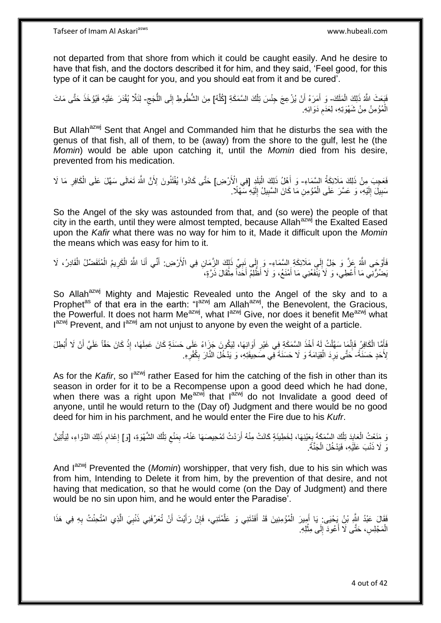not departed from that shore from which it could be caught easily. And he desire to have that fish, and the doctors described it for him, and they said, 'Feel good, for this type of it can be caught for you, and you should eat from it and be cured'.

فَبَعَثَ اللَّهُ ذَلِكَ الْمَلَكَ- وَ أَمَرَهُ أَنْ يُزْعِجَ جِنْسَ تِلْكَ السَّمَكَةِ [كُلَّهُ] مِنَ الشُّطُوطِ إِلَى اللُّجَجِ- لِئَلَّا يُقْدَرَ عَلَيْهِ فَيُوْخَذَ حَتَّى مَاتَ ْ ه ْ َ  $\zeta$ ُّ ِ الْمُؤْمِنُ مِنْ شَهْوَتِهِ، لِعَدَمِ دَوَائِهِ. ِ ْ

But Allah<sup>azwj</sup> Sent that Angel and Commanded him that he disturbs the sea with the genus of that fish, all of them, to be (away) from the shore to the gulf, lest he (the *Momin*) would be able upon catching it, until the *Momin* died from his desire, prevented from his medication.

فَعَجِبَ مِنْ ذَلِكَ مَلَائِكَةُ السَّمَاءِ- وَ أَهْلُ ذَلِكَ الْبَلَدِ [فِي إِلْأَرْضِ] حَتَّى كَادُوا يُفْتَتُونَ لِأَنَّ اللَّهَ تَعَالَى سَهَّلَ عَلَى الْكَافِرِ مَا لَا :<br>ا َ ِ ْ سَبِيلَ إِلَيْهِ، وَ عَسَّرَ عَلَى الْمُؤْمِنِ مَا كَانَ السَّبِيلُ إِلَيْهِ سَهْلًا ۚ. لَ  $\frac{1}{2}$ **!** ْ لَ  $\frac{1}{2}$ **∣** 

So the Angel of the sky was astounded from that, and (so were) the people of that city in the earth, until they were almost tempted, because Allahazwj the Exalted Eased upon the *Kafir* what there was no way for him to it, Made it difficult upon the *Momin* the means which was easy for him to it.

فَأَوْجَى اللَّهُ عَنَّ وَ جَلَّ إِلَى مَلَائِكَةِ السَّمَاءِ- وَ إِلَى نَبِيٍّ ذَلِكَ الزَّمَانِ فِي الْأَرْضِ: أَنِّي أَنَا اللَّهُ الْكَرِيمُ الْمُتَفَضِّلْ الْقَادِرُ، لَا יִי (ו َ ْ ْ ِ ْ َ َ ِ  $\frac{1}{2}$ َنِضۡرُٰنِّي مَا أُعْطِيۡ، وَ لَا يَنْفَعُنِي مَا أَمْنَعُ، وَ لَا أَظَٰلِمۡ أَحَداًّ مِثْقَالَ ذَرَّةٍ، َ َ المناسب المستقبل المستقبل المستقبل المستقبل المستقبل المستقبل المستقبل المستقبل المستقبل المستقبل المستقبل الم<br>المستقبل المستقبل المستقبل المستقبل المستقبل المستقبل المستقبل المستقبل المستقبل المستقبل المستقبل المستقبل ال **ٔ** 

So Allah<sup>azwj</sup> Mighty and Majestic Revealed unto the Angel of the sky and to a Prophetas of that era in the earth: "Iazwj am Allahazwj, the Benevolent, the Gracious, the Powerful. It does not harm Me<sup>azwj</sup>, what l<sup>azwj</sup> Give, nor does it benefit Me<sup>azwj</sup> what I<sup>azwj</sup> Prevent, and I<sup>azwj</sup> am not unjust to anyone by even the weight of a particle.

فَأَمَّا الْكَافِرُ فَإِنَّمَا سَهَّلْتُ لَهُ أَخْذَ السَّمَكَةِ فِي غَيْرِ أُوَانِهَا، لِيَكُونَ جَزَاءً عَلَى حَسَنَةٍ كَانَ عَمِلَهَا، إِذْ كَانَ حَقَّاً عَلَيَّ أَنْ لَا أَبْطِلَ َ ِ َ ْ ِ ْ َ **ٔ:** ا<br>ا َ لَ لِأَحَدٍ حَسَنَةً- حَتَّى يَرِدَ الْقِيَامَةَ وَ لَا حَسَنَةَ فِي صَحِيفَتِهِ، وَ يَدْخُلَ النَّارَ بِكُفْرِهِ. َ **∶** ِ ْ **∶** 

As for the *Kafir*, so l<sup>azwj</sup> rather Eased for him the catching of the fish in other than its season in order for it to be a Recompense upon a good deed which he had done, when there was a right upon Me<sup>azwj</sup> that  $I^{a\dot{z}w\dot{y}}$  do not Invalidate a good deed of anyone, until he would return to the (Day of) Judgment and there would be no good deed for him in his parchment, and he would enter the Fire due to his *Kufr*.

وَ مَنَعْتُ الْعَابِدَ تِلْكَ السَّمَكَةَ بِعَيْنِهَا، لِخَطِينَةٍ كَانَتْ مِنْهُ أَرَدْتُ تَمْحِيصَهَا عَنْهُ- بِمَنْعِ تِلْكَ الشَّهْوَةِ، [وَ] إعْدَام ذَلِكَ الذَّوَاءِ، لِيَأْتِيَنَّ َ ِ ْ **∣** ْ ْ ِ ِ ْ ِ ِ وَ لَا ذَنْبَ عَلَيْهِ، فَيَدْخُلَ الْجَنَّةَ. ْ

And I<sup>azwj</sup> Prevented the (*Momin*) worshipper, that very fish, due to his sin which was from him, Intending to Delete it from him, by the prevention of that desire, and not having that medication, so that he would come (on the Day of Judgment) and there would be no sin upon him, and he would enter the Paradise'.

فَقَالَ عَبْدُ اللَّهِ بْنُ يَحْيَى: يَا أَمِيرَ الْمُؤْمِنِينَ قَدْ أَفَذْتَنِي وَ عَلَّمْتَنِي، فَإِنْ رَأَيْتَ أَنْ تُعَرِّفَنِي ذَنْبِيَ الَّذِي امْتُحِنْتُ بِهِ فِي هَذَا َ ِ ه ْ َ َ ِ ه ِ الْمَجْلِسِ، حَتَّى لَا أَعُودَ إِلَى مِثْلِهِ. ْ  $\frac{1}{2}$ َ ْ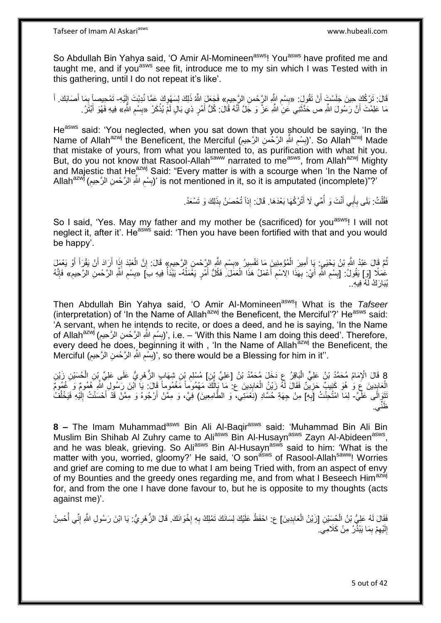So Abdullah Bin Yahya said, 'O Amir Al-Momineen<sup>asws</sup>! You<sup>asws</sup> have profited me and taught me, and if you<sup>asws</sup> see fit, introduce me to my sin which I was Tested with in this gathering, until I do not repeat it's like'.

قَالَ: تَرْكُكَ حِينَ جَلَسْتَ أَنْ تَقُولَ: «بِسْمِ اللَّهِ الرَّحْمنِ الرَّحِيمِ» فَجَعَلَ اللَّهُ ذَلِكَ لِسَهْوِكَ عَمَّا نُدِبْتَ إِلَيْهِ- تَمْحِيصاً بِمَا أَصَابَكَ. أَ اً ِ **! ∶ ∶** َ ِ َ مَا عَلِمْتَ أَنَّ رَسُولَ اللَّهِ ص حَدَّثَنِي عَنِ اللَّهِ عَزَّ وَ جَلَّ أَنَّهُ قَالَ: كُلُّ أَمْرٍ ذِي بَالٍ لَمَّ يُذْكَرْ «بِسْمِ اللَّهِ» فِيهِ فَهُوَ أَبْثَرُ. **ٔ** َ َ ة<br>أ ِ ِ َ

He<sup>asws</sup> said: 'You neglected, when you sat down that you should be saying, 'In the Name of Allah<sup>azwj</sup> the Beneficent, the Merciful (بِسْمِ الدَّـهْمزِ الرَّحْمزِ الرَّحِيمِ)'. So Allah<sup>azwj</sup> Made ِ ِ **∣** that mistake of yours, from what you lamented to, as purification with what hit you. But, do you not know that Rasool-Allah<sup>saww</sup> narrated to me<sup>asws</sup>, from Allah<sup>azwj</sup> Mighty and Majestic that He<sup>azwj</sup> Said: "Every matter is with a scourge when 'In the Name of Allah<sup>azwj</sup> (بِسْمِ اللَّهِ الرَّحْمنِ الرَّحِيمِ) 'is not mentioned in it, so it is amputated (incomplete)"?' ِ ِ ِ

> فَقُلْتُ: بَلَى بِأَبِي أَنْتَ وَ أُمِّي لَا أَتْرُكُهَا بَعْدَهَا. قَالَ: إِذاً تُحْصَنُ بِذَلِكَ وَ تَسْعَدُ. َ ،<br>ا َ َ ِ ْ

So I said, 'Yes. May my father and my mother be (sacrificed) for you<sup>asws</sup>! I will not neglect it, after it'. He<sup>asws</sup> said: 'Then you have been fortified with that and you would be happy'.

نُمَّ قَالَ عَبْدُ اللَّهِ بْنُ يَحْيَيِ. يَا أَمِيرَ الْمُؤْمِنِينَ مَا تَفْسِيرُ ۚ «بِسْمِ اللَّهِ الرِّحْمنِ الرَّحِيمِ» قَالَ: إِنَّ الْعَبْدَ إِذَا أَنْ يَقْرَأَ أَوْ يَعْمَلَ ْ َ ِ **ُ** ِ ْ ِ َ َ َ َ عَمَلًا [وَ] يَقُولُ: [بِسْمِ اللَّهِ أَيْ: بِهَذَا الِاسْمِ أَعْمَلُ هَذَا الْعَمَلَ ۚ فَكُلُّ أَمْرٍ يَغْمَلُهُ- يَبْدُأُ فِيهِ بِ) هَبِسْمِ اللَّهِ مالَ حيمٍ» فَإِنَّهُ ُ َ ْ َ ِ ِ َ ِ ِ ِ ِ ِ  $\frac{1}{2}$ يُبَارَكُ لَهُ فِيهِ..

Then Abdullah Bin Yahya said, 'O Amir Al-Momineen<sup>asws</sup>! What is the *Tafseer* (interpretation) of 'In the Name of Allah<sup>azwj</sup> the Beneficent, the Merciful'?' He<sup>asws</sup> said: 'A servant, when he intends to recite, or does a deed, and he is saying, 'In the Name of Allah<sup>azwj</sup> (بِسْمِ اللَّهِ الرَّحْم*نِ* الرَّحِيمِ)', i.e. – 'With this Name I am doing this deed'. Therefore, ِ ِ every deed he does, beginning it with, 'In the Name of Allah<sup>azwj</sup> the Beneficent, the Merciful (بِسْمِ اللَّهِ الزَّحْمنِ الزَّحِيمِ), so there would be a Blessing for him in it''. ِ **∶** ِ

8 قَالَ الْإِمَامُ مُحَمَّدُ بْنُ عَلِيٍّ الْبَاقِرُ عِ دَخَلَ مُحَمَّدُ بْنُ [عَلِيِّ بِنِ] مُسْلِمِ بْنِ شِهَابِ الزُّهْرِيُّ عَلَى عَلِيِّ بِنِ الْحُسَيْنِ زَيْنِ<br>أو مسلمان المُسَبِّد اللّه عَنِيسًا وَيَزْرُ بِهِ عَمَا ْ ا.<br>ا ِ الْعَابِدِينَ عَ وَ ٰ هُوَ كَئِيبٌ حَزِيْنٌ فَقَالَ لَّهُ زَيْنُ الْعَابِدِينَ ع: مَا يَالُكَ مَهْمُومًا مَغْمُوماً قَالَ: يَا اَبْنَ رَسُولِ ۗاللَّهِ هُمُومٌ وَ غُمُومٌ ْ ِ ¦ ُ نَتَوِالَى عَلَّيَّ- لِمَا امْتُحِنْتُ [بِهِ] مِنْ جِهَةِ حُسَّادِ (نِعْمَتِي، وَ الطَّامِعِينَ) فِيَّ، وَ مِمَّنْ أَرْجُوهُ وَ مِمَّنْ قَدْ أَحْسَنْتُ إِلَيْهِ فَيَخْلُفُ **∶** لَ ِ َ َ ُ َظنِّي.

**8 –** The Imam Muhammad<sup>asws</sup> Bin Ali Al-Baqir<sup>asws</sup> said: 'Muhammad Bin Ali Bin Muslim Bin Shihab Al Zuhry came to Ali<sup>asws</sup> Bin Al-Husayn<sup>asws</sup> Zayn Al-Abideen<sup>asws</sup>, and he was bleak, grieving. So Ali<sup>asws</sup> Bin Al-Husayn<sup>asws</sup> said to him: 'What is the matter with you, worried, gloomy?' He said, 'O son<sup>asws</sup> of Rasool-Allah<sup>saww</sup>! Worries and grief are coming to me due to what I am being Tried with, from an aspect of envy of my Bounties and the greedy ones regarding me, and from what I Beseech Him<sup>azwj</sup> for, and from the one I have done favour to, but he is opposite to my thoughts (acts against me)'.

فَقَالَ لَهُ عَلِيُّ بْنُ الْحُسَيْنِ [زَيْنُ الْعَابِدِينَ] ع: احْفَظْ عَلَيْكَ لِسَانَكَ تَمْلِكْ بِهِ إِخْوَانَكَ. قَالَ الزُّهْرِيُّ: يَا ابْنَ رَسُولِ اللَّهِ إِنِّي أُحْسِنُ ِ ْ ْ יֲ<br>י ِ ُ ِ ِ إِلَيْهِمْ بِمَا يَبْذُرُ مِنْ كَلَامِيَ. ۖ ِ ِ لَ ِ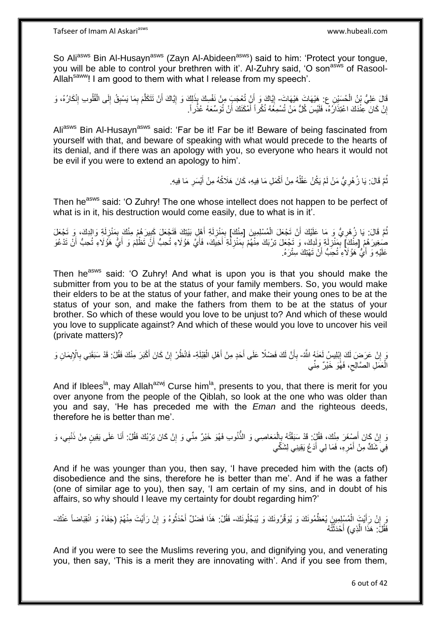So Aliasws Bin Al-Husayn<sup>asws</sup> (Zayn Al-Abideen<sup>asws</sup>) said to him: 'Protect your tongue, you will be able to control your brethren with it'. Al-Zuhry said, 'O son<sup>asws</sup> of Rasool-Allah<sup>saww</sup>! I am good to them with what I release from my speech'.

قَالَ عَلِيُّ بْنُ الْحُسَيْنِ ع: هَيْهَاتَ هَيْهَاتَ- إِيَّاكَ وَ أَنْ تُعْجَبَ مِنْ نَفْسِكَ بِذَلِكَ وَ إِيَّاكَ أَنْ تَتَكَلَّمَ بِمَا يَسْبِقُ إِلَى الْقُلُوبِ إِنْكَارُهُ، وَ<br>. يَجِبَ بَيْنُ الْحُسَيْنِ عَبَيْنَهُ م ِ ْ ِ ِ ِ ه اُ יִון<br>י َ ِ إِنْ كَانَ عِنْدَكَ اعْتِذَارُهُ، فَلَيْسَ كُلُّ مَنْ تُسْمِعُهُ نُكْرٍ أَ أَمْكَنَكَ أَنْ تُوَسِّعَهُ عُذْرٍ أ <u>֖֚֚֚֚֚֚֚֓</u> ا<br>: َ َ

Aliasws Bin Al-Husayn<sup>asws</sup> said: 'Far be it! Far be it! Beware of being fascinated from yourself with that, and beware of speaking with what would precede to the hearts of its denial, and if there was an apology with you, so everyone who hears it would not be evil if you were to extend an apology to him'.

> نُّمَّ قَالَ: يَا زُهْرِيُّ مَنْ لَمْ يَكُنْ عَقْلُهُ مِنْ أَكْمَلِ مَا فِيهِ، كَانَ هَلَاكُهُ مِنْ أَيْسَرِ مَا فِيهِ. **∶** َ َ ا<br>ا ِ ُ

Then he<sup>asws</sup> said: 'O Zuhry! The one whose intellect does not happen to be perfect of what is in it, his destruction would come easily, due to what is in it'.

ثُمَّ قَالَ: يَا زُهْرِيُّ وَ مَا عَلَيْكَ أَنْ تَجْعَلَ الْمُسْلِمِينَ [مِنْكَ] بِمَنْزِلَةِ أَهْلِ بَيْتِكَ فَتَجْعَلَ كَبِيرَهُمْ مِنْكَ بِمَنْزِلَةٍ وَالِدِكَ، وَ تَجْعَلَ َ ِ ْ لَ ِ ِ<br>وفي ِ َ لَ **∶** ِ صَغِيرَ هُمْ [مِنْكَ] بِمَنْزِلَةٍ وَلَدِكَ، وَ تَجْعَلَ تِرْبَكَ مِنْهُمْ بِمَنْزِلَٰةٍ أَخِيَكَ، فَأَيَّ هَؤُلاءِ تُحِبُّ أَنْ تَظْلِمَ وَ أَيُّ هَؤُلَاءِ تُحِبُّ أَنْ تَدْعُوَ لَ **∶** ِ َ َ َ َ َ لَ ِ ِ عَلَيْهِ وَ أَيُّ هَؤُلَاءِ تُحِبُّ أَنْ تَهْتِكَ سِتْرَهُ. َ

Then he<sup>asws</sup> said: 'O Zuhry! And what is upon you is that you should make the submitter from you to be at the status of your family members. So, you would make their elders to be at the status of your father, and make their young ones to be at the status of your son, and make the fathers from them to be at the status of your brother. So which of these would you love to be unjust to? And which of these would you love to supplicate against? And which of these would you love to uncover his veil (private matters)?

وَ إِنْ عَرَضَ لَكَ إِبْلِيسِ لَعَنَهُ اللَّهُ- بِأَنَّ لَكَ فَضْلًا عَلَى أَخدٍ مِنْ أَهْلِ الْقِبْلَةِ- فَانْظُرْ إِنْ كَانَ أَكْبَرَ مِنْكَ فَقُلْ: قَدْ سَبَقَنِي بِالْإِيمَانِ وَ ֦֧֦֧֦֧֦֧֦֧֦֧֦֧ׅ֦֧֦֧֦֧֦֧֦֧֦֧֦֧֦֧֦֧֦֧֦֧֦֧֦֧֦֧֦֧֦֧֦֧֧֦֧֦֚֚֚֚֬֜֜ ِ ْ َ َ اُ **∶** ِ َ ِ الْعَمَلِ الصَّالِحِ، فَهُوَ خَيْرٌ مِنِّي  $\zeta$ ْ

And if Iblees<sup>la</sup>, may Allah<sup>azwj</sup> Curse him<sup>la</sup>, presents to you, that there is merit for you over anyone from the people of the Qiblah, so look at the one who was older than you and say, 'He has preceded me with the *Eman* and the righteous deeds, therefore he is better than me'.

وَ إِنْ كَانَ أَصِغْرَ مِنْكَ، فَقُلْ: قَدْ سَبَقْتُهُ بِالْمَعَاصِي وَ الذَّنُوبِ فَهُوَ خَيْرٌ مِنِّي وَ إِنْ كَانَ تِرْبُكَ فَقُلْ: أَنَا عَلَى يَقِينٍ مِنْ ذَنْبِي، وَ **׀** ِ ْ ِ َ َ فِيَ شَكٍّ مِنْ أُمْرِ هِ، فَمَا لِي أَدَعُ يَقِينِي لِشَكِّي َ **∶** َ

And if he was younger than you, then say, 'I have preceded him with the (acts of) disobedience and the sins, therefore he is better than me'. And if he was a father (one of similar age to you), then say, 'I am certain of my sins, and in doubt of his affairs, so why should I leave my certainty for doubt regarding him?'

وَ إِنْ رَأَيْتَ الْمُسْلِمِينَ يُعَظِّمُونَكَ وَ يُوَقِّرُونَكَ وَ يُبَجِّلُونَكَ- فَقُلْ: هَذَا فَضْلٌ أَحْدَثُوهُ وَ إِنْ رَأَيْتَ مِنْهُمْ (جَفَاءً وَ انْقِبَاضاً عَنْكَ-ْ َ ِ ان<br>المقامات<br>المقامات َ َ ِ فَقُلْ: هَذَا الَّذِي) أَحْدَثْتُهُ **ٔ** َ ه

And if you were to see the Muslims revering you, and dignifying you, and venerating you, then say, 'This is a merit they are innovating with'. And if you see from them,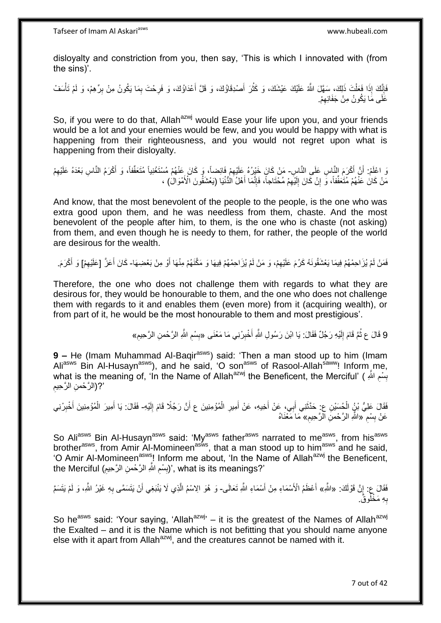disloyalty and constriction from you, then say, 'This is which I innovated with (from the sins)'.

فَإِنَّكَ إِذَا فَعَلْتَ ذَلِكَ، سَهَّلَ اللَّهُ عَلَيْكَ عَيْشَكَ، وَ كَثُرَ أَصْدِقَاؤُكَ، وَ قَلَّ أَعْدَاؤُكَ، وَ فَرِحْتَ بِمَا يَكُونُ مِنْ بِرِّهِمْ، وَ لَمْ تَأْسَفْ ْ ِ ِ ِ ِ َ ان<br>سالات ْ عََلَى مَا يَكُونُ مِنْ جَفَائِهِمْ. ِ

So, if you were to do that, Allah<sup>azwj</sup> would Ease your life upon you, and your friends would be a lot and your enemies would be few, and you would be happy with what is happening from their righteousness, and you would not regret upon what is happening from their disloyalty.

وَ اعْلَمْ: أَنَّ أَكْرَمَ النَّاسِ عَلَى النَّاسِ- مَنْ كَانَ خَيْرُهُ عَلَيْهِمْ فَائِضاً، وَ كَانَ عَنْهُمْ مُسْتَغْنِياً مُتَعَفِّفاً، وَ أَكْرَمُ النَّاسِ بَعْدَهُ عَلَيْهِمْ َ ِ َ ِ مَنْ كَانَ عَنْهُمْ مُتَعَفِّفاً، وَّ إِنْ كَانَ إِلَيْهِمْ مُحْتَاجاً، فَإِنَّمَا أَهْلُ الْدُّنْيَا (يَعْشَقُونَ الْأَمْوَالُ) ، َ ِ ِ لَ ِ ِ

And know, that the most benevolent of the people to the people, is the one who was extra good upon them, and he was needless from them, chaste. And the most benevolent of the people after him, to them, is the one who is chaste (not asking) from them, and even though he is needy to them, for rather, the people of the world are desirous for the wealth.

َ فَمَنْ لَمْ يُزَاحِمُهُمْ فِيمَا يَعْشَقُونَهُ كَرُمَ عَلَيْهِمْ، وَ مَنْ لَمْ يُزَاحِمْهُمْ فِيهَا وَ مَكَّنَهُمْ مِنْهَا أَوْ مِنْ بَعْضِهَا- كَانَ أَعَزَّ [عَلَيْهِمْ] وَ أَكْرَمَ. ِ ِ َ َ

Therefore, the one who does not challenge them with regards to what they are desirous for, they would be honourable to them, and the one who does not challenge them with regards to it and enables them (even more) from it (acquiring wealth), or from part of it, he would be the most honourable to them and most prestigious'.

> 9 قَالَ ع ثُمَّ قَامَ إِلَيْهِ رَجُلٌ فَقَالَ: يَا ابْنَ رَسُولِ اللَّهِ أَخْبِرْنِي مَا مَعْنَى «بِسْمِ اللَّهِ الرَّحْمنِ الرَّحِيمِ» َ لَ יִי (ו ِ ِ

**9** – He (Imam Muhammad Al-Baqir<sup>asws</sup>) said: 'Then a man stood up to him (Imam Ali<sup>asws</sup> Bin Al-Husayn<sup>asws</sup>), and he said, 'O son<sup>asws</sup> of Rasool-Allah<sup>saww</sup>! Inform me, what is the meaning of, 'In the Name of Allah<sup>azwj</sup> the Beneficent, the Merciful' ( بَسْم اللَّهِ **)** ِ **∣** ِ '?(الرَّحْمنِ الرَّحِيمِ

فَقَالَ عَلِيُّ بْنٍُ الْحُسَيْنِ عِ حَذَّثَنِي أَبِي، عَنْ أَخِيهِ، عَنْ أَمِيرِ الْمُؤْمِنِينَ ع أَنَّ رَجُلًا قَامَ إِلَيْهِ- فَقَالَ: يَا أَمِيرَ الْمُؤْمِنِينَ أَخْبِرْنِي ْ ِ َ َ َ ة<br>أ ْ لَ ِ ِ َ ْ َ عَنْ بِسْمِ ۚ «اللَّهِ الرَّحْمنِ الرَّحِيمِ» مَا َمَعْنَاهُ ِ **∣** ِ

So Ali<sup>asws</sup> Bin Al-Husayn<sup>asws</sup> said: 'My<sup>asws</sup> father<sup>asws</sup> narrated to me<sup>asws</sup>, from his<sup>asws</sup> brother<sup>asws</sup>, from Amir Al-Momineen<sup>asws</sup>, that a man stood up to him<sup>asws</sup> and he said, 'O Amir Al-Momineen<sup>asws</sup>! Inform me about, 'In the Name of Allah<sup>azwj</sup> the Beneficent, the Merciful (بِسْمِ اللَّهِ الرَّحْمنِ الزَّحِيمِ), what is its meanings?' ِ ِ ِ

فَقَالَ ع: إِنَّ قَوْلَكَ: «اللَّهِ» أَعْظَمُ الْأَسْمَاءِ مِنْ أَسْمَاءِ اللَّهِ تَعَالَى- وَ هُوَ الِاسْمُ الَّذِي لَا يَنْبَغِي أَنْ يَتَسَمَّى بِهِ غَيْرُ اللَّهِ، وَ لَمْ يَتَسَمَّ ֧֦֧֦֧֦֧֦֧֦֧֦֧֦֚ ِ َ ه َ َ بِهِ مَخْلُوقٌ. ِ

So he<sup>asws</sup> said: 'Your saying, 'Allah<sup>azwj</sup>' – it is the greatest of the Names of Allah<sup>azwj</sup> the Exalted – and it is the Name which is not befitting that you should name anyone else with it apart from Allah<sup>azwj</sup>, and the creatures cannot be named with it.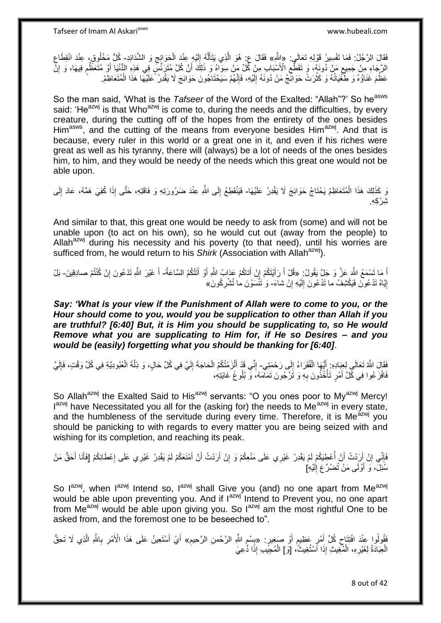فَقَالَ الرَّجُلُ: فَمَا تَفْسِيرُ فَوْلِهِ تَعَالَى: «الثَّهِ» فَقَالَ ع: هُوَ الَّذِي يَتَأَلَّهُ إِلَيْهِ عِنْدَ الْحَوَائِج وَ الشَّدَائِدِ- كُلُّ مَخْلُوقٍ، عِنْدَ انْقِطَاعِ<br>زوى المُعْدَمِينَ الصَّابِعِينَ وَجَمَعَ َ ه ْ لَ ٳ ِ الرَّجَاءِ مِنْ جَمِيعِ مَنْ دُونَهُ، وَ تَقَطَّعِ الْأَسْبَابِ مِنْ كُلِّ مَنْ سِوَّاهُ وَ ذَلِكَ أَنَّ كُلَّ مُتَوَّنِّسٍ فِي هَذِهِ الدُّنْنِا أَوْ مُتَعَظِّمٍ فِيهَا، وَ إِنَّ ِ ِ ֧֖֧֦֧֦֧֦֖֚֚֝֝֝֝֓֝֬֟֓֝֓֬֝֬֝֓֬֝֬֝֓**֓** َ ِ عَظُمَ غَذَاؤُهُ وَ طُخْيَانُهُ وَ كَثُرَتْ حَوَائِجُ مَنْ دُونَهُ إِلَيْهِ، فَإِنَّهُمْ سَيَحْتَاجُونَ حَوَائِجَ لَا يَقْدِرُ عَلَيْهَا هَذَا الْمُتَعَاظِمُ. ِ لَ ِ ،<br>ا ْ

So the man said, 'What is the *Tafseer* of the Word of the Exalted: "Allah"?' So he<sup>asws</sup> said: 'He<sup>azwj</sup> is that Who<sup>azwj</sup> is come to, during the needs and the difficulties, by every creature, during the cutting off of the hopes from the entirety of the ones besides Him<sup>asws</sup>, and the cutting of the means from everyone besides Him<sup>azwj</sup>. And that is because, every ruler in this world or a great one in it, and even if his riches were great as well as his tyranny, there will (always) be a lot of needs of the ones besides him, to him, and they would be needy of the needs which this great one would not be able upon.

نَ كَذَلِكَ هَذَا الْمُتَعَاظِمُ يَحْتَاجُ حَوَائِجَ لَا يَقْدِرُ عَلَيْهَا- فَيَنْقَطِعُ إِلَى اللَّهِ عِنْدَ ضَرُورَتِهِ وَ فَاقَتِهِ، حَتَّى إِذَا كُفِيَ هَمَّهُ، عَادَ إِلَى ْ لَ ِ ِ ِش ْر ِكِه.

And similar to that, this great one would be needy to ask from (some) and will not be unable upon (to act on his own), so he would cut out (away from the people) to Allah $a^{2x}$  during his necessity and his poverty (to that need), until his worries are sufficed from, he would return to his *Shirk* (Association with Allah<sup>azwj</sup>).

اً مَا تَسْمَعُ اللَّهَ عَزَّ وَ جَلَّ يَقُولُ: «قُلْ أَ رَأَيْتَكُمْ إِنْ أَتاكُمْ عَذابُ اللَّهِ أَوْ أَتَتْكُمُ السَّاعَةُ- أَ غَيْرَ اللَّهِ تَدْعُونَ إِنْ كُنْتُمْ صادِقِينَ- بَلْ<br>مَر مَرَ بِنَ مُنْتُمْ عَزَّ وَ جَلَ َ َ َ ِ َ َ ِ إِيَّاهُ تَدْعُونَ فَيَكْشِفُ ما تَدْعُونَ إِلَيْهِ إِنْ شاءَ- وَ تَنْسَوْنَ ما تُشْرِكُونَ» יֲ<br>י لَ ∣∣<br>∶ <u>֖֖֚֚֚֚֚֚</u> **∶** 

*Say: 'What is your view if the Punishment of Allah were to come to you, or the Hour should come to you, would you be supplication to other than Allah if you are truthful? [6:40] But, it is Him you should be supplicating to, so He would Remove what you are supplicating to Him for, if He so Desires – and you would be (easily) forgetting what you should be thanking for [6:40]*.

فَقَالَ اللَّهُ تَعَالَى لِعِبَادِهِ: أَيُّهَا الْفُقَرَاءُ إِلَى رَحْمَتِي- إِنِّي قَدْ أَلْزَمْتُكُمُ الْحَاجَةَ إِلَيَّ فِي كُلِّ حَالٍ، وَ ذِلَّةَ الْعُبُودِيَّةِ فِي كُلِّ وَقْتٍ، فَإِلَيَّ ِ ْ َ ْ ْ َ ِ لَ ∣ٍ<br>ّ∶ ْ لَ ∣∣<br>∶ فَافْزَ عُوا فِي كِّلِّ أَمْرٍ تَأْخُذُونَ بِهِ وَ تََرْجُونَ تَمَاّمَهُ، وَّ بُلُوعً غَايَتِهِ، **∶** ْ َ

So Allah<sup>azwj</sup> the Exalted Said to His<sup>azwj</sup> servants: "O you ones poor to My<sup>azwj</sup> Mercy! l<sup>azwj</sup> have Necessitated you all for the (asking for) the needs to Me<sup>azwj</sup> in every state, and the humbleness of the servitude during every time. Therefore, it is Me<sup>azwj</sup> you should be panicking to with regards to every matter you are being seized with and wishing for its completion, and reaching its peak.

َفَإِنِّي إِنْ أَرَدْتُ أَنْ أَعْطِيَكُمْ لَمْ يَقْدِرْ غَيْرِي عَلَى مَنْعِكُمْ وَ إِنْ أَرَدْتُ أَنْ أَمْنَعَكُمْ لَمْ يَقْدِرْ غَيْرِي عَلَى إعْطَائِكُمْ [فَأَنَا أَحَقُّ مَنْ َ َ اُ ِ ا<br>ا َ اُ ِ ِ َ َ ِ سُٰئِلٌ، وَ أَوْلَى مَنْ تُضُرِّعَ إِلَيْهِ] لَ ِ

So l<sup>azwj</sup>, when l<sup>azwj</sup> Intend so, l<sup>azwj</sup> shall Give you (and) no one apart from Me<sup>azwj</sup> would be able upon preventing you. And if lazw Intend to Prevent you, no one apart from Me<sup>azwj</sup> would be able upon giving you. So l<sup>azwj</sup> am the most rightful One to be asked from, and the foremost one to be beseeched to".

فَقُولُوا عِنْدَ افْتِتَاحِ كُلِّ أَمْرٍ عَظِيمٍ أَوْ صَغِيرٍ : «بِسْمِ اللَّهِ الرَّحْمنِ الرَّحِيمِ» أَيْ أَسْتَعِينُ عَلَى هَذَا الْأَمْرِ بِاللَّهِ الَّذِي لَا تَحِقُّ اُ ٍ َ  $\zeta$ ِ ِ ِ ه ِ ِ َ َ الْعِبَادَةُ لِغَيْرِهِ، الْمُغِيثِ إِذَا أَسْتُغِيثٌ، [وَ] الْمُجِيَبِ إِذَا دُعِيَ ْ ْ **∶** ْ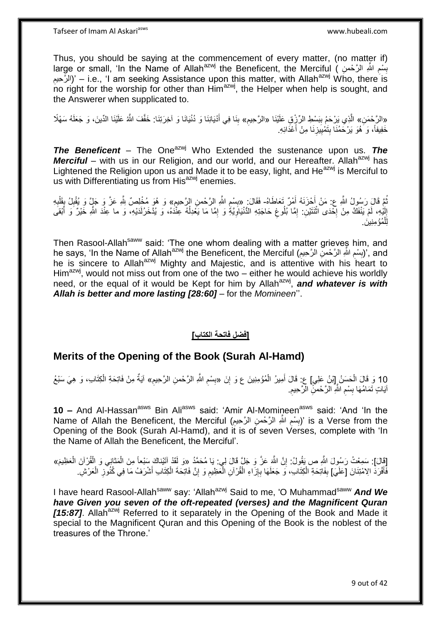Thus, you should be saying at the commencement of every matter, (no matter if) large or small, 'In the Name of Allah<sup>azwj</sup> the Beneficent, the Merciful ( نِبْسُمِ اللَّهِ الرَّحْمَنِ ا ِ **∣** ِ الزَّحِيمِ)' – i.e., 'I am seeking Assistance upon this matter, with Allahazwj Who, there is no right for the worship for other than Him<sup>azwj</sup>, the Helper when help is sought, and the Answerer when supplicated to.

«الرَّحْمَنِ» الَّذِي يَرْحَمُ بِبَسْطِ الرِّزْقِ عَلَيْنَا «الرَّحِيمِ» بِنَا فِي أَدْيَانِنَا وَ دُنْيَانَا وَ آخِرَتِنَا: خَفَّفَ اللَّه عَلَيْنَا الدِّينَ، وَ جَعَلَهُ سَهْلًا<br>كَمَدْ تَجْمَعُونَ مَعَهَّمَ مَعَ مَعَلِّ **∣** ه َ **∣** خَفِيفاً، وَ َهُوَ يَرْحَمُنَا بِتَمْبِيِّزِنَا مِنْ أَعْدَائِهِ. َ **∶** ِ **ِ** 

*The Beneficent* – The One<sup>azwj</sup> Who Extended the sustenance upon us. The *Merciful* – with us in our Religion, and our world, and our Hereafter. Allah<sup>azwj</sup> has Lightened the Religion upon us and Made it to be easy, light, and He<sup>azwj</sup> is Merciful to us with Differentiating us from His<sup>azwj</sup> enemies.

ُمَّ قَالَ رَسُولُ اللَّهِ عِن مَنْ أَحْزَنَهُ أَمْرٌ تَعَاطَاهُ- فَقَالَ: «بِسْمِ اللَّهِ الرَّحْمنِ الرَّحِيمِ» وَ هُوَ مُخْلِصٌّ لِلَّهِ عَزَّ وَ جَلٍّ وَ يُقْلِلُ بِقَلْبِهِ َ َ ِ **∣** ِ ْ ِ ِ الْذِهِ، لَمْ يَنْفَكَّ مِنْ إِخْدَى اثْنَتَيْنِ. إِمَّا بُلُوغِ حَاجَتِهِ الْدُّنْيَاوِيَّةً وَ إِمَّا مَا يَغْدِلُهُ عِنْدُهُ، وَ يُدَّخَرُلَدَيْهِ، وَ ما عِنْدَ اللَّهِ خَيْرٌ وَ أَبْقَى ُ ِ **∶** ِ ِ **ٔ ∶** لَ  $\frac{1}{2}$ َ ُمْؤ ِمِني َن. ْ لِل

Then Rasool-Allah<sup>saww</sup> said: 'The one whom dealing with a matter grieves him, and he says, 'In the Name of Allah<sup>azwj</sup> the Beneficent, the Merciful (بِسْمِ اللَّهِ الزَّحْمَنِ الزَّحِيمِ)<sup>,</sup> and ِ ِ **∣** he is sincere to Allah<sup>azwj</sup> Mighty and Majestic, and is attentive with his heart to Him<sup>azwj</sup>, would not miss out from one of the two – either he would achieve his worldly need, or the equal of it would be Kept for him by Allah<sup>azwj</sup>, and whatever is with *Allah is better and more lasting [28:60]* – for the *Momineen*''.

### **]فضل فاتحة الكتاب[**

## **Merits of the Opening of the Book (Surah Al-Hamd)**

10 وَ قَالَ الْحَسَنُ إِنْنُ عَلِيٍ] ع: قَالَ أَمِيرُ الْمُؤْمِنِينَ ع وَ إِنَ «بِسْمِ اللَّهِ الرَّحْمنِ الرَّحِيمِ» آيَةٌ مِنْ فَاتِحَةِ الْكِتَابِ، وَ هِيَ سَبْعُ<br>وَبِيَ عَلَيْهِ الْجَسَنُ إِنْيَ وَ مِيَ سَبْعُ ْ ْ ِ ِ ِ ِ ْ آيَاتٍ تَمَامُهَا بِسْمِ اللَّهِ الرَّحْمنِّ الرَّحِيمِ.<br>\* ِ ِ **∣** 

**10 –** And Al-Hassan<sup>asws</sup> Bin Ali<sup>asws</sup> said: 'Amir Al-Momineen<sup>asws</sup> said: 'And 'In the Name of Allah the Beneficent, the Merciful (إِسْمِ اللَّهِ الزَّحْمنِ الزَّحْمِيُ) is a Verse from the ِ ِ **ِ** Opening of the Book (Surah Al-Hamd), and it is of seven Verses, complete with 'In the Name of Allah the Beneficent, the Merciful'.

[قَالَ]: سَمِعْتُ رَسُولَ اللَّهِ ص يَقُولُ: إِنَّ اللَّهَ عَزَّ وَ جَلَّ قَالَ لِي: يَا مُحَمَّدُ «وَ لَقَدْ آتَيْناكَ سَبْعاً مِنَ الْمَنْانِي وَ الْقُرْآنَ الْعَظِيمَ» יֲ<br>י ْ ْ ْ فَافْرَدْ الِامْتِنَانَ [عَلَيَ] بِفَاتِحَةِ الْكِتَابِ، وَ جَعَلَهَا بِإِزَاءِ الْقُرْآنِ الْعَظِيمِ وَ إِنَّ فَاتِحَةَ الْكِتَابِ أَشْرَفُ مَا فِي كُنُورِ الْعَرْشِ. َ ْ ِ ِ ْ ْ ِ ِ ْ **∣** ْ ِ

I have heard Rasool-Allah<sup>saww</sup> say: 'Allah<sup>azwj</sup> Said to me, 'O Muhammad<sup>saww</sup> And We *have Given you seven of the oft-repeated (verses) and the Magnificent Quran [15:87]*. Allah<sup>azwj</sup> Referred to it separately in the Opening of the Book and Made it special to the Magnificent Quran and this Opening of the Book is the noblest of the treasures of the Throne.'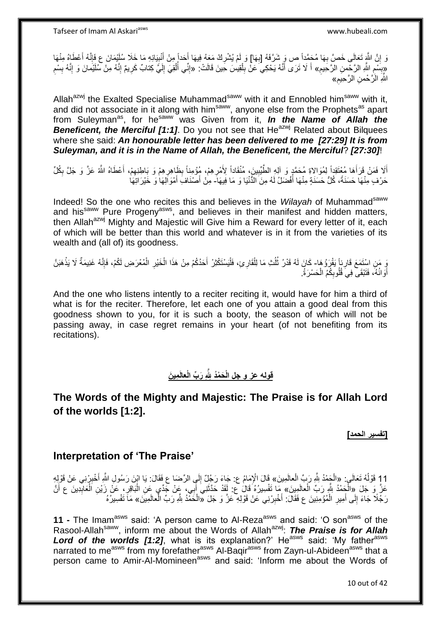وَ إِنَّ اللَّهِ تَعَالَى خَصِّ بِهَا مُجَمَّداً ص وَ شَرَّفَهُ [بِهَا] وَ لَمْ يُشْرِكْ مَعَهُ فِيهَا أَحَداً مِنْ أَنْبِيَائِهِ مَا خَلَا سُلَيْمَانَ ع فَإِنَّهُ أَعْطَاهُ مِنْهَا ِ َ َ **ٍ** ِ **∶** ِ َ  $\frac{1}{2}$ «بِسِّمِ اللَّهِ الزَّحْمِنِ الزَّحِيمِ» أَ لَا تَرَى أَنَّهُ يَحْكِيَ عَنْ بِلْقِيسَ حَينَ قَالَتْ: «إِنِّي أُلْقِيَ إِلَيَّ كِتابٌ كَرِيمٌ إِنَّهُ مِنْ سُلَيْمَانَ وَ إِنَّهُ بِسْمِ ِ **! ِ** َ َ ِ ِ ِ ِ ِ لَ ِ ْ ِ ِ اللَّهِ الزَّحْمنِ الزَّحِيمِ»

Allah<sup>azwj</sup> the Exalted Specialise Muhammad<sup>saww</sup> with it and Ennobled him<sup>saww</sup> with it, and did not associate in it along with him<sup>saww</sup>, anyone else from the Prophets<sup>as</sup> apart from Suleyman<sup>as</sup>, for he<sup>saww</sup> was Given from it, *In the Name of Allah the* **Beneficent, the Merciful [1:1].** Do you not see that He<sup>azwj</sup> Related about Bilquees where she said: *An honourable letter has been delivered to me [27:29] It is from Suleyman, and it is in the Name of Allah, the Beneficent, the Merciful*? *[27:30]*!

ِ أَلَا فَمَنْ قَرَأَهَا مُعْتَقِداً لِمُوَالِاةِ مُحَمَّدٍ وَ آلِهِ الطَّيِّبِينَ، مُنْقَاداً لِأَمْرِهِمْ، مُؤْمِناً بِظَاهِرِهِمْ وَ بَاطِنِهِمْ، أَعْطَاهُ اللَّهُ عَزَّ وَ جَلَّ بِكُلِّ ِ ِ **!** َ ِ َ ِ حَرْفٍ مِنْهَا حَسَنَةً، كُلُّ حَسَنَةٍ مِنْهَا أَفْضَلُ لَهُ مِنَ الدُّنْيَا وَ مَا فِيهَا- مِنْ أَصْنَافَ أَمْوَالِهَا وَ خَيْرَاتِهَا َ َ

Indeed! So the one who recites this and believes in the *Wilayah* of Muhammad<sup>saww</sup> and his<sup>saww</sup> Pure Progeny<sup>asws</sup>, and believes in their manifest and hidden matters, then Allah<sup>azwj</sup> Mighty and Majestic will Give him a Reward for every letter of it, each of which will be better than this world and whatever is in it from the varieties of its wealth and (all of) its goodness.

يَ مَنِ اسْتَمَعَ قَارِئاً يَقْرَؤُهَا- كَانَ لَهُ قَدْرُ ثُلُثِ مَا لِلْقَارِئِ، فَلْيَسْتَكْثِرْ أَحَدُكُمْ مِنْ هَذَا الْخَيْرِ الْمُعْرَضِ لَكُمْ، فَإِنَّهُ غَنِيمَةٌ لَا يَذْهَبَنَّ ِ ْ ُ ُ **ٔ**  $\frac{1}{2}$ ْ ِ ْ َ ْ أَوَ انُهُ، فَتَبْقَى فِيَ قُلُوبِكُمُ الْحَسْرَةُ. ْ ِ ر<br>ا

And the one who listens intently to a reciter reciting it, would have for him a third of what is for the reciter. Therefore, let each one of you attain a good deal from this goodness shown to you, for it is such a booty, the season of which will not be passing away, in case regret remains in your heart (of not benefiting from its recitations).

## **َمي َن لعالَ قوله عز و جل َ َر ِّب اْ َح ْمُد َّلِله الْ**

**The Words of the Mighty and Majestic: The Praise is for Allah Lord of the worlds [1:2].**

**]تفسير الحمد[**

### **Interpretation of 'The Praise'**

11 قَوْلُهُ تَعَالَى: «الْجَمْدُ لِلَّهِ رَبِّ الْعالَمِينَ» قَالَ الْإِمَامُ ع: جَاءَ رَجُلٌ إِلَى الرِّضَا ع<br>11 قَوْلُهُ تَعَالَى: «الْجَمْدُ لِلَّهِ رَبِّ الْعالَمِينَ» قَالَ الْإِمَامُ ع: جَاءَ رَجُلٌ إِلَى الرِّضَا ع َ ِ ْ ْ اً<br>ا عَزَّ وَ جَلَ «الْجَمْدُ اللَّهِ رَبِّ الْعالَمِينَ» مَا تَفْسِيرُهُ قَالَ ع: لَقَدْ حَدَّثَنِيَ أَبِّي، عَنْ جَدِّي عَنِ الْبَاقِرِ، عَنْ زَيْنِ اَلْعَابِدِينَ ع أَنَّ ْ ْ ِ ْ ِ ْ َ َ َ رَجِّلًا جَاءَ إِلَى أَمِيرِ الْمُؤْمِنِينَ ع فَقَالَ: أَخْبِرْنِي عَنْ قَوْلِهِ عَزَّ وَ جَلَ «الْحَمْدُ شَّهِ رَبِّ الْعالَمِينَ» مَا تَفْسِيرُهُ ْ ِ َ ِ ِ ْ ْ

**11 -** The Imam<sup>asws</sup> said: 'A person came to Al-Reza<sup>asws</sup> and said: 'O son<sup>asws</sup> of the Rasool-Allah<sup>saww</sup>, inform me about the Words of Allah<sup>azwj</sup>: **The Praise is for Allah** *Lord of the worlds [1:2]*, what is its explanation?' Heasws said: 'My fatherasws narrated to me<sup>asws</sup> from my forefather<sup>asws</sup> Al-Baqir<sup>asws</sup> from Zayn-ul-Abideen<sup>asws</sup> that a person came to Amir-Al-Momineen<sup>asws</sup> and said: 'Inform me about the Words of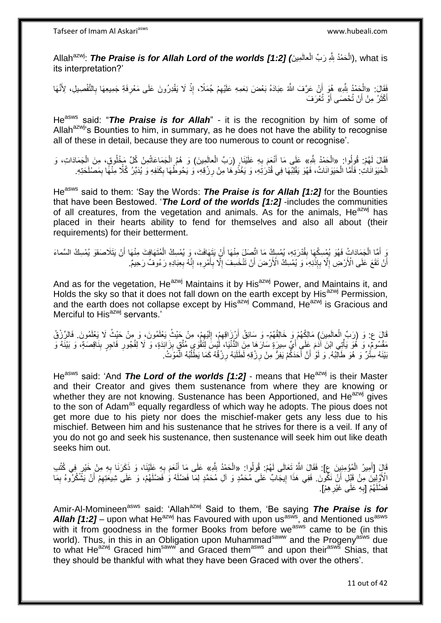Allah<sup>azwj</sup>: *The Praise is for Allah Lord of the worlds [1:2] (الْحَمْدُ بِللَّهِ رَ*بِّ الْعالَمِينَ*),* what is ْ ْ its interpretation?'

فَقَالَ: «الْحَمْدُ لِلَّهِ» هُوَ أَنْ عَرَّفَ اللَّهُ عِبَادَهُ بَعْضَ نِعَمِهِ عَلَيْهِمْ جُمَلًا، إِذْ لَا يَقْدِرُونَ عَلَى مَعْرِفَةِ جَمِيعِهَا بِالتَّفْصِيلِ، لِأَنَّهَا ِ ْ **∶** ِ **ٔ** ِ أَكْثَرُ مِنْ أَنْ تُحْصَى أَوْ تُغْرَفَ ة<br>أ َ َ

He<sup>asws</sup> said: "The Praise is for Allah" - it is the recognition by him of some of Allah<sup>azwj</sup>'s Bounties to him, in summary, as he does not have the ability to recognise all of these in detail, because they are too numerous to count or recognise'.

فَقَالَ لَهُمْ: قُولُوا: «الْحَمْدُ شِّهِ» عَلَي مَا أَنْعَمَ بِهِ عَلَيْنَا ۭ (رَبّ الْعالَمِينَ) وَ هُمُ الْجَمَاعَاتُونْ كُلِّ مَخْلُوقٍ، مِنَ الْجَمَادَاتِ، وَ ِ ِ َ ْ ْ ْ الْحَيَوَانَاتِ: فَأَمَّا الْحَيَوَانَاتُ، فَهُوَ يَقْلِبُهَا فِي قُدْرَتِهِ، وَ يَغْذُوهَا مِنْ رِزْقِهِ، وَ يَحُوطُهَا بِكَنَفِهِ وَ يُدَبِّرُ كُلَّا مِنْهَا بِمَصْلَحَتِهِ. ْ ْ َ ِ ِ ِ

He<sup>asws</sup> said to them: 'Say the Words: **The Praise is for Allah [1:2]** for the Bounties that have been Bestowed. '*The Lord of the worlds [1:2]* -includes the communities of all creatures, from the vegetation and animals. As for the animals,  $He^{azwj}$  has placed in their hearts ability to fend for themselves and also all about (their requirements) for their betterment.

وَ أَمَّا الْجَمَادَاتُ فَهُوَ يُمْسِكُهَا بِقُدْرَتِهِ، يُمْسِكُ مَا اتَّصَلَ مِنْهَا أَنْ يَتَهَافَتَ، وَ يُمْسِكُ الْمُتَهَافِتَ مِنْهَا أَنْ يَتَلَاصَقَوَ يُمْسِكُ السَّماءَ ْ َ ْ اُ **∣** أَنْ تَقَعَ عَلَى الْأَرْضِ إِلَّا بِإِنْذِهِ، وَ يُمْسِكُ الْأَرْضَ أَنْ تَنْخَسِفَ إِلَّا بِأَمْرِهِ، إِنَّهُ بِعِبَادِهِ رَءُوفٌ رَحِيمٌ. **ٔ** ِ ِ ا<br>ا ِ ِ **∶** َ ِ ِ اُ

And as for the vegetation, He<sup>azwj</sup> Maintains it by His<sup>azwj</sup> Power, and Maintains it, and Holds the sky so that it does not fall down on the earth except by His<sup>azwj</sup> Permission, and the earth does not collapse except by His<sup>azwj</sup> Command, He<sup>azwj</sup> is Gracious and Merciful to His<sup>azwj</sup> servants.'

قَالَ ع: وَ (رَبِّ الْعالَمِينَ) مَالِكُهُمْ وَ خَالِقُهُمْ- وَ سَائِقُ أَرْزَاقِهِمْ، إِلَيْهِمْ، مِنْ حَيْثُ يَعْلَمُونَ. وَ مِنْ حَيْثُ لَا يَعْلَمُونَ. فَالرّزْقُ ْ ِ لَ ِ ِ اُ مَقْسُومٌ، وَ هُوَ يَأْتِي ابْنَ آَدَمَ عَلَى أَيِّ سِيرَةٍ سَارَهَا مِنَ الدُّنْيَا، لَيْسَ لِتَقْوَي مُتَّقِ بِزَائِدَةٍ، وَ لَا لِفُجُورِ فَاجِرٍ بِذَاقِصَةٍ، وَ بَيْنَهُ وَ ْ ِ ِ ِ َ بَيْنَهُ سِتُٰرٌ ۖ وَ هُوَ طَالِّبُهُ ۚ وَ لَوْ أَنَّ أَحَدَكُمْ يَفِرُّ مِنْ رِزْقِهِ لََطَلَبَهُ رِزْقُهُ كَمَا يَطْلُبُهُ الْمَوْتُ ۚ ً<br>ا َ ِ ِ ْ ُ

He<sup>asws</sup> said: 'And *The Lord of the worlds [1:2]* - means that He<sup>azwj</sup> is their Master and their Creator and gives them sustenance from where they are knowing or whether they are not knowing. Sustenance has been Apportioned, and  $He^{azwj}$  gives to the son of Adam<sup>as</sup> equally regardless of which way he adopts. The pious does not get more due to his piety nor does the mischief-maker gets any less due to his mischief. Between him and his sustenance that he strives for there is a veil. If any of you do not go and seek his sustenance, then sustenance will seek him out like death seeks him out.

قَالِ [أَمِيرُ الْمُؤْمِنِينَ عِ]: فَقَالَ اللَّهُ تَعَالَى لَهُمْ: قُولُوا: «الْحَمْدُ بِثَّه» عَلَى مَا أَنْعَمَ بِهِ عَلَيْنَا، وَ ذَكَرَنَا بِهِ مِنْ خَيْرٍ فِي كُتُبِ ْ َ ُ ِ ِ َ الْأَوَّلِينَ مِنْ قَبْلِ أَنْ نَكُونَ. فَفِي هَذَا إِيجَابٌ عَلَى مُحَمَّدٍ وَ آلِ مُحَمَّدٍ لِمَا فَضَّلَهُ وَ فَضَلَهُمْ، وَ عَلَى شِيعَتِهِمْ أَنْ يَشْكُرُوهُ بِمَا َ ِ ِ َ ِ فَضَّلَهُمْ [بِهِ عَلَى غَيْرِ هِمْ]. ِ **∶** 

Amir-Al-Momineen<sup>asws</sup> said: 'Allah<sup>azwj</sup> Said to them, 'Be saying The Praise is for Allah [1:2] – upon what He<sup>azwj</sup> has Favoured with upon us<sup>asws</sup>, and Mentioned us<sup>asws</sup> with it from goodness in the former Books from before we<sup>asws</sup> came to be (in this world). Thus, in this in an Obligation upon Muhammad<sup>saww</sup> and the Progeny<sup>asws</sup> due to what He<sup>azwj</sup> Graced him<sup>saww</sup> and Graced them<sup>asws</sup> and upon their<sup>asws</sup> Shias, that they should be thankful with what they have been Graced with over the others'.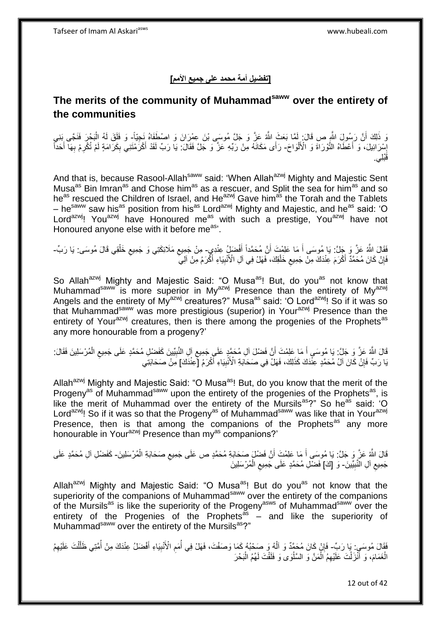**]تفضيل أمة محمد على جميع األمم[**

# **The merits of the community of Muhammadsaww over the entirety of the communities**

وَ ذَلِكَ أَنَّ رَسُولَ اللَّهِ ص قَالَ: لَمَّا بَعَثَ اللَّهُ عَنَّ وَ جَلَّ مُوسَى بْنَ عِمْرَانَ وَ اصطَفَاهُ نَجِيّاً- وَ فَلَقَ لَهُ الْبَحْرَ فَنَجًى بَنِي ْ إِسْرَائِيلَ، ۖ وَ أَعْطَاهُ التَّوْرَاةَ وَ الْأَلْوَاحَ- رَأَى مَكَانَهُ مِنْ رَبِّهِ عَزَّ وَ جَلَّ فَقَالَ: يَا رَبِّ لَقَدْ أَكْرَمْتَنِي بِكَرَامَةٍ لَمْ تُكْرِمْ بِهَا أَحَداً ْ َ ِ َ ِ ِ ِ َ َقْبلِي.

And that is, because Rasool-Allah<sup>saww</sup> said: 'When Allah<sup>azwj</sup> Mighty and Majestic Sent Musa<sup>as</sup> Bin Imran<sup>as</sup> and Chose him<sup>as</sup> as a rescuer, and Split the sea for him<sup>as</sup> and so he<sup>as</sup> rescued the Children of Israel, and He<sup>azwj</sup> Gave him<sup>as</sup> the Torah and the Tablets – he<sup>saww</sup> saw his<sup>as</sup> position from his<sup>as</sup> Lord<sup>azwj</sup> Mighty and Majestic, and he<sup>as</sup> said: 'O Lord<sup>azwj</sup>! You<sup>azwj</sup> have Honoured me<sup>as</sup> with such a prestige, You<sup>azwj</sup> have not Honoured anyone else with it before measing

فَقَالَ اللَّهُ عَزَّ وَ جَلَّ: يَا مُوسَى أَ مَا عَلِمْتَ أَنَّ مُحَمَّداً أَفْضَلٍۢ عِنْدِيِ- مِنْ جَمِيعِ مَلائِكَنِي وَ جَمِيعِ خَلْقِي قَالَ مُوسَى. يَا رَبِّ-َ َ ْ ِ  $\zeta$ فَإِنْ كَانَ مُحَمَّدٌ أَكْرَمَ عِنْدَكَ مِنْ جَمِيعِ خَلْقِكَ، فَهَلْ فِي آلِ الْأَنْبِيَاءِ أَكْرَمُ مِنْ آلِي َ ِ ِ ْ ِ َ

So Allah<sup>azwj</sup> Mighty and Majestic Said: "O Musa<sup>as</sup>! But, do you<sup>as</sup> not know that Muhammad<sup>saww</sup> is more superior in My<sup>azwj</sup> Presence than the entirety of My<sup>azwj</sup> Angels and the entirety of My<sup>azwj</sup> creatures?" Musa<sup>as</sup> said: 'O Lord<sup>azwj</sup>! So if it was so that Muhammad<sup>saww</sup> was more prestigious (superior) in Your<sup>azwj</sup> Presence than the entirety of Your<sup>azwj</sup> creatures, then is there among the progenies of the Prophets<sup>as</sup> any more honourable from a progeny?'

َ قَالَ اللَّهُ عَنَّ وَ جَلَّ: يَا مُوسَى أَ مَا عَلِمْتَ أَنَّ فَضْلَ آلِ مُحَمَّدٍ عَلَى جَمِيعِ آلِ النَّبِيِّينَ كَفَضْلِ مُحَمَّدٍ عَلَى جَمِيعِ الْمُرْسَلِينَ فَقَالَ: ِ ্ ْ ِ َبَا رَبِّ فَإِنَّ كَانَ آلُ مُحَمَّدٍ عِنّْدَكَ كَذَلِكَ، فَهَلْ فِي صَحَابَةِ الْأُنْبِيَاءِ أَكْرَمُ [عِنْدَكَ] مِنْ صَحَابَتِي َ ِ ِ

Allah<sup>azwj</sup> Mighty and Majestic Said: "O Musa<sup>as</sup>! But, do you know that the merit of the Progeny<sup>as</sup> of Muhammad<sup>saww</sup> upon the entirety of the progenies of the Prophets<sup>as</sup>, is like the merit of Muhammad over the entirety of the Mursils<sup>as</sup>?" So he<sup>as</sup> said: 'O Lord<sup>azwj</sup>! So if it was so that the Progeny<sup>as</sup> of Muhammad<sup>saww</sup> was like that in Your<sup>azwj</sup> Presence, then is that among the companions of the Prophets<sup>as</sup> any more honourable in Your<sup>azwj</sup> Presence than my<sup>as</sup> companions?'

َ قَالَ اللَّهُ عَنَّ وَ جَلَّ: يَا مُوسَى أَ مَا عَلِمْتَ أَنَّ فَضْلٍّ صَحَابَةِ مُحَمَّدٍ ص عَلَى جَمِيعِ صَحَابَةِ الْمُرْسَلِينَ- كَفَضْلِ أَلِ مُحَمَّدٍ عَلَى ْ  $\zeta$ جَمِيعِ آلِ النَّبِيِّينَ- وَ [كَ] فَضْلِ مُحَمَّدٍ عَلَى جَمِيعِ الْمُرْسَلِينَ **!**  $\zeta$ ْ  $\zeta$ 

Allah<sup>azwj</sup> Mighty and Majestic Said: "O Musa<sup>as</sup>! But do you<sup>as</sup> not know that the superiority of the companions of Muhammad<sup>saww</sup> over the entirety of the companions of the Mursils<sup>as</sup> is like the superiority of the Progeny<sup>asws</sup> of Muhammad<sup>saww</sup> over the entirety of the Progenies of the Prophets<sup>as</sup>  $-$  and like the superiority of Muhammad<sup>saww</sup> over the entirety of the Mursils<sup>as</sup>?"

ْفَقَالَ مُوسَى: يَا رَبِّ- فَإِنْ كَانَ مُحَمَّدٌ وَ آلُهُ وَ صَحْبُهُ كَمَا وَصَفْتَ، فَهَلْ فِي أُمَمِ الْأَنْبِيَاءِ أَفْضَلُ عِنْدَكَ مِنْ أُمَّتِي ظَلَّلْتَ عَلَيْهِمُ ُ َ ِ ِ ا<br>ا ٔ<br>ا ِ ْ ه الْغَمَامَ، وَ أَنْزَلْتَ عَلَيْهِمُ الْمَنَّ وَ السَّلْوَى وَ فَلَقْتَ لَهُمُ الْبَحْرَ :<br>ا ْ ْ ْ َ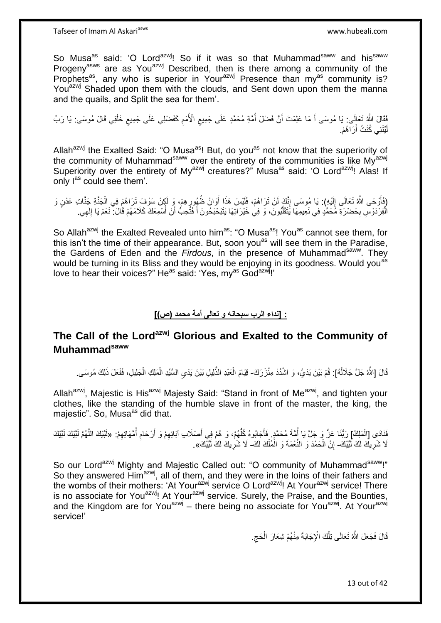So Musa<sup>as</sup> said: 'O Lord<sup>azwj</sup>! So if it was so that Muhammad<sup>saww</sup> and his<sup>saww</sup> Progeny<sup>asws</sup> are as You<sup>azwj</sup> Described, then is there among a community of the Prophets<sup>as</sup>, any who is superior in Your<sup>azwj</sup> Presence than my<sup>as</sup> community is? You<sup>azwj</sup> Shaded upon them with the clouds, and Sent down upon them the manna and the quails, and Split the sea for them'.

فَقَالَ اللَّهُ تَعَالَى: يَا مُوسَى أَ مَا عَلِمْتَ أَنَّ فَضْلَ أُمَّةِ مُحَمَّدٍ عَلَى جَمِيعِ الْأُمَمِ كَفَضْلِي عَلَى جَمِيعِ خَلْقِي قَالَ مُوسَى: يَا رَبِّ ِ  $\zeta$ ا<br>ا َ َ ْ ِ يْتَنِي كُنْتُ أَرَاهُمْ. َ لَ

Allah<sup>azwj</sup> the Exalted Said: "O Musa<sup>as</sup>! But, do you<sup>as</sup> not know that the superiority of the community of Muhammad<sup>saww</sup> over the entirety of the communities is like  $Mv^{a z w j}$ Superiority over the entirety of My<sup>azwj</sup> creatures?" Musa<sup>as</sup> said: 'O Lord<sup>azwj</sup>! Alas! If only l<sup>as</sup> could see them'.

(فَأَوْحَى اللَّهُ تَعَالَى إِلَيْهِ): يَا مُوسَى إِنَّكَ لَنْ تَرَاهُمْ، فَلَيْسَ هَذَا أَوَانُ ظُهُورٍ هِمْ، وَ لَكِنْ سَوْفَ تَرَاهُمْ فِي الْجَنَّةِ جَنَّاتِ عَدْنٍ وَ لَ  $\frac{1}{2}$ ْ ِ َ ِ الْفِرْدَوْسِ بِحَضْرَةِ مُحَمَّدٍ فِي نَعِيمِهَا يَتَقَلَّبُونَ، وَ فِي خَيْرَاتِهَا يَتَبَحْبَحُونَ أَ فَتُحِبُّ أَنْ أُسْمِعَكَ كَلَامَهُمْ قَالَ: ۖ نَعَمْ يَا إِلَهِي. ِ ه ِ ِ َ َ

So Allah<sup>azwj</sup> the Exalted Revealed unto him<sup>as</sup>: "O Musa<sup>as</sup>! You<sup>as</sup> cannot see them, for this isn't the time of their appearance. But, soon you<sup>as</sup> will see them in the Paradise, the Gardens of Eden and the *Firdous*, in the presence of Muhammad<sup>saww</sup>. They would be turning in its Bliss and they would be enjoying in its goodness. Would you<sup>as</sup> love to hear their voices?" He<sup>as</sup> said: 'Yes, my<sup>as</sup> God<sup>azwj</sup>!'

### **: ]نداء الرب سبحانه و تعالى أمة محمد )ص([**

# **The Call of the Lordazwj Glorious and Exalted to the Community of Muhammadsaww**

قَالَ [اللَّهُ جَلَّ جَلَالُهُ]: قُمْ بَيْنَ يَدَيَّ، وَ اشْدُدْ مِئْزَرَكَ- قِيَامَ الْعَبْدِ الذَّلِيلِ بَيْنَ يَدَيِ السَّيِّدِ الْمَلِكِ الْجَلِيلِ، فَفَعَلَ ذَلِكَ مُوسَى. ا<br>با ْ  $\frac{1}{2}$ ْ ْ

Allah<sup>azwj</sup>, Majestic is His<sup>azwj</sup> Majesty Said: "Stand in front of Me<sup>azwj</sup>, and tighten your clothes, like the standing of the humble slave in front of the master, the king, the majestic". So, Musa<sup>as</sup> did that.

فَذَادَهِ [الْمَلِكُ] رَبُّنَا عَزَّ وَ جَلَّ يَا أُمَّةً مُحَمَّدٍ. فَأَجَابُوهُ كُلُّهُمْ، وَ هُمْ فِي أَصْلاب آبَائِهِمْ وَ أَرْحَامِ أُمَّهَاتِهِمْ. «لَتَيْكَ اللَّهُمَّ لَئَيْكَ لَئَيْكَ ه ُ ِ َ َ ُّ َ ا<br>ا لَا شَرِيكَ لَكَ لَبَيْكَ- إِنَّ الْحَمْدَ وَ النِّعْمَةَ وَ الْمُلْكَ لَكَ- لَا شَرِيكَ لَكَ لَبَّيْكَ». ِ ْ ْ ِ ِ

So our Lord<sup>azwj</sup> Mighty and Majestic Called out: "O community of Muhammad<sup>saww</sup>!" So they answered Him<sup>azwj</sup>, all of them, and they were in the loins of their fathers and the wombs of their mothers: 'At Your<sup>azwj</sup> service O Lord<sup>azwj</sup>! At Your<sup>azwj</sup> service! There is no associate for You<sup>azwj</sup>! At Your<sup>azwj</sup> service. Surely, the Praise, and the Bounties, and the Kingdom are for You<sup>azwj</sup> – there being no associate for You<sup>azwj</sup>. At Your<sup>azwj</sup> service!'

> ْ قَالَ فَجَعَلَ اللَّهُ تَعَالَى تِلْكَ الْإِجَابَةَ مِنْهُمْ شِعَارَ الْحَجِ. ِ ْ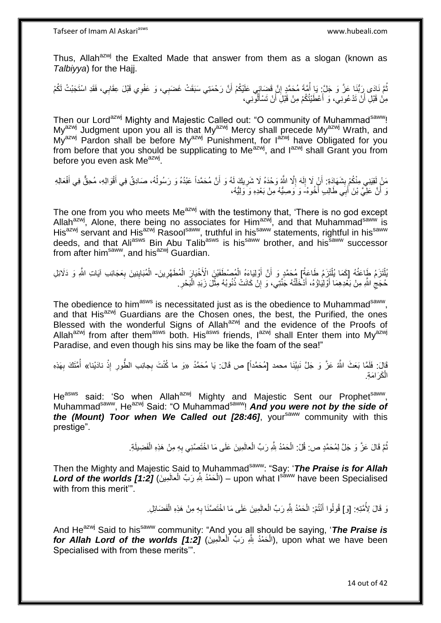Thus, Allah<sup>azwj</sup> the Exalted Made that answer from them as a slogan (known as *Talbiyya*) for the Hajj.

ثُمَّ نَادَى رَبُّنَا عَزَّ وَ جَلَّ: يَا أُمَّةَ مُحَمَّدٍ إِنَّ قَضَائِي عَلَيْكُمْ أَنَّ رَحْمَتِي سَبَقَتْ غَضَبِي، وَ عَفْوِي قَبْلَ عِقَابِي، فَقَدِ اسْتَجَبْتُ لَكُمْ َ ِ ،<br>ا ِ مِنْ قَبْلِ أَنْ تَدْعُونِي، وَ أَعْطَيْتُكُمْ مِنْ قَبْلِ أَنْ تَسْأَلُونِي، َ َ َ ز<br>ا

Then our Lord<sup>azwj</sup> Mighty and Majestic Called out: "O community of Muhammad<sup>saww</sup>! My<sup>azwj</sup> Judgment upon you all is that My<sup>azwj</sup> Mercy shall precede My<sup>azwj</sup> Wrath, and My<sup>azwj</sup> Pardon shall be before My<sup>azwj</sup> Punishment, for l<sup>azwj</sup> have Obligated for you from before that you should be supplicating to Me<sup>azwj</sup>, and  $I^{azw}$  shall Grant you from before you even ask Me<sup>azwj</sup>.

مَنْ لَقِيَنِي مِنْكُمْ بِشَهَادَةِ: أَنْ لَا إِلَهَ إِلَّا اللَّهُ وَحْدَهُ لَا شَرِيكَ لَهُ وَ أَنَّ مُحَمَّداً عَبْدُهُ وَ رَسُولُهُ، صَادِقٌ فِي أَقْوَالِهِ، مُحِقٌّ فِي أَفْعَالِهِ **∣** َ  $\overline{a}$ اُ ِ ِ لَ ِ َ وَ أَنَّ عَلِّيَّ بْنَ أَبِي طَالِبٍ أَخُوهُ- وَ وَصِيُّهُ مِنْ بَعْدِهِ وَ وَلِيُّهُ، َ َ

The one from you who meets  $Me^{azwj}$  with the testimony that, 'There is no god except Allah<sup>azwj</sup>, Alone, there being no associates for Him<sup>azwj</sup>, and that Muhammad<sup>saww</sup> is His<sup>azwj</sup> servant and His<sup>azwj</sup> Rasool<sup>saww</sup>, truthful in his<sup>saww</sup> statements, rightful in his<sup>saww</sup> deeds, and that Ali<sup>asws</sup> Bin Abu Talib<sup>asws</sup> is his<sup>saww</sup> brother, and his<sup>saww</sup> successor from after him<sup>saww</sup>, and his<sup>azwj</sup> Guardian.

يُلْتَزَمُ طَاعَتُهُ [كَمَا يُلْتَزِمُ طَاعَةُ] مُحَمَّدٍ وَ أَنَّ أَوْلِيَاءَهُ الْمُصْطَفَيْنَ الْأَخْيَارَ الْمُطَهَّرِينَ- الْمُبَايِنِينَ بِعَجَائِبِ آيَاتِ اللَّهِ وَ دَلَائِلِ اُ ْ ْ ِ ِ ِ ْ حُجَجْ اللَّهِ مِنْ بَعْدِهِمَا أَوْلِيَاؤُهُ، أَدْخَلْتُهُ جَنَّتِي، وَ إِنْ كَانَتْ ذُنُوبُهُ مِثْلَ زَبَدِ الْبَحْرِ ِ ْ **ٔ** ِ ْ ِ

The obedience to him<sup>asws</sup> is necessitated just as is the obedience to Muhammad<sup>saww</sup>, and that His<sup>azwj</sup> Guardians are the Chosen ones, the best, the Purified, the ones Blessed with the wonderful Signs of Allah $a^{2}$  and the evidence of the Proofs of Allah<sup>azwj</sup> from after them<sup>asws</sup> both. His<sup>asws</sup> friends, l<sup>azwj</sup> shall Enter them into My<sup>azwj</sup> Paradise, and even though his sins may be like the foam of the sea!"

قَالَ: فَلَمَّا بَعَثَ اللَّهُ عَزَّ وَ جَلَّ نَبِيَّنَا محمد [مُحَمَّداً] ص قَالَ: يَا مُحَمَّدُ «وَ ما كُنْتَ بِجانِبِ الطَّورِ إِذْ نادَيْنا» أُمَّتَكَ بِهَذِهِ ِ **ٔ:** ِ ِ اُ الْكَرَامَةِ. ْ

He<sup>asws</sup> said: 'So when Allah<sup>azwj</sup> Mighty and Majestic Sent our Prophet<sup>saww</sup>, Muhammadsaww, Heazwj Said: "O Muhammadsaww! *And you were not by the side of the (Mount)* Toor when We Called out [28:46], your<sup>saww</sup> community with this prestige".

> نُّمَّ قَالَ عَزَّ وَ جَلَّ لِمُحَمَّدٍ ص: قُلْ: الْحَمْدُ لِثَّهِ رَبِّ الْعالَمِينَ عَلَى مَا اخْتَصَّنِي بِهِ مِنْ هَذِهِ الْفَضِيلَةِ. ْ ْ ُ ْ ِ

Then the Mighty and Majestic Said to Muhammadsaww: "Say: '*The Praise is for Allah Lord of the worlds [1:2] (*الْحَمْدُ بِلَّهِ رَبِّ الْعالَمِينَ) – upon what l<sup>saww</sup> have been Specialised ْ ْ with from this merit'".

> وَ قَالَ لِأُمَّتِهِ: [وَ] قُولُوا أَنْتُمْ: الْحَمْدُ لِلَّهِ رَبِّ الْعالَمِينَ عَلَى مَا اخْتَصَّنَا بِهِ مِنْ هَذِهِ الْفَضَائِلِ. ْ ْ َ ْ ِ

And He<sup>azwj</sup> Said to his<sup>saww</sup> community: "And you all should be saying, '*The Praise is for Allah Lord of the worlds [1:2] (*الْحَمْدُ شِّهِ رَبِّ الْعالَمِينَ), upon what we have been ْ Specialised with from these merits'".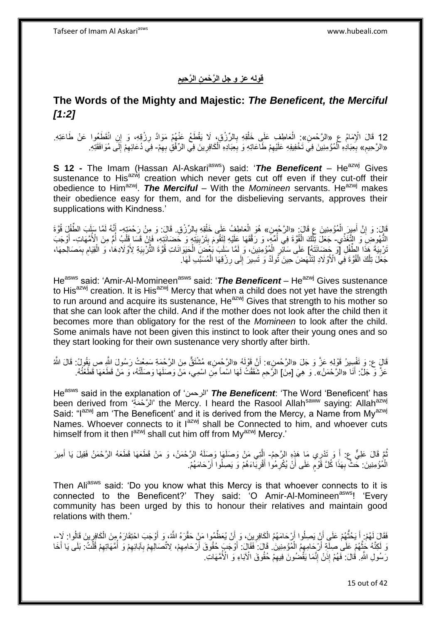**قوله عز و جل َن ال هر َحيم ال هر ْحم َ**

# **The Words of the Mighty and Majestic:** *The Beneficent, the Merciful [1:2]*

12 قَالَ الْإِمَامُ عِ «الرَّحْمنِ»: الْعَاطِفِ عَلَى خَلْقِهِ بِالرِّزْقِ، لَا يَقْطَعُ عَنْهُمْ مَوَادَّ رِزْقِهِ، وَ إِنِ انْقَطَعُوا عَنْ طَاعَتِهِ.<br>12 **ٔ** ِ ْ «الرَّحِيمِ» بِعِبَادِهِ الْمُؤْمِنِينَ فِي تَخْفِيفِهِ عَلَيْهِمْ طَاعَاتِهِ وَ بِعِبَادِهِ الْكَافِرِينَ فِي الرِّفْقِ بِهِمْ- فِي دُعَائِهِمْ إِلَى مُوَافَقَتِهِ. ِ **∶** ْ **∶** ِ ْ **∶** لَ ِ ِ

**S 12 -** The Imam (Hassan Al-Askari<sup>asws</sup>) said: '*The Beneficent* – He<sup>azwj</sup> Gives sustenance to His<sup>azwj</sup> creation which never gets cut off even if they cut-off their obedience to Him<sup>azwj</sup>. The Merciful – With the *Momineen* servants. He<sup>azwj</sup> makes their obedience easy for them, and for the disbelieving servants, approves their supplications with Kindness.'

قَالَ: وَ إِنَّ أَمِيرَ الْمُؤْمِنِينَ عِ قَالَ: «الرَّحْمِنِ» هُوَ الْعَاطِفُ عَلَى خَلْقِهِ بِالرِّرْقِ. قَالَ: وَ مِنْ رَحْمَتِهِ- إِنَّهُ لَمَّا سَلَبَ الطُّفْلِ قُوَّةَ ْ َ ِ ْ ْ َ النُّهُوضِّرِ وَ الْتَّغُذِّي- جَعَلَ تِلْكَ الْقُوَّةَ فِي أُمُّهٍ، وَ رَقَّقَهَا عَلَيْهِ لِتَقُومَ بِتَرْبِيَتِهِ وَ حَضَانَتِهِ، فَإِنَّ قَسَا قَلْبُ أُمِّ مِنَ الْأُمَّهَاتِ- أَوْجَبَ ْ ا ِ ِ ُ ْ َ تَرْبِيَةَ مَذَا الطَّفْلِ [ْوَ حَضَانَتَهُ] عَلَى سَائِرِ الْمُؤْمِنِينَ، وَ لَمَّا سَلَبَ بَعْضَ الْخَيْوَانَاتِ قُوَّةَ الثَّرْبِيَةِ لِأَوْلَادِهَا، وَ الْقِيَامِ بِمَصَالِحِهَا،  $\frac{1}{2}$ ِ ِ ْ ِ ْ ْ ِ جَعَلَ تِلْكَ الْقُوَّةَ فِي الْأَوْلَادِ لِتَنْهَضَ حِينَ ثُولَدُ وَ تَسِيرَ إِلَى رِزْقِهَا الْمُسَبَّبِ لَهَا ْ ِ ِ ْ ْ لَ

He<sup>asws</sup> said: 'Amir-Al-Momineen<sup>asws</sup> said: '*The Beneficent* – He<sup>azwj</sup> Gives sustenance to His<sup>azwj</sup> creation. It is His<sup>azwj</sup> Mercy that when a child does not yet have the strength to run around and acquire its sustenance,  $He^{azwj}$  Gives that strength to his mother so that she can look after the child. And if the mother does not look after the child then it becomes more than obligatory for the rest of the *Momineen* to look after the child. Some animals have not been given this instinct to look after their young ones and so they start looking for their own sustenance very shortly after birth.

قَالٍ ع: وَ تَفْسِيرُ قَوْلِهِ عَزَّ وَ جَلَ «الرَّحْمنِ»: أَنَّ قَوْلَهُ «الرَّحْمنِ» مُشْتَقٌّ مِنَ الرَّحْمَةِ سَمِعْتُ رَسُولَ الثَّهِ ص يَقُولُ: قَالَ الثَّه عَزَّ وَ جَلَّ: أَنَا «الرَّحْمَنُ». وَ هِيَ [مِنَ] الزَّحِمِ شَقَقْتُ لَهَا اسْماً مِنِ اسْمِي، مَنْ وَصَلَهَا وَصَلْتُهُ، وَ مَنْ قَطَعَهَا قَطَعْتُهُ. َ ْ ِ

Heasws said in the explanation of 'الرحمن '*The Beneficent*: 'The Word 'Beneficent' has been derived from ' $\mathbb{R}^3$ ' the Mercy. I heard the Rasool Allah<sup>saww</sup> saying: Allah<sup>azwj</sup> Said: "I<sup>azwj</sup> am 'The Beneficent' and it is derived from the Mercy, a Name from My<sup>azwj</sup> Names. Whoever connects to it  $I^{azwj}$  shall be Connected to him, and whoever cuts himself from it then  $I^{azwj}$  shall cut him off from  $My^{azwj}$  Mercy.'

ثُمَّ قَالَ عَلِيٌّ عِ: أَ وَ تَدْرِي مَا هَذِهِ الرَّحِمُ- اِلَّتِي مَنْ وَصَلَهَا وَصِلَهُ الرَّحْمَنُ فَطَعَهَا قَطَعَهُ الرَّحْمَنُ فَقِيلَ يَا أَمِيرَ ¦ َ ه الْمُؤْمِنِينَ: حَثٌّ بِهَذَا كُلَّ قَوْمٌ عَلَى أَنْ يُكْرِمُوا أَقْرِبَاءَهُمْ وَ يَصِلُوا أَرْحَامَهُمْ. **∶** َ **∶** ٍ ِ ْ اُ

Then Aliasws said: 'Do you know what this Mercy is that whoever connects to it is connected to the Beneficent?' They said: 'O Amir-Al-Momineen<sup>asws</sup>! 'Every community has been urged by this to honour their relatives and maintain good relations with them.'

فَقَالَ لَهُمْ: أَ يَحُثُّهُمْ عَلَى أَنْ يَصِلُوا أَرْحَامَهُمُ الْكَافِرِينَ، وَ أَنْ يُعَظِّمُوا مَنِْ حَقَّرَهُ اللَّهُ، وَ أَوْجَبَ احْتِقَارَهُ مِنَ الْكَافِرِينَ قَالُوا: لَإِ-، َ **∶** ْ اُ اً ، په په َ ُ ¦ ْ َ رَ لَكِنَّهُ كَثِّهُمْ عَلَى صِلَةِ أَرْجَامِهِمُ الْمُؤْمِنِينَ. قَالَ: فَقَالَ: أَوْجَبَ كُقُوقَ أَرْحَامِهِمْ، لِاتَّصَالِهِمْ بِآبَائِهِمْ وَ أُمَّهَاتِهِمْ قُلْتُ: بَلَى يَا أَخَا ْ َ ه َ ْ ِ ُ ِ ِ ِ ِ َ َ رَّسُولِ اللَّهِ. ۚ قَالَ: فَهُمْ إِذَنْ إِنَّمَا يَقْضُونَ فِيهِمْ حُقُوقَ الْآبَاءِ وَ الْأُمَّهَاتِ ِ ِ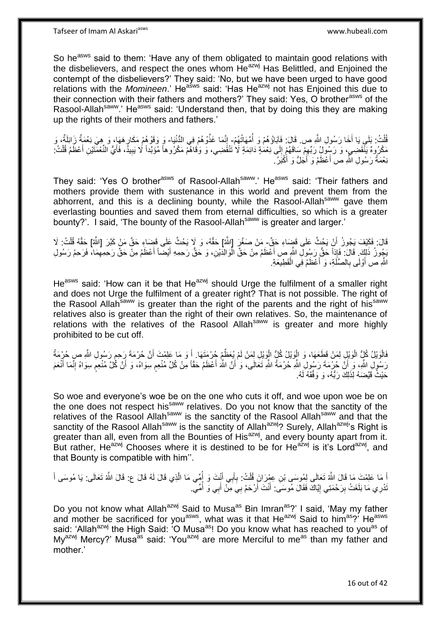So he<sup>asws</sup> said to them: 'Have any of them obligated to maintain good relations with the disbelievers, and respect the ones whom He<sup>azwj</sup> Has Belittled, and Enioined the contempt of the disbelievers?' They said: 'No, but we have been urged to have good relations with the *Momineen*.' He<sup>asws</sup> said: 'Has He<sup>azwj</sup> not has Enjoined this due to their connection with their fathers and mothers?' They said: Yes, O brother<sup>asws</sup> of the Rasool-Allah<sup>saww</sup>.' He<sup>asws</sup> said: 'Understand then, that by doing this they are making up the rights of their mothers and fathers.'

قُلْتُ: بَلَي يَا أَخَا رَسُولِ اللَّهِ ص. قَالَ: فَآبَاؤُهُمْ وَ أُمَّهَاتُهُمْ- إِنَّمَا غَذُّوْهُمْ فِي الدُّنْيَا- وَ وَقَوْ هُمْ مَكَارِهَهَا، وَ هِيَ نِعْمَةٌ زَائِلَةٌ، وَ ان<br>المستقبل َ ْ ِ ا<br>آ مَكْرُوهٌ يَنْقَضِي، وَ رَسُولُ رَبِّهِمْ سَاقَهُمْ إِلَى نِعْمَةٍ دَائِمَةٍ لَا تَنْقَضِي، وَ وَقَاهُمْ مَكْرُوهاً مُؤَيَّداً لَا يَبِيدُ، فَأَيُّ النَّعْمَتَيْنِ أَعْظَمُ قُلْتُ: ِ ِ ْ َ َ ِ نِعْمَةُ رَسُولِ اللَّهِ ص أَعْظَمُ وَ أَجَلُّ وَ أَكْبَرُ ۖ. َ َ

They said: 'Yes O brother<sup>asws</sup> of Rasool-Allah<sup>saww</sup>.' He<sup>asws</sup> said: 'Their fathers and mothers provide them with sustenance in this world and prevent them from the abhorrent, and this is a declining bounty, while the Rasool-Allah<sup>saww</sup> gave them everlasting bounties and saved them from eternal difficulties, so which is a greater bounty?'. I said, 'The bounty of the Rasool-Allahsaww is greater and larger.'

قَالَ: فَكَيْفَ يَجُوزُ أَنْ يَجُثَّ عَلَى قَضٍاءِ حَقٍّ- مَنْ صَغَّرٍ [اللَّهُ] حَقَّهُ، وَ لَا يَحُثَّ عَلَى قَضِاءِ حَقٍّ مَنْ كَبَّرَ [اللَّهُ] حَقَّهُ قُلْتُ: لَا ْ يَجُوزُ ذَلِكَ ۚ قَالَ: فَإِذاً حَقٌّ رَسُولُ اللَّهِ ص أَعْظَمُ مِنْ حَقِّ الْمَوالِذَيْنِ، وَ حَقُّ رَحِمِهِ أَيْضًا أَعْظَمُ مِنْ حَقٍّ رَحِمِهِمَا، فَرَحِمُ رَسُولِ َ ْ َ ِ َ َ اللَّهِ ص أَوْلَى بِالصِّلَةِ، وَ أَعْظَمُ فِي الْقَطِيعَةِ ْ َ ِ َ

He<sup>asws</sup> said: 'How can it be that He<sup>azwj</sup> should Urge the fulfilment of a smaller right and does not Urge the fulfilment of a greater right? That is not possible. The right of the Rasool Allah<sup>saww</sup> is greater than the right of the parents and the right of his<sup>saww</sup> relatives also is greater than the right of their own relatives. So, the maintenance of relations with the relatives of the Rasool Allah<sup>saww</sup> is greater and more highly prohibited to be cut off.

فَالْوَيْلُ كُلٍّ الْوَيْلِ لِمَنْ قَطَعَهَا، وَ الْوَيْلُ كُلٍّ الْوَيْلِ لِمَنْ لَمْ يُعَظِّمْ جُرْمَتَهَا. أَ وَ مَا عَلِمْتَ أَنَّ حُرْمَةَ رَحِمٍ رَسُولِ اللَّهِ صِ حُرْمَةُ ْ ْ ْ ْ ِ َ َ رَسُولِ اللَّهِ، وَ أَنَّ حُرْمَةَ رَسُولِ اللَّهِ حُرْمَةُ اللَّهِ تَعَالَى، وَ أَنَّ اللَّهَ أَعْظَمُ حَقَّاً مِنْ كُلِّ مُنْعِمٍ سِوَاهُ، وَ أَنَّ مُنْعِمٍ سِوَاهُ إِنَّمَا أَنْعَمَ َ ِ م<br>م َ م<br>م َ حَيْثُ قَيَّضَهُ لِذَٰلِكَ رَبُّهُ، وَ وَفَّقَهُ لَهُ.

So woe and everyone's woe be on the one who cuts it off, and woe upon woe be on the one does not respect his<sup>saww</sup> relatives. Do you not know that the sanctity of the relatives of the Rasool Allah<sup>saww</sup> is the sanctity of the Rasool Allah<sup>saww</sup> and that the sanctity of the Rasool Allah<sup>saww</sup> is the sanctity of Allah<sup>azwj</sup>? Surely, Allah<sup>azwj</sup>'s Right is greater than all, even from all the Bounties of His<sup>azwj</sup>, and every bounty apart from it. But rather, He<sup>azwj</sup> Chooses where it is destined to be for He<sup>azwj</sup> is it's Lord<sup>azwj</sup>, and that Bounty is compatible with him''.

ِّ مَا عَلِمْتَ مَا قَالَ اللَّهُ تَعَالَى لِمُوسَى بْنِ عِهْرَانَ قُلْتُ: بِأَبِي أَنْتَ وَ أُمِّي مَا الَّذِي قَالَ لَهُ قَالَ ع: قَالَ اللَّهُ تَعَالَى: يَا مُوسَى أَ ه ُ َ َ ِ ْ َ َ تْدْرِي مَا بَلَغَتْ بِرَحْمَتِي إِيَّاكَ فَقَالَ مُوسَى: أَنْتَ أَرْحَمُ بِيَ مِنْ أَبِي وَ أُمِّيَ. **ِ** َ اُ َ ِ ان<br>ا

Do you not know what Allah<sup>azwj</sup> Said to Musa<sup>as</sup> Bin Imran<sup>as</sup>?' I said, 'May my father and mother be sacrificed for you<sup>asws</sup>, what was it that He<sup>azwj</sup> Said to him<sup>as</sup>?<sup>'</sup> He<sup>asws</sup> said: 'Allah<sup>azwj</sup> the High Said: 'O Musa<sup>as</sup>! Do you know what has reached to you<sup>as</sup> of  $My^{azwj}$  Mercy?' Musa<sup>as</sup> said: 'You<sup>azwj</sup> are more Merciful to me<sup>as</sup> than my father and mother.'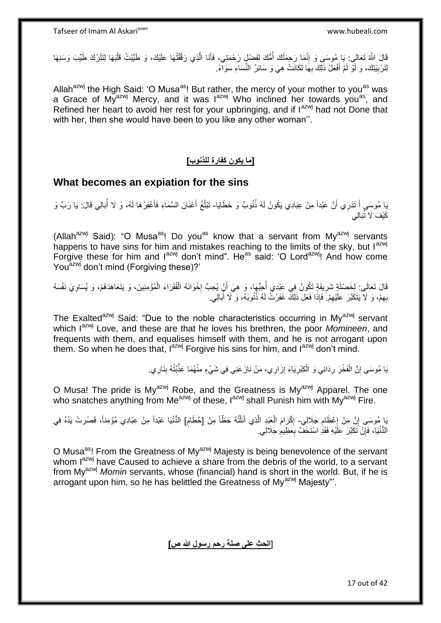قَالَ اللَّهُ تَعَالَى: ِيَا مُوسَى وَ إِنَّمَا رَحِمَتْكَ أُمُّكَ لِفَضْلٍ رَحْمَتِي، فَأَنَا الَّذِي رَقَّقْتُهَا عَلَيْكَ، وَ طََيِّبْتُ قَلْبَهَا لِتَتْرُكَ طَيِّبَ وَسَنِهَا ه َ ان<br>ا ِ ْ لِتَرْبِيَتِكَ، وَ لَوْ لَمْ أَفْعَلْ ذَلِكَ بِهَا لَكَانَتْ هِيَ وَ سَائِرُ النِّسَاءِ سَوَاءً. **∶** َ ِ

Allah $a^{2}$  the High Said: 'O Musa<sup>as</sup>! But rather, the mercy of your mother to you<sup>as</sup> was a Grace of My<sup>azwj</sup> Mercy, and it was lazwj Who inclined her towards you<sup>as</sup>, and Refined her heart to avoid her rest for your upbringing, and if  $I^{azwj}$  had not Done that with her, then she would have been to you like any other woman''.

#### **]ما يكون كفارة للذنوب[**

### **What becomes an expiation for the sins**

يَا مُوسَى أَ تَدْرِي أَنَّ عَبْداً مِنْ عِبَادِي يَكُونُ لَهُ ذُنُوبٌ وَ خَطَايَا- تَبْلُغُ أَعْنَانَ السَّمَاءِ فَأَغْفِرُهَا لَهُ، وَ لَا أُبَالِي قَالَ: يَا رَبِّ وَ<br>يَمْ مُوسَى َ ُ َ َ ُ كَيْفَ لَا تُبَالِّي

(Allah $^{azwj}$  Said): "O Musa<sup>as</sup>! Do you<sup>as</sup> know that a servant from My $^{azwj}$  servants happens to have sins for him and mistakes reaching to the limits of the sky, but l<sup>azwj</sup> Forgive these for him and  $I^{azwj}$  don't mind". He<sup>as</sup> said: 'O Lord<sup>azwj</sup>! And how come You<sup>azwj</sup> don't mind (Forgiving these)?'

قَالَ تَعَالَى: لِخَصْلَةٍ شَرِيفَةٍ تَكُونُ فِي عَبْدِي أَحِبُّهَا، وَ هِيَ أَنْ يُحِبَّ إِخْوَانَهُ الْفُقَرَاءَ الْمُؤْمِنِينَ، وَ يَتَعَاهَدَهُمْ، وَ يُسَاوِيَ نَفْسَهُ ِ ِ ْ ْ יֲ<br>י َ ا<br>أ بِهِمْ، وَ لَا يَتَكَبَّرَ عَلَّيْهِمْ. ۖ فَإِذَا فَعَلَ ذَلِكٌ غَفَرْتُ لَهُ ذُنُوبَهُ، وَ لَا أُبَالِي. ِ ِ ۔<br>ا

The Exalted<sup>azwj</sup> Said: "Due to the noble characteristics occurring in My<sup>azwj</sup> servant which I<sup>azwj</sup> Love, and these are that he loves his brethren, the poor *Momineen*, and frequents with them, and equalises himself with them, and he is not arrogant upon them. So when he does that,  $I^{azwj}$  Forgive his sins for him, and  $I^{azwj}$  don't mind.

> يَا مُوسَى إِنَّ الْفَخْرَ رِدَائِي وَ الْكِبْرِيَاءَ إِزَارِي، مَنْ نَازَعَنِي فِي شَيْءٍ مِنْهُمَا عَذَّبْتُهُ بِذَارِي. ِ ِ ْ ِ ْ ِ ِ  $\frac{1}{2}$

O Musa! The pride is My<sup>azwj</sup> Robe, and the Greatness is My<sup>azwj</sup> Apparel. The one who snatches anything from Me<sup>azwj</sup> of these,  $I^{axmj}$  shall Punish him with My<sup>azwj</sup> Fire.

يَا مُوسَى إِنَّ مِنْ إِعْظَامِ جَلَالِي- إِكْرَامَ الْعَبْدِ الَّذِي أَنَلْتُهُ حَظّاً مِنْ [حُطَامِ] الدُّنْيَا عَبْداً مِنْ عِبَادِي مُؤْمِناً، قَصُرَتْ يَدُهُ فِي ِ  $\frac{1}{2}$ **∶** ِ ֺ֦֦֦֦֧֦֧֦֦֧֦֧֦֧֦֧֦֧֦֧֦֧֦֧֦֧֦֧֝֟֟֓֕֓֕֓֕֓֕֓֓֡֓֓֡֟֓֡֟֓֡֟֓֡֟֓֡֟֓֡֟֩֓֓֞֓֞֓֞֓֞֟֓֡֟֩֓֓֟֓֡֟֩֓֟֓֟֩֓<br>֧ׅ֧֧֪ׅ֧֖֧֦֧֦֧֜֘֩֞֟֘֩֞֩֞ َ ه ْ ِ الدُّنْيَا، فَإِنْ نَكَبَّرَ عَلَيْهِ فَقَدِ اسْتَخَفَّ بِعَظِيم جَلَالِي. ِ ِ ِ

O Musa<sup>as</sup>! From the Greatness of My<sup>azwj</sup> Majesty is being benevolence of the servant whom  $I^{azmj}$  have Caused to achieve a share from the debris of the world, to a servant from My<sup>azwj</sup> Momin servants, whose (financial) hand is short in the world. But, if he is arrogant upon him, so he has belittled the Greatness of My<sup>azwj</sup> Majesty".

]**الحث على صلة رحم رسول هللا ص[**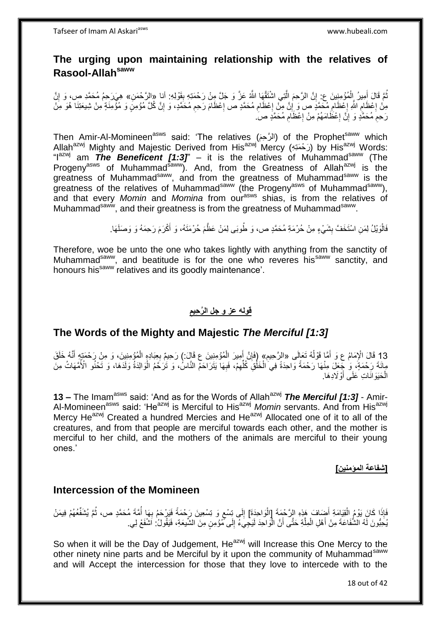# **The urging upon maintaining relationship with the relatives of Rasool-Allahsaww**

ثُمَّ قَالَ أَمِيرُ إِلْمُؤْمِنِينَ ع: إِنَّ الرَّحِمَ اِلَّتِي اشْتَقَّهَا اللَّهُ عَنَّ وَ جَلَّ مِنْ رَحْمَتِهِ بِقَوْلِهِ: أنا «الرَّحْمَنِ» هِيَرَحِمُ مُحَمَّدِ صِ، وَ إِنَّ ْ َ ُ ِ **!** ه ِ مِنْ إِعْظَامِ اللَّهِ إِعْظَامِ مُحَمَّدٍ ص وَ إِنَّ مِنْ إِعْظَامِ مُحَمَّدٍ ص إِعْظَامَ رَحِمِ مُحَمَّدٍ، وَ إِنَّ كُلَّ مُؤْمِنٍ وَ مُؤْمِنَةٍ مِنْ شِيعَتِنَا هُوَ مِنْ ِ ِ ا<br>ا ِ ِ ِ ِ ِ ِ رَحِمَ مُحَمَّدٍ وَ ۖ إِنَّ إِعْظَامَهُمْ مِنْ إِعْظَامِ مُحَمَّدٍ صَ ِ ِ ِ <u>֖֚֚֚֚֚֚֚֓</u> ِ

Then Amir-Al-Momineen<sup>asws</sup> said: 'The relatives (الرَّحِمَ) of the Prophet $^{\rm saww}$  which Allah<sup>azwj</sup> Mighty and Majestic Derived from His<sup>azwj</sup> Mercy (كَحْمَدِّهِ) by His<sup>azwj</sup> Words: "I<sup>azwj</sup> am *The Beneficent [1:3]*" – it is the relatives of Muhammad<sup>saww</sup> (The Progeny<sup>asws</sup> of Muhammad<sup>saww</sup>). And, from the Greatness of Allah<sup>azwj</sup> is the greatness of Muhammad<sup>saww</sup>, and from the greatness of Muhammad<sup>saww</sup> is the greatness of the relatives of Muhammad<sup>saww</sup> (the Progeny<sup>asws</sup> of Muhammad<sup>saww</sup>), and that every *Momin* and *Momina* from our<sup>asws</sup> shias, is from the relatives of Muhammad<sup>saww</sup>, and their greatness is from the greatness of Muhammad<sup>saww</sup>.

> فَالْوَيْلُ لِمَنِ اسْتَخَفَّ بِشَيْءٍ مِنْ حُرْمَةِ مُحَمَّدٍ ص، وَ طُوبَى لِمَنْ عَظَّمَ حُرْمَتَهُ، وَ أَكْرَمَ رَحِمَهُ وَ وَصَلَهَا. **∣** َ

Therefore, woe be unto the one who takes lightly with anything from the sanctity of Muhammad<sup>saww</sup>, and beatitude is for the one who reveres his<sup>saww</sup> sanctity, and honours his<sup>saww</sup> relatives and its goodly maintenance'.

#### **قوله عز و جل ال هر َحيم َ**

## **The Words of the Mighty and Majestic** *The Merciful [1:3]*

13 قَالَ الْإِمَامُ عِ وَ أَمَّا قَوْلُهُ تَعَالَى «الرَّحِيمِ» (فَإِنَّ أَمِيرَ الْمُؤْمِنِينَ عِ قَالَ:) رَحِيمٌ بِعِبَادِهِ الْمُؤْمِنِينَ، وَ مِنْ رَحْمَتِهِ أَنَّهُ خَلَقَ<br>يَتَقِيمُ مِنْ مَا أَمَّا مَا أَمَّا مَا أَم ُ َ ْ َ ِ َ ْ ِ ْ مِائَةَ رَحْمَةُ، وَ جَعَلَ مِنْهَا رَحْمَةً وَاحِدَةً فِي الْخَلْقِ كُلِّهِمْ، فَبِهَا يَتَرَاحَمُ النَّاسُ، وَ تَرَحَمُ الْوَالِدَةُ وَلَدَهَا، وَ تَحْنُو الْأُمَّهَاتُ مِنَّ ِ ِ ِّ ْ ْ الْحَيَوَانَاتِ عَلَى أَوْلَادِهَا. ْ

**13 –** The Imam<sup>asws</sup> said: 'And as for the Words of Allah<sup>azwj</sup> The Merciful [1:3] - Amir-Al-Momineen<sup>asws</sup> said: 'He<sup>azwj</sup> is Merciful to His<sup>azwj</sup> *Momin* servants. And from His<sup>azwj</sup> Mercy He<sup>azwj</sup> Created a hundred Mercies and He<sup>azwj</sup> Allocated one of it to all of the creatures, and from that people are merciful towards each other, and the mother is merciful to her child, and the mothers of the animals are merciful to their young ones.'

#### **]شفاعة المؤمنين[**

### **Intercession of the Momineen**

ِ فَإِذَا كَانَ يَوْمُ الْقِيَامَةِ أَضِـَافَ هَذِهِ الرَّحْمَةَ [الْوَاحِدَةَ] إِلَى تِسْع وَ تِسْعِينَ رَحْمَةً فَيَرْحَمُ بِهَا أُمَّةَ مُحَمَّدٍ ص، ثُمَّ يُشَفِّعُهُمْ فِيمَنْ ا<br>ا ِ ٍ ∣∣<br>∶ ْ َ ْ ُ بُحِبُّونَ لَهُ الشَّفَاعَةَ مِنْ أَهْلِ الْمِلَّةِ حَتَّى أَنَّ الْوَاحِدَ لَيَجِيءُ إِلَى مُّؤْمِنٍ مِنَ الشَّيعَةِ، فَيَقُولُ: اَشْفَعْ لِي ْ َ ه ْ َ ∣∣<br>∶

So when it will be the Day of Judgement, He<sup>azwj</sup> will Increase this One Mercy to the other ninety nine parts and be Merciful by it upon the community of Muhammad<sup>saww</sup> and will Accept the intercession for those that they love to intercede with to the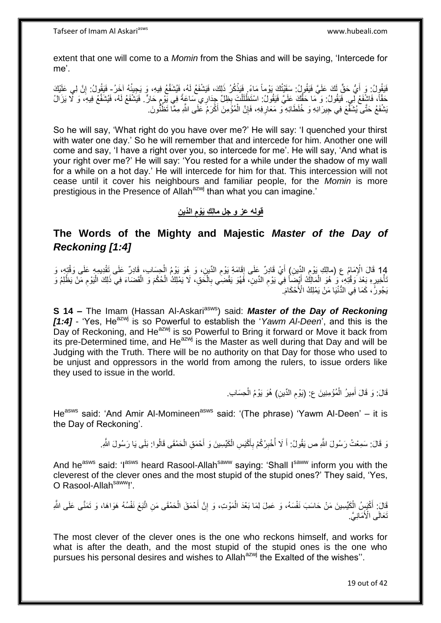extent that one will come to a *Momin* from the Shias and will be saying, 'Intercede for me'.

فَيَقُولُ: وَ أَيُّ حَقٍّ لَكَ عَلَيَّ فَيَقُولُ: سَقَيْتُكَ يَوْماً مَاءً. فَيَذْكُرُ ذَلِكَ، فَيَشْفَعُ لَهُ، فَيُشَفَّعُ فِيهِ، وَ يَجِيئُهُ آخَرُ- فَيَقُولُ: إِنَّ لِي عَلَيْكَ **ٔ** َ ِ حَقَّاً، فَاشْفَعْ لِّي فَيَقُولُ: وَ مَا حَقُّكَ عَلَيَّ فَيَقُولُ: اسْتَظْلَلْتَ بِظِلِّ جِدَارِ ي سَاعَةً فِي يَوْمٍ حَالٍّ. فَيَشْفَعُ لَهُ، فَيُشَفَّعُ فِيهِ، وَ لَّا يَزَالُ<br>دَيَا مَا تَفْسَفَعُ الْجَدَاءِ وَ مَا حَ ; ِ ْ يَشْفَعُ حَتَّى يُشَفَّعَ فِي حِيرَانِهِ وَ خُلَطَائِهِ ۖ وَ مَعَارِفِهِ، فَإِنَّ الْمُؤْمِنَ أَكْرَمُ عَلَى اللَّهِ مِمَّا تَظُنُّونَ ِ َ ْ ِ ِ

So he will say, 'What right do you have over me?' He will say: 'I quenched your thirst with water one day.' So he will remember that and intercede for him. Another one will come and say, 'I have a right over you, so intercede for me'. He will say, 'And what is your right over me?' He will say: 'You rested for a while under the shadow of my wall for a while on a hot day.' He will intercede for him for that. This intercession will not cease until it cover his neighbours and familiar people, for the *Momin* is more prestigious in the Presence of Allah<sup>azwj</sup> than what you can imagine.'

#### **َن قوله عز و جل الِّدي مالَ َك َيْوم َ**

# **The Words of the Mighty and Majestic** *Master of the Day of Reckoning [1:4]*

14 قَالَ الْإِمَامُ ع (مالِكِ بَوْمِ الدِّينِ) أَيْ قَادِرٌ عَلَى إِقَامَةٍ يَوْمِ الدِّينِ، وَ هُوَ يَوْمُ الْحِسَابِ، قَادِرٌ عَلَى تَقْدِيمِهِ عَلَى وَقْتِهِ، وَ<br>14 قَالَ الْإِمَامُ ع (البِّدِينُ أَيْرَنَا) وَيَمْسَلُ ْ ∣∣<br>;; َ ِ َنَاْخِيرٍ هِ بَعْدَ وَقْتِهِ، وَ ُ هُوَ الْمَالِكُ أَيْضَاً فِي يَوْمِ الدِّينِ، فَهُوَ يَقْضَىٰي بِالْحَقِ، لَا يَمْلِكُ الْحُكْمَ وَ الْقَضَاءَ فِي ذَلِكَ الْيَوْمِ مَنْ يَظْلِمُ وَ ْ ِ ِ َ ْ ِ ا<br>المستقبل ِ ْ ْ ْ يَجُورُ ۖ، كَمَا فِي الدُّنْيَا مَنْ يَمْلِكُ الْأَحْكَامَ ۚ

**S 14 –** The Imam (Hassan Al-Askari<sup>asws</sup>) said: **Master of the Day of Reckoning** *[1:4]* - 'Yes, He<sup>azwj</sup> is so Powerful to establish the '*Yawm Al-Deen*', and this is the Day of Reckoning, and He<sup>azwj</sup> is so Powerful to Bring it forward or Move it back from its pre-Determined time, and He<sup>azwj</sup> is the Master as well during that Day and will be Judging with the Truth. There will be no authority on that Day for those who used to be unjust and oppressors in the world from among the rulers, to issue orders like they used to issue in the world.

> قَالَ: وَ قَالَ أَمِيرُ الْمُؤْمِنِينَ عِ: (يَوْمِ الدِّينِ) هُوَ يَوْمُ الْحِسَابِ. ْ ِ ْ َ

He<sup>asws</sup> said: 'And Amir Al-Momineen<sup>asws</sup> said: '(The phrase) 'Yawm Al-Deen' – it is the Day of Reckoning'.

> وَ قَالَ: سَمِعْتُ رَسُولَ اللَّهِ ص يَقُولُ: أَ لَا أُخْبِرُكُمْ بِأَكْيَسِ الْكَيِّسِينَ وَ أَحْمَقِ الْحَمْقَى قَالُوا: بَلَى يَا رَسُولَ اللَّهِ. **!** ا<br>أ َ َ ِ ْ َ ْ

And he<sup>asws</sup> said: 'I<sup>asws</sup> heard Rasool-Allah<sup>saww</sup> saying: 'Shall I<sup>saww</sup> inform you with the cleverest of the clever ones and the most stupid of the stupid ones?' They said, 'Yes, O Rasool-Allah<sup>saww</sup>!'.

ِن اته َح ْمَقى َم ْ ْح َم َق ال َ هن أ ِ َمْو ِت، َو إ ْ َس ُه، َو َع ِم َل لِ َما َب ْعَد ال َكِّي ِسي َن َم ْن َحا َس َب َنفْ ْ ْكَي ُس ال َ َقا َل: أ ُس ُه َهَوا َها، َو َت َمنهى َعلَى هَّللاِ َب َع َنفْ َماِن هي. ْْلَ َت َعالَى ا

The most clever of the clever ones is the one who reckons himself, and works for what is after the death, and the most stupid of the stupid ones is the one who pursues his personal desires and wishes to Allah<sup>azwj</sup> the Exalted of the wishes".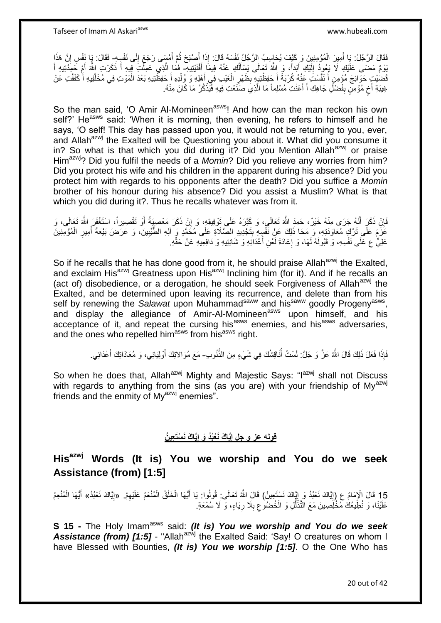فَقَالَ الرَّجُلُ: يَا أَمِيرَ الْمُؤْمِنِينَ وَ كَيْفَ يُحَاسِبُ الرَّجُلُ نَفْسَهُ قَالَ: إِذَا أَصْبَحَ ثُمَّ أَمْسَى رَجَعَ إِلَى نَفْسٍهِ- فَقَالَ: يَا نَفْسِ إِنَّ هَذَا ۖ ْ َ ِ َ ُ َ ْ ِ بَوْمٌ مَضَى عَلَيْكِ لَا يَغُودُ إِلَيْكِ أَبَداً، وَ اللَّهُ تَعَالَى يَسْأَلُكِ عَنْهُ فِيمَا أَفْنَيْتِيهِ ۖ فَمَا الَّذِي عَمِلْتِ قَبِيهِ أَ ذَكَرْتِ إِلَّهُ أَمْ حَمَدْتِيهِ أَ َ اُ َ َ لَ ِ ه َ َ َ ْ قَصَيْتٍ حَوَائِجَ مُؤْمِنٍ أَ نَفَسْتَ عَنْهُ كُرْبَةً أَ حَفِظْتِيهِ بِظَهْرِ الْغَيْبِ فِي أَهْلِهِ وَ وُلْدِهِ أَ حَفظَّتِيهِ بَعْدَ الْمَوْتِ فِي مُخَلَّفِيهِ أَ كَفَفْتِ عَنْ ْ َ ْ َ ْ ِ ِ َ َ َ ه غِيبَةِ أَخٍ مُؤْمِنٍ بِفَضْلٍ جَاهِكِ أَ أَعَنْتِ مُسْلِماً مَا الَّذِيَ صَنَعْتِ فِيهِ فَيِّذْكُرُ مَا كَانَ مِنْهُ. ٍ ْ ه اً<br>ا َ **ِ** 

So the man said, 'O Amir Al-Momineen<sup>asws</sup>! And how can the man reckon his own self?' He<sup>asws</sup> said: 'When it is morning, then evening, he refers to himself and he says, 'O self! This day has passed upon you, it would not be returning to you, ever, and Allah<sup>azwj</sup> the Exalted will be Questioning you about it. What did you consume it in? So what is that which you did during it? Did you Mention Allah<sup>azwj</sup> or praise Him<sup>azwj</sup>? Did you fulfil the needs of a *Momin*? Did you relieve any worries from him? Did you protect his wife and his children in the apparent during his absence? Did you protect him with regards to his opponents after the death? Did you suffice a *Momin* brother of his honour during his absence? Did you assist a Muslim? What is that which you did during it?. Thus he recalls whatever was from it.

فَإِنْ ذَكَرٍ أَنَّهُ جَرَى مِنْهُ خَيْرٌ، حَمِدَ اللَّهَ تَعَالَىٍ، وَ كَثِّرَهُ عَلَى تَوْفِيقِهِ، وَ إِنْ ذَكَرَ مَعْصِيَةً أَوْ تَقْصِيراً، اسْتَغْفَرَ اللَّهَ تَعَالَى، وَ ِ َ ِ َ عَْزَمَ عَلَى تَرْكٍ مُعَاوَدَتِهِ، وَ مَحَا ذَلِكَ عَنْ نَفْسِهِ بِتَجْدِيدِ الصَّلَاةِ عَلَى مُحَمَّدٍ وَ آلِهِ الطَّيِّبِينَ، وَ عَرَضَ بَيْعَةَ أَمِيرِ الْمُؤْمِنِينَ ِ **∣** ْ ِ َ عَلِيٍّ ع عَلَى نَفْسِهِ، وَ قَبُولَهُ لَهَا، وَ إِعَادَةَ لَعْنِ أَعْدَائِهِ وَ شَانِئِيهِ وَ دَافِعِيهِ عَنْ حَقِّهِ. َ ِ

So if he recalls that he has done good from it, he should praise Allah<sup>azwj</sup> the Exalted, and exclaim His<sup>azwj</sup> Greatness upon His<sup>azwj</sup> Inclining him (for it). And if he recalls an (act of) disobedience, or a derogation, he should seek Forgiveness of Allah<sup>azwj</sup> the Exalted, and be determined upon leaving its recurrence, and delete than from his self by renewing the Salawat upon Muhammad<sup>saww</sup> and his<sup>saww</sup> goodly Progeny<sup>asws</sup>, and display the allegiance of Amir-Al-Momineen<sup>asws</sup> upon himself, and his acceptance of it, and repeat the cursing his<sup>asws</sup> enemies, and his<sup>asws</sup> adversaries, and the ones who repelled him<sup>asws</sup> from his<sup>asws</sup> right.

> فَإِذَا فَعَلَ ذَلِكَ قَالَ اللَّهُ عَزَّ وَ جَلَّ: لَسْتُ أُنَاقِشُكَ فِي شَيْءٍ مِنَ الذُّنُوبِ- مَعَ مُوَالاتِكَ أَوْلِيَائِي، وَ مُعَادَاتِكَ أَعْدَائِي. ُ َ َ

So when he does that, Allah<sup>azwj</sup> Mighty and Majestic Says: "I<sup>azwj</sup> shall not Discuss with regards to anything from the sins (as you are) with your friendship of My<sup>azwj</sup> friends and the enmity of My<sup>azwj</sup> enemies".

#### **َ قوله عز و جل هيا َك َن ْسَتَعي ُن هيا َك َنْعُبُد َو إ إ َ**

**Hisazwj Words (It is) You we worship and You do we seek Assistance (from) [1:5]**

15 قَالَ الْإِمَامُ عِ (إِيَّاكَ نَعْبُدُ وَ إِيَّاكَ نَسْتَعِينُ) قَالَ اللَّهُ تَعَالَى ِ قُولُوا : يَا أَيُّهَا الْخَلْقُ الْمُنْعَمُ عَلَيْهِمْ. «إِيَّاكَ نَعْبُدُ» أَيُّهَا الْمُنْعِمُ ْ َ ِ ْ ْ َ ֧֦֧֦֧֦֧֦֧ׅ֧֦֧ׅ֦֧֦֧ׅ֦֧ׅ֦֧֦֧֦֧֦֧ׅ֦֧֚֬֜֓֓֜֓֡֜֜֓֡֜֓֡ ֖֧֚֚֚֚֚֚֚֚֚֚֚֚֚֓֡֡֓֡֘<u>֚֓</u> ِ عَلَيْنَا، وَ نُطِّيعُكَ مُخْلَِصِينَ مَعَ التَّنَّلُّلِ وَ الْخُضُوعِ بِلَا رِيَاءٍ، وَ لَا سُمْعَةٍ. ُّ ِ **∶** 

**S 15 -** The Holy Imam<sup>asws</sup> said: *(It is) You we worship and You do we seek* Assistance (from) [1:5] - "Allah<sup>azwj</sup> the Exalted Said: 'Say! O creatures on whom I have Blessed with Bounties, *(It is) You we worship [1:5]*. O the One Who has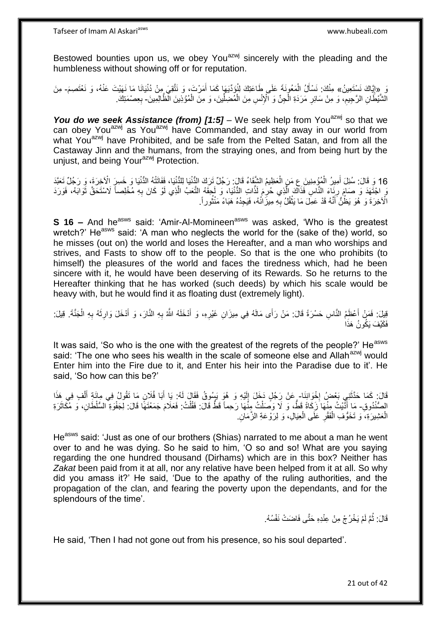Bestowed bounties upon us, we obey You<sup>azwj</sup> sincerely with the pleading and the humbleness without showing off or for reputation.

وَ «إِيَّاكَ نَسْتَعِينُ» مِنْكَ: نَسْأَلُ الْمَعُونَـةَ عَلَى طَاعَتِكَ لِنُؤَدِّيهَا كَمَا أَمَرْتَ، وَ نَثَّقِيَ مِنْ دُنْيَانَا مَا نَهَيْتَ عَنْهُ، وَ نَعْتَصِمَ- مِنَ ِ َ ْ َ الْشَّيْطَانِ الرَّجِيمِ، وَ مِنْ سَائِرِ مَرَدَةِ الْْجِنِّ وَ الْإِنْسِ مِنَ الْمُضِلِّينَ، وَ مِنَ الْمُؤْذِينَ الْظَّالِمِينَ- بِعِصْمَتِكَ. ْ ِّ ْ ْ ِ ِ ِ

*You do we seek Assistance (from)* [1:5] – We seek help from You<sup>azwj</sup> so that we can obey You<sup>azwj</sup> as You<sup>azwj</sup> have Commanded, and stay away in our world from what You<sup>azwj</sup> have Prohibited, and be safe from the Pelted Satan, and from all the Castaway Jinn and the humans, from the straying ones, and from being hurt by the uniust, and being Your<sup>azwj</sup> Protection.

16 وَ قَالَ: سُئِلَ أَمِيرُ الْمُؤْمِنِينَ عِ مَنٍ الْعَظِيمُ الشِّقَاءُ قَالَ: رَجُلٌ تَرَكَ الدُّنْيَا لِلدُّنْيَا، فَفَاتَتْهُ الدُّنْيَا وَ خَسِرَ الْآخِرَةَ، وَ رَجُلٌ تَعَبَّدَ ْ ْ َ َرِ اجْتَهَدَ وَ صَامَ رِئَاءَ النَّاسِ فَذَاكَ الَّذِي حُرِمَ لَذَاتِ الدُّنْيَا، وَ لَحِقَهُ التَّعَبُ الَّذِي لَوْ كَانَ بِهِ مُخْلِصاً لَاسْتَحَقَّ ثَوَابَهُ، فَوَرَدَ ه ِ َ ِ ه الْآخِرَةَ وَ هُوَ يَظُنُّ أَنَّهُ قَدْ عَمِلَ مَا يَثْقُلُ بِهِ مِيزَ ٰلُهُ، فَيَحِدُهُ هَبَاءً مَنْثُور اً. ا في المالي ِ ْ َ

**S 16 –** And he<sup>asws</sup> said: 'Amir-Al-Momineen<sup>asws</sup> was asked, 'Who is the greatest wretch?' Heasws said: 'A man who neglects the world for the (sake of the) world, so he misses (out on) the world and loses the Hereafter, and a man who worships and strives, and Fasts to show off to the people. So that is the one who prohibits (to himself) the pleasures of the world and faces the tiredness which, had he been sincere with it, he would have been deserving of its Rewards. So he returns to the Hereafter thinking that he has worked (such deeds) by which his scale would be heavy with, but he would find it as floating dust (extremely light).

قِيلَ: فَمَنْ أَعْظَمُ النَّاسِ حَسْرَةً قَالَ: مَنْ رَأَى مَالَهُ فِي مِيزَانِ غَيْرِهِ، وَ أَدْخَلَهُ اللَّهُ بِهِ النَّارَ، وَ أَدْخَلَ وَارِثَهُ بِهِ الْجَنَّةَ. قِيلَ: **∶** َ **∶** َ اً<br>ا ِ َ ْ ِ فَكَيْفَ يَكُونُ هَذَا

It was said, 'So who is the one with the greatest of the regrets of the people?' He<sup>asws</sup> said: 'The one who sees his wealth in the scale of someone else and Allah<sup>azwj</sup> would Enter him into the Fire due to it, and Enter his heir into the Paradise due to it'. He said, 'So how can this be?'

قَالَ: كَمَا حَدَّثَنِي بَعْضٍۢ اِخْوَانِنَا- عَنْ رَجُلٍ دَخَلَ إِلَيْهِ وَ هُوَ بَسُوقُ فَقَالَ لَهُ: يَا أَبَا فُلَانٍ مَا تَقُولُ فِي مِائَةٍ أَلْفٍ فِي هَذَا ·<br>∶ َ لَ ا ْ َ َ الصُّنْدُوقِ- مَا أَثَّيْتُ مِنْهَا زَكَاةً قَطَّ، وَ لَا وَصَلْتُ مِنْهَا رَحِماً قَطَّ قَالَ: فَقُلْتُ: فَعَلَامَ جَمَعْتَهَا قَالَ: لِجَفْوَةِ السُّلْطَانِ، وَ مُكَاثَرَةِ َ ْ ْ الْعَشِيرَةِ، وَ تَخَوُّفِ الْفَقْرِ عَلَى الْعِيَالِ، وَ لِرَوْعَةِ الزَّمَانِ. ْ ْ ِ ْ

He<sup>asws</sup> said: 'Just as one of our brothers (Shias) narrated to me about a man he went over to and he was dying. So he said to him, 'O so and so! What are you saying regarding the one hundred thousand (Dirhams) which are in this box? Neither has *Zakat* been paid from it at all, nor any relative have been helped from it at all. So why did you amass it?' He said, 'Due to the apathy of the ruling authorities, and the propagation of the clan, and fearing the poverty upon the dependants, and for the splendours of the time'.

> قَالَ: ثُمَّ لَمْ يَخْرُجْ مِنْ عِنْدِهِ حَتَّى فَاضَتْ نَفْسُهُ. ُ

He said, 'Then I had not gone out from his presence, so his soul departed'.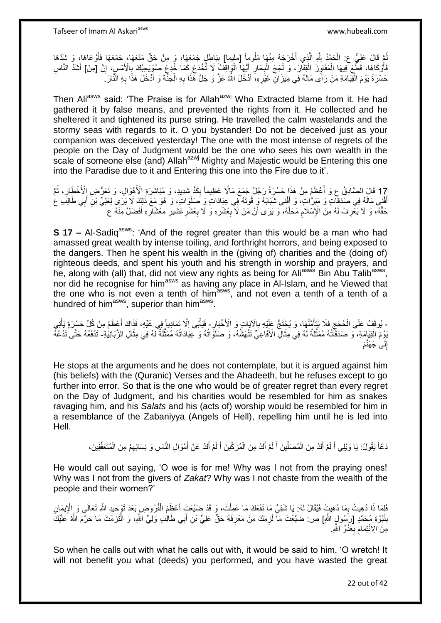نُمَّ قَالَ عَلِيٌّ ع: الْحَمْدُ شِّهِ الَّذِي أَخْرَجَهُ مِنْهَا مَلُومِاً [مليما] بِبَاطِلٍ جَمَعَهَا، وَ مِنْ حَقٍّ مَنَعَهَا، جَمَعَهَا فَأَوْعَاهَا، وَ شَدَّهَا َ ه ْ ُ ِ<br>أ فَأْوْكَاهَا، قَطِّعَ فِيهَا الْمَفَاوِزَ الْقِفَارَ، وَ لُجَجَ الْبِحَارِ ۖ أَيُّهَا الْوَاقِفُ لَا تُخْدَعُ كَمَا خُدِعِ صُوَيْحِبُكَ بِالْأَمْسِ، إِنَّ [مِنْ] أَشَدِّ النَّاسِ ْ َ **∶** ِ ْ ا<br>ا ْ ِ ْ :<br>ا ِ ِ َ حَسْرَةً يَوْمَ الْقِيَامَةِ مَنْ رَأَى مَالَهُ فِي مِيزَانِ غَيْرِهِ، أَدْخَلَ اللَّهُ عَزَّ وَ جَلَّ هَذَا بِهِ الْجَنَّةَ وَ أَدْخَلَ هَذَا بِهِ النَّارَ ֪֪֪֪֦֦֪֪֪֪֪֦֪֪֪֪֦֪֪֦֪֪֪֦֞֟֟֓֟֓֟֟֟֟֟֟֓֟֓֟֓֡֟֟֟֓֟֓֡֟֟֓֟֡֟֟֓֟֡֟֟֓֞֟֞֟֓֞֟֞֟֟֟֝֟֟֝֞֟֟֟֝ ِ َ ْ ِ َ **∶** 

Then Ali<sup>asws</sup> said: 'The Praise is for Allah<sup>azwj</sup> Who Extracted blame from it. He had gathered it by false means, and prevented the rights from it. He collected and he sheltered it and tightened its purse string. He travelled the calm wastelands and the stormy seas with regards to it. O you bystander! Do not be deceived just as your companion was deceived yesterday! The one with the most intense of regrets of the people on the Day of Judgment would be the one who sees his own wealth in the scale of someone else (and) Allah<sup>azwj</sup> Mighty and Majestic would be Entering this one into the Paradise due to it and Entering this one into the Fire due to it'.

17 قَالَ الصَّادِقُ عِ وَ أَعْظَمُ مِنْ هَذَا حَسْرَةً رَجُلٌ جَمَعَ مَالًا عَظِيماً بِكَدٍّ شَدِيدٍ، وَ مُبَاشَرَةِ الْأَهْوَالِ، وَ تَعَرُّضِ الْأَخْطَارِ، ثُمَّ ر<br>: ِ اً<br>ا أَفْنَى مَالَهُ فِي صَدَقَاتٍ وَ مَبَرًّاتٍ، وَ أَفْنَى شَبَابَهُ وَ قُوتَهُ فِي عِبَادَاتٍ وَ صَلَوَاتٍ، وَ هُوَ مَعَ ذَلِكَ لَا يَرَى لِعَلِيٍّ بْنِ أَبِي طَالِبَ ع َ َ حَقَّهُ، وَ لَا يَغْرِفُ لَهُ مِنَ الْإِسْلَامِ مَحَلَّهُ، وَ يَرَى أَنَّ مَنْ لَا بِعُشْرِهِ وَ لَا بِعُشْرِعَشِيرِ مِعْشَارِهِ أَفْضَلُ مِنْهُ ع **∶** ه ِ َ ِ ِ **∶ ∶ ∶ ∶** َ

**S 17 –** Al-Sadig<sup>asws</sup>: 'And of the regret greater than this would be a man who had amassed great wealth by intense toiling, and forthright horrors, and being exposed to the dangers. Then he spent his wealth in the (giving of) charities and the (doing of) righteous deeds, and spent his youth and his strength in worship and prayers, and he, along with (all) that, did not view any rights as being for Ali<sup>asws</sup> Bin Abu Talib<sup>asws</sup>, nor did he recognise for him<sup>asws</sup> as having any place in Al-Islam, and he Viewed that the one who is not even a tenth of him<sup>asws</sup>, and not even a tenth of a tenth of a hundred of him<sup>asws</sup>, superior than him<sup>asws</sup>.

- يُوقَفُ عَلَى الْحُجَج فَلَا بَيَّأَمَّلُهَا، وَ يُحْتَجُّ عَلِيْهِ بِالْآيَاتِ وَ الْأَخْبَارِ - فَيَأْبَى إِلَّا تَمَادِياً فِي غَيِّهِ، فَذَاكَ أَعْظَمُ مِنْ كُلِّ حَسْرَةٍ يَأْتِي ِ ِ ا<br>ا َ ِ ْ ِ ْ ة<br>أا َ َبْوِمَ الْقِيَامَةِ، وَ صَدَقَاتُهُ مُمَثَّلَةٌ لَهُ فِي مِثَالِ الْأَفَاعِيِّ تَنْهَشُهُ، وَ صَلَّوَاتُهُ وَ عِبَادَاتُهُ مُمَثَّلَةٌ لَّهُ فِي مِثَالِ الزَّبَانِيَٰةِ- تَدْفَعُهُ حَتَّى تَدُعَّهُ َ لَ ه ْ َ لَ َم لَى جَهَنَّ ِ إ

He stops at the arguments and he does not contemplate, but it is argued against him (his beliefs) with the (Quranic) Verses and the Ahadeeth, but he refuses except to go further into error. So that is the one who would be of greater regret than every regret on the Day of Judgment, and his charities would be resembled for him as snakes ravaging him, and his *Salats* and his (acts of) worship would be resembled for him in a resemblance of the Zabaniyya (Angels of Hell), repelling him until he is led into Hell.

> دَعّاً يَقُولُ: يَا وَيْلِي أَ لَمْ أَكُ مِنَ الْمُصَلِّينَ أَ لَمْ أَكُ مِنَ الْمُزَكِّينَ أَ لَمْ أَكُ عَنْ أَمْوَالِ النَّاسِ وَ نِسَائِهِمْ مِنَ الْمُتَعَفِّينَ، َ َ لَ َ ْ َ لَ َ ِّ ْ َ لَ َ ْ ِ

He would call out saying, 'O woe is for me! Why was I not from the praying ones! Why was I not from the givers of *Zakat*? Why was I not chaste from the wealth of the people and their women?'

فَلِمَا ذَا دُهِيتُ بِمَا دُهِيتُ فَيُقَالُ لَمُ: يَا شَقِيُّ مَا نَفَعَكَ مَا عَمِلْتَ، وَ قَدْ ضَيَّعْتَ أَعْظَمَ الْفُرُوضِ بَعْدَ تَوْجِيدِ اللَّهِ تَعَالَى وَ الْإِيمَانِ<br>وَأَوْجَدَتُ بِمَا دُهِيتُ فَيُقَالُ لَمُ: يَ ْ َ ْ ِ بِنُبُوَّةِ مُحَمَّدٍ [رَسُولٍ اللَّهِ] ص: ضَيَّعْتَ مَآ لَزِمَكَ مِنْ مَعْرِفَةِ حَقٍّ عَلِيٍّ بْنِ أَبِي طَالِبٍ وَلِيٍّ اللَّهِ، وَ الْتَزَمْتَ مَا حَرَّمَ اللَّهُ كَلَيْكَ ِ ْ َ **∶ ٍ** ِ مَِنَ الِائْتِمَامَ بِعَدُوِّ اللَّهِ. **∶** 

So when he calls out with what he calls out with, it would be said to him, 'O wretch! It will not benefit you what (deeds) you performed, and you have wasted the great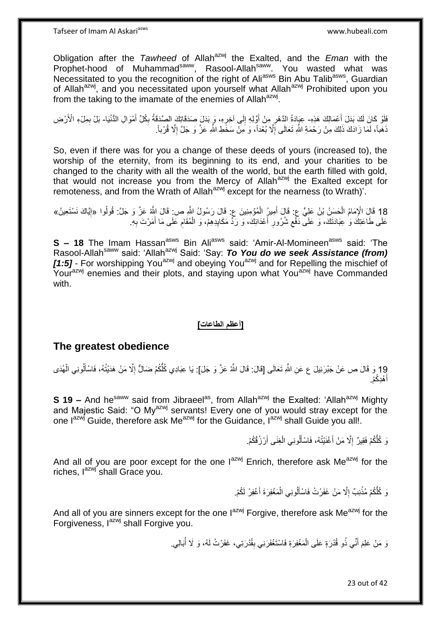Obligation after the *Tawheed* of Allah<sup>azwj</sup> the Exalted, and the *Eman* with the Prophet-hood of Muhammad<sup>saww</sup>, Rasool-Allah<sup>saww</sup>. You wasted what was Necessitated to you the recognition of the right of Ali<sup>asws</sup> Bin Abu Talib<sup>asws</sup>, Guardian of Allah<sup>azwj</sup>, and you necessitated upon yourself what Allah<sup>azwj</sup> Prohibited upon you from the taking to the imamate of the enemies of Allah<sup>azwj</sup>.

فَلَوْ كَانَ لَكَ بَدَلَ أَعْمَالِكَ هَذِهِ- عِيَادَةُ الذَّهْرِ مِنْ أَوَّلِهِ إِلَى آخِرِهِ، وَ بَدَلَ صَدَقَاتِكَ الصَّدَقَةُ بِكُلِّ أَمْوَالِ الدُّنْيَا- بَلْ بِمِلْءِ الْأَرْضِ َ ِ ِ  $\frac{1}{2}$ َ ِ ذَهباً، لَمَا زَادَكَ ذَلِكَ مِنْ رَحْمَةِ اللَّهِ تَعَالَى إِلَّا بُعْداً، وَ مِنْ سَخَطِ اللَّهِ عَزَّ وَ جَلَّ إِلَّا قُرْباً. ا<br>ا ِ

So, even if there was for you a change of these deeds of yours (increased to), the worship of the eternity, from its beginning to its end, and your charities to be changed to the charity with all the wealth of the world, but the earth filled with gold, that would not increase you from the Mercy of Allah<sup>azwj</sup> the Exalted except for remoteness, and from the Wrath of Allah<sup>azwj</sup> except for the nearness (to Wrath)<sup>'</sup>.

18 قَالَ الْإِمَامُ الْحَسَنُ بْنُ عَلِيٍّ عِ: قَالَ أَمِيرُ الْمُؤْمِنِينَ عِ: قَالَ رَسُولُ اللَّهِ ص: قَالَ اللَّهُ عَزَّ وَ جَلَّ: قُولُوا «إِيَّاكَ نَسْتَعِينُ»<br>ذَا يَجْبَ بِهِ بَيْنِ الْمَسَوِّلِ الْمَسَوِّلِ الْمُؤ ِ ْ َ ْ  $\zeta$ عَلَى طَاعَتِكَ وَ عِبَادَتَكَ، وَ عَلَى دَفْعِ شُرُورِ أَعْدَائِكَ، وَ رَدِّ مَكَايِدِهِمْ، وَ الْمُقَامِ عَلَى مَا أَمَرْتَ بِهِ. ِ ْ ِ َ ِ َ ِ

**S – 18** The Imam Hassan<sup>asws</sup> Bin Ali<sup>asws</sup> said: 'Amir-Al-Momineen<sup>asws</sup> said: 'The Rasool-Allah<sup>saww</sup> said: 'Allah<sup>azwj</sup> Said: 'Say: To You do we seek Assistance (from) [1:5] - For worshipping You<sup>azwj</sup> and obeying You<sup>azwj</sup> and for Repelling the mischief of Yourazwj enemies and their plots, and staying upon what You<sup>azwj</sup> have Commanded with.

### **]أعظم الطاعات[**

### **The greatest obedience**

19 وَ قَالَ ص عَنْ جَبْرَئِيلَ ع عَنِ اللَّهِ تَعَالَى [قَالَ: قَالَ اللَّهُ عَزَّ وَ جَلَ]: يَا عِبَادِي كُلَّكُمْ ضَالٍّ إِلَّا مَنْ هَدَيْتُهُ، فَاسْأَلُونِي الْهُدَى ْ َ ا<br>ا هْدِكُمْ. َ أ

**S 19 –** And he<sup>saww</sup> said from Jibraeel<sup>as</sup>, from Allah<sup>azwj</sup> the Exalted: 'Allah<sup>azwj</sup> Mighty and Majestic Said: "O My<sup>azwj</sup> servants! Every one of you would stray except for the one I<sup>azwj</sup> Guide, therefore ask Me<sup>azwj</sup> for the Guidance, I<sup>azwj</sup> shall Guide you all!.

> نَ كُلُّكُمْ فَقِيرٌ ۚ إِلَّا مَنْ أَغْنَيْتُهُ، فَاسْأَلُونِي الْغِنَى أَرْزُقْكُمْ. اُ ْ َ َ ِ

And all of you are poor except for the one l<sup>azwj</sup> Enrich, therefore ask Me<sup>azwj</sup> for the riches. I<sup>azwj</sup> shall Grace you.

> نَ كُلَّكُمْ مُذْنِبٌ إِلَّا مَنْ غَفَرْتُ فَاسْأَلُونِي الْمَغْفِرَةَ أَغْفِرْ لَكُمْ. ِ **ٔ** َ ْ َ

And all of you are sinners except for the one  $I^{azwj}$  Forgive, therefore ask Me $a^{azwj}$  for the Forgiveness, I<sup>azwj</sup> shall Forgive you.

> نَ مَنْ عَلِمَ أَنِّي ذُو قُذْرَةٍ عَلَى الْمَغْفِرَةِ فَاسْتَغْفَرَنِي بِقُذْرَتِي، غَفَرْتُ لَهُ، وَ لَا أُبَالِي. َ ُ **!** ْ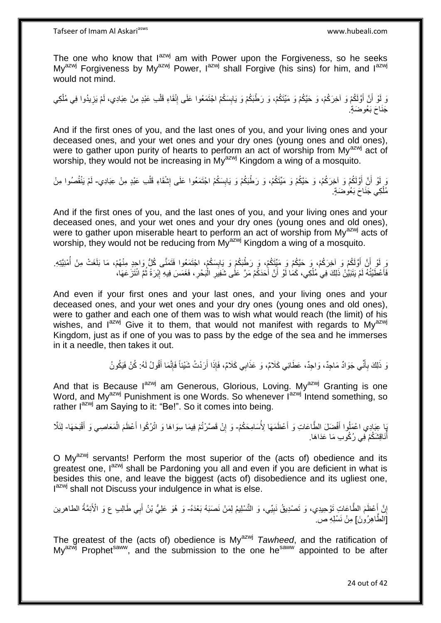The one who know that lazwj am with Power upon the Forgiveness, so he seeks My<sup>azwj</sup> Forgiveness by My<sup>azwj</sup> Power, l<sup>azwj</sup> shall Forgive (his sins) for him, and l<sup>azwj</sup> would not mind.

رَ لَوْ أَنَّ أَوَّلَكُمْ وَ آخِرَكُمْ، وَ حَيَّكُمْ وَ مَيِّتَكُمْ، وَ رَطْبَكُمْ وَ يَابِسَكُمْ اجْتَمَعُوا عَلَى إِنْقَاءِ قَلْبِ عَبْدٍ مِنْ عِبَادِي، لَمْ يَزِيدُوا فِي مُلْكِي ِ ِ َ ْ ِ ْ جَنَاحَ بَعُوضَةٍ

And if the first ones of you, and the last ones of you, and your living ones and your deceased ones, and your wet ones and your dry ones (young ones and old ones), were to gather upon purity of hearts to perform an act of worship from  $My^{azwj}$  act of worship, they would not be increasing in My<sup>azwj</sup> Kingdom a wing of a mosquito.

وَ لَوْ أَنَّ أَوَّلَكُمْ وَ آخِرَكُمْ، وَ حَيَّكُمْ وَ مَيِّتَكُمْ، وَ رَطْبَكُمْ وَ يَابِسَكُمْ اجْتَمَعُوا عَلَى إِشْقَاءِ قَلْبِ عَبْدٍ مِنْ عِبَادِي- لَمْ يَنْقُصُوا مِنْ ِ **∣** َ اً لَ مُلْكِي جَذَاحَ بَعُوضَةٍ. ْ

And if the first ones of you, and the last ones of you, and your living ones and your deceased ones, and your wet ones and your dry ones (young ones and old ones), were to gather upon miserable heart to perform an act of worship from My<sup>azwj</sup> acts of worship, they would not be reducing from My<sup>azwj</sup> Kingdom a wing of a mosquito.

وَ لَوْ أَنَّ أَوَّلَكُمْ وَ آخِرَكُمْ، وَ حَيَّكُمْ وَ مَيِّتَكُمْ، وَ رَطْبَكُمْ وَ يَابِسَكُمْ، اجْتَمَعُوا فَتَمَنَّى كُلُّ وَاحِدٍ مِنْهُمْ، مَا بَلَغَتْ مِنْ أُمْنِيَّتِهِ. **ِ** َ ز<br>ا اُ فَأَعْطَيْتُهُ لَمْ يَتَبَيَّنْ ذَلِكَ فِي مُلْكِي، كَمَا لَوْ أَنَّ أَحَدَكُمْ مَرَّ عَلَى شَفِيرِ الْبَحْرِ، فَغَمَسَ فِيهِ إِبْرَةً ثُمَّ انْتَزَ عَهَا، َ َ ْ َ ُ ِ ِ ْ ِ

And even if your first ones and your last ones, and your living ones and your deceased ones, and your wet ones and your dry ones (young ones and old ones), were to gather and each one of them was to wish what would reach (the limit) of his wishes, and  $I^{azwj}$  Give it to them, that would not manifest with regards to My<sup>azwj</sup> Kingdom, just as if one of you was to pass by the edge of the sea and he immerses in it a needle, then takes it out.

> وَ ذَلِكَ بِأَنِّي جَوَادٌ مَاجِدٌ، وَاجِدٌ، عَطَائِي كَلَامٌ، وَ عَذَابِي كَلَامٌ، فَإِذَا أَرَدْتُ شَيْئاً فَإِنَّمَا أَقُولُ لَهُ: كُنْ فَيَكُونُ َ ِ َ ِ

And that is Because I<sup>azwj</sup> am Generous, Glorious, Loving. My<sup>azwj</sup> Granting is one Word, and My<sup>azwj</sup> Punishment is one Words. So whenever l<sup>azwj</sup> Intend something, so rather  $I^{axwi}$  am Saying to it: "Be!". So it comes into being.

رَا عِبَادِي اعْمَلُوا أَفْضَلَ الطَّاعَاتِ وَ أَعْظَمَهَا لِأُسَامِحَكُمْ- وَ إِنْ قَصَّرْتُمْ فِيمَا سِوَاهَا وَ اتْرُكُوا أَعْظَمَ الْمَعَاصِي وَ أَقْبَحَهَا- لِئَلَّا َ َ ْ َ ِ َ أَنَاقِشَكُمْ فِي رُكُوبِ مَا عَدَاهَا. ُ

O My<sup>azwj</sup> servants! Perform the most superior of the (acts of) obedience and its greatest one,  $I^{azwj}$  shall be Pardoning you all and even if you are deficient in what is besides this one, and leave the biggest (acts of) disobedience and its ugliest one, Iazwj shall not Discuss your indulgence in what is else.

إِنَّ أَعْظَمَ الطَّاعَاتِ تَوْحِيدِي، وَ تَصْدِيقُ نَبِيِّي، وَ التَّسْلِيمُ لِمَنْ نَصَبَهُ بَعْدَهُ- وَ هُوَ عَلِيُّ بْنُ أَبِي طَالِبِ ع وَ الْأَئِمَّةُ الطاهرين ِ َ <u>֚֚֚֚֚֚֚֚֚</u> ِ [الطَّاهِرُونَ] مِنْ نَسْلِهِ ص ِ

The greatest of the (acts of) obedience is My<sup>azwj</sup> Tawheed, and the ratification of My<sup>azwj</sup> Prophet<sup>saww</sup>, and the submission to the one he<sup>saww</sup> appointed to be after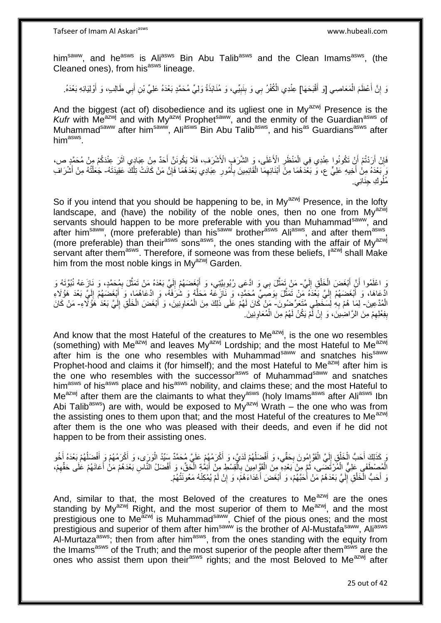him<sup>saww</sup>, and he<sup>asws</sup> is Ali<sup>asws</sup> Bin Abu Talib<sup>asws</sup> and the Clean Imams<sup>asws</sup>, (the Cleaned ones), from his<sup>asws</sup> lineage.

وَ إِنَّ أَعْظَمَ الْمَعَاصِي [وَ أَقْبَحَهَا] عِنْدِي الْكُفْرُ بِي وَ بِنَبِيِّي، وَ مُنَابَذَةُ وَلِيٍّ مُحَمَّدٍ بَعْدَهُ عَلِيٍّ بْنِ أَبِي طَالِبٍ، وَ أَوْلِيَائِهِ بَعْدَهُ. ِ َ ْ ا<br>است ِ َ َ

And the biggest (act of) disobedience and its ugliest one in My<sup>azwj</sup> Presence is the Kufr with Me<sup>azwj</sup> and with My<sup>azwj</sup> Prophet<sup>saww</sup>, and the enmity of the Guardian<sup>asws</sup> of Muhammad<sup>saww</sup> after him<sup>saww</sup>, Ali<sup>asws</sup> Bin Abu Talib<sup>asws</sup>, and his<sup>as</sup> Guardians<sup>asws</sup> after him $^{\rm asws}$ .

فَإِنْ أَرَدْتُمْ أَنِّ تَكُونُوا عِنْدِي فِي الْمَنْظَرِ اِلْأَعْلَى، وَ الشَّرَفِ الْأَشْرَفِ، فَلَا يَكُونَنَّ أَحَدٌ مِنْ عِبَادِي آثَرَ عِنْدَكُمْ مِنْ مُحَمَّدٍ ص، َ **∶** ْ اً ِ َ وَ بَعْدَهُ مِنْٰ أَخِيهِ عَلِيٍّ ع، وَّ بَعْدَهُمَا مِنْ أَبْنَائِهِمَا الْقَائِمِينَ بِأُمُورِ عِبَادِي بَعْدَهُمَا فَإِنَّ مَنْ كَانَتْ تِلْكَ عَقِيدَتَهُ- جَعَلْتُهُ مِنْ أَشْرَافِ َ ْ ∣ļ **∶** اُ ِ ْ َ ْ ُو ِك ِجَناِني. ُمل

So if you intend that you should be happening to be, in My<sup>azwj</sup> Presence, in the lofty landscape, and (have) the nobility of the noble ones, then no one from  $My^{az\hat{w}j}$ servants should happen to be more preferable with you than Muhammad<sup>saww</sup>, and after him<sup>saww</sup>, (more preferable) than his<sup>saww</sup> brother<sup>asws</sup> Ali<sup>asws</sup>, and after them<sup>asws</sup>, (more preferable) than their<sup>asws</sup> sons<sup>asws</sup>, the ones standing with the affair of My<sup>azwj</sup> servant after them<sup>asws</sup>. Therefore, if someone was from these beliefs, lazwj shall Make him from the most noble kings in  $Mv^{azwj}$  Garden.

وَ اعْلَمُوا أَنَّ أَبْغَضَ الْخَلْقِ إِلَيَّ- مَنْ تَمَثَّلَ بِي وَ ادَّعَى رُبُوبِيَّتِي، وَ أَيْغَضَهُمْ إِلَيَّ بَعْدَهُ مَنْ تَمَثَّلَ بِمُحَمَّدٍ، وَ نَازَعَهُ نُبُوَّتَهُ وَ لَ  $\frac{1}{2}$ ْ ْ َ ه ِ ه لَ ِ َ ِ ادَّعَاهَا، وَ أَبْغَضَهُمْ إِلَيَّ بَعْدَهُ مَنْ تَمَثَّلَ بِوَصِّيٍّ مُحَمَّدٍ، وَ نَازِعَهُ مَحَلَّهُ وَ شَرَفَهُ، وَ ادَّعَاهُمَا، وَ أَبْغَضَهُمْ إِلَيَّ بَعْدَ هَؤُلَاءِ ه **!** ه لَ  $\frac{1}{2}$ َ َ لَ ِ الْمُدَّعِينَ- لِمَا هُمْ بِهِ لِسَخَطِي مُتَعَرِّضُونَ- مَنْ كَانَ لَهُمْ عَلَى ذَلِكَ مِنَ الْمُعَاوِنِينَ، وَ أَبْغَضَ الْخَلْقِ إِلَيَّ بَعْدَ هَؤُلَّاءِ- مَنْ كَانَ ِ لَ ِ ْ ْ َ **∶** ْ ْ بِفِعْلِهِمْ مِنَ الرَّاضِينَ، وَ إِنْ لَمْ يَكُنْ لَهُمْ مِنَ الْمُعَاوِنِينَ. **׀** ِ ِ

And know that the most Hateful of the creatures to  $Me^{a z w j}$ , is the one wo resembles (something) with Me<sup>azwj</sup> and leaves My<sup>azwj</sup> Lordship; and the most Hateful to Me<sup>azwj</sup> after him is the one who resembles with Muhammad<sup>saww</sup> and snatches his<sup>saww</sup> Prophet-hood and claims it (for himself); and the most Hateful to Me<sup>azwj</sup> after him is the one who resembles with the successor<sup>asws</sup> of Muhammad<sup>saww</sup> and snatches him<sup>asws</sup> of his<sup>asws</sup> place and his<sup>asws</sup> nobility, and claims these; and the most Hateful to Me<sup>azwj</sup> after them are the claimants to what they<sup>asws</sup> (holy Imams<sup>asws</sup> after Ali<sup>asws</sup> Ibn Abi Talib<sup>asws</sup>) are with, would be exposed to My<sup>azwj</sup> Wrath – the one who was from the assisting ones to them upon that; and the most Hateful of the creatures to Me<sup>azwj</sup> after them is the one who was pleased with their deeds, and even if he did not happen to be from their assisting ones.

وَ كَذَلِكَ أَحَبُّ الْخَلْقِ إِلَيَّ الْقَوَّارُونَ بِحَقِّي، وَ أَفْضِلُهُمْ لَدَيَّ، وَ أَكْرَمُهُمْ عَلَمَ مُحَمَّدٌ سَبِّدُ الْوَرَبِى، وَ أَكْرَمُهُمْ وَ أَفْضَلُهُمْ بَعْدَهُ أَخُو َ ان<br>ا َ ِ ْ لَ  $\frac{1}{2}$ ْ ْ َ َ ْ  $\overline{a}$ َ َ الْمُصِطْفَى عَلِيٍّ الْمُرْتَضَى، ثُمَّ مِنْ بَعْدِهِ مِنَ الْقَوَّامِينَ بِالْقِسْطِ مِنْ أَئِمَّةٍ الْحَقِّ، وَ أَفْضَلُ النَّاسِ بَعْدَهُمْ مَنْ أَعَانَهُمْ عَلَى حَقِّهِمْ، َ ْ َ ْ ِ ْ ٔ.<br>ـ ْ ِ َ وَ أَحَبُّ الْخَلْقِ إِلَيَّ بَغْدَهُمْ مَنْ أَحَبَّهُمْ، وَ أَبْغَضَ أَعْدَاءَهُمْ، وَ إِنْ لَمْ يُمْكِنْهُ مَعُونَتُهُمْ. لَ יִי (ו ْ ْ ِ َ ا<br>ا

And, similar to that, the most Beloved of the creatures to Me $^{a}$ zwj are the ones standing by My<sup>azwj</sup> Right, and the most superior of them to Me<sup>azwj</sup>, and the most prestigious one to Me<sup>azwj</sup> is Muhammad<sup>saww</sup>, Chief of the pious ones; and the most prestigious and superior of them after him<sup>saww</sup> is the brother of Al-Mustafa<sup>saww</sup>, Ali<sup>asws</sup> Al-Murtaza<sup>asws</sup>; then from after him<sup>asws</sup>, from the ones standing with the equity from the Imams<sup>asws</sup> of the Truth; and the most superior of the people after them<sup>asws</sup> are the ones who assist them upon their<sup>asws</sup> rights; and the most Beloved to Me<sup>azwj</sup> after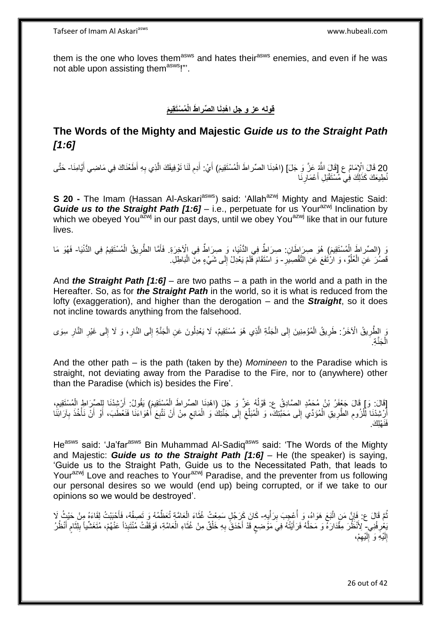them is the one who loves them<sup>asws</sup> and hates their<sup>asws</sup> enemies, and even if he was not able upon assisting them<sup>asws</sup>!"'.

**َم ل ُم ْسَتقَي َط قوله عز و جل اْ ا ْهَدَنا ال ِّصرا**

# **The Words of the Mighty and Majestic** *Guide us to the Straight Path [1:6]*

ْي: لََنا َم( أ ل ُم ْسَتِقي َط ا َما ُم ع ]َقا َل هَّللاُ َع هز َو َج َل[ )ا ْهِدَنا ال ِّصرا ْْلِ ِ 20 َقا َل ا ِدم أ هيا ِمَنا َ َطْعَنا َك ِفي َما ِضي أ ِه أ ِذي ب تى َك ال َح َتْوِفيَق - ه َ ْ َ َ ِ ه ُطِيعَكَ كَذَلِكَ فِي مُسْتَقْبَلِ أَعْمَارِنَا **∶** َ

**S 20 -** The Imam (Hassan Al-Askari<sup>asws</sup>) said: 'Allah<sup>azwj</sup> Mighty and Majestic Said: *Guide us to the Straight Path [1:6] – i.e., perpetuate for us Your<sup>azwj</sup> Inclination by* which we obeyed You<sup>azwj</sup> in our past days, until we obey You<sup>azwj</sup> like that in our future lives.

ْْل ِخ َرِة. ٌط ِفي ا َيا، َو ِص َرا ٌط ِفي الُّدنْ ِن: ِص َرا َطا َم( ُهَو ِص َرا ُم ْسَتِقي َط ال ي ُق َو )ال ِّصرا هطر هما ال ُم ْسَتِق َفأ ال َيا ي ُم ِفي الُّدن - َف ُهَو َما ْ ْ ِ َ ْ ِ قَصُلَ عَنِ الْعُلْوِّ، وَ ارْتَفَعَ عَنِ النَّقْصِيلِ- وَ اسْتَقَامَ فَلَمْ يَعْدِلْ إِلَى شَيْءٍ مِنَ الْبَاطِلِ. اً<br>ا ْ ∣∣<br>∶ ْ

And *the Straight Path [1:6]* – are two paths – a path in the world and a path in the Hereafter. So, as for *the Straight Path* in the world, so it is what is reduced from the lofty (exaggeration), and higher than the derogation – and the *Straight*, so it does not incline towards anything from the falsehood.

مَ الطَّرِيقُ الْأَخَرُ: طَرِيقُ الْمُؤْمِنِينَ إِلَى الْجَنَّةِ الَّذِي هُوَ مُسْتَقِيمٌ، لَا يَعْدِلُونَ عَنِ الْجَنَّةِ إِلَى النَّارِ، وَ لَا إِلَى غَيْرِ النَّارِ سِوَى ْ ِ ْ ِ **∶** ِ ِ ِ ِ ِ ْ ه الْجَنَّةِ ْ

And the other path – is the path (taken by the) *Momineen* to the Paradise which is straight, not deviating away from the Paradise to the Fire, nor to (anywhere) other than the Paradise (which is) besides the Fire'.

[قَالَ: وَ] قَالَ جَعْفَرُ بْنُ مُحَمَّدٍ الصَّادِقُ ع: قَوْلُهُ عَنَّ وَ جَلٍ (اهْدِنَا الصِّراطَ الْمُسْتَقِيمَ) يَقُولُ: أَرْشِدْنَا لِلصِّرَاطِ الْمُسْتَقِيمِ، ُ ِ ْ َ ْ أَرْشِدْنَا لِلْزُومِ الطَّرِيْقِ الْمُؤَدِّيُ إِلَى مَحَبَّتِكَ، وَ الْمُبَلِّغِ إِلَى جَنَّتِكُ وَ الْمَانِعِ مِنْ أَنْ نَتَّبِعُ أَهْوَاءَنَا فَنَعْطَبَ، أَوْ أَنْ نَأْخُذَ بِآرَانِنَا ِ ِ ْ  $\frac{1}{2}$ ْ ِ ِ **∶** ْ َ َ َ **∶** َ ِ ْ فَذَهْلِكَ.

He<sup>asws</sup> said: 'Ja'far<sup>asws</sup> Bin Muhammad Al-Sadiq<sup>asws</sup> said: 'The Words of the Mighty and Majestic: *Guide us to the Straight Path [1:6]* – He (the speaker) is saying, 'Guide us to the Straight Path, Guide us to the Necessitated Path, that leads to Yourazwj Love and reaches to Yourazwj Paradise, and the preventer from us following our personal desires so we would (end up) being corrupted, or if we take to our opinions so we would be destroyed'.

ثُمَّ قَالَ ع ۚ فَإِنَّ مَنِ اتَّبَعَ هَوَاهُ، وَ أُعْجِبَ بِرَأْيِهِ- كَانَ كَرَجُلٍ سَمِعْتُ غُلْقَاءَ الْعَامَّةِ تُعَظِّمُهُ وَ تَصفُهُ، فَأَحْبَبْتُ لِقَاءَهُ مِنْ حَبْثُ لَا<br>وَأَسْتَمْسَمَ الْقَاءَ مِنْ النَّبَعَ هُو **∶** :<br>ا ِ ا<br>أ ِ َ ْ يَعْْرِ فُنِي ِ لِأَنْظُلَ مِقَّدَارَهُ وَ مَحَلَّهُ فَرَأَيْتُهُ فِي مَوْضِعٍ قَدْ أَحْدَقَّ بِهِ خَلْقٌ مِنْ غُثَاءِ الْعَامَّةِ، فَوَقَفْتُ مُنْتَبِذاً عَنْهُمْ، مُتَغَشِّياً بِلِّئَامٍ أَنْظُلُ ِ ْ َ ِ َ ٍ َ ه َ ֧֖֧֦֧֦֧֦֧֦֚֝֝֝֝֝ َ ِ لَ  $\frac{1}{2}$ إِلَيْهِ وَ إِلَيْهِمْ، لَ ِ ِ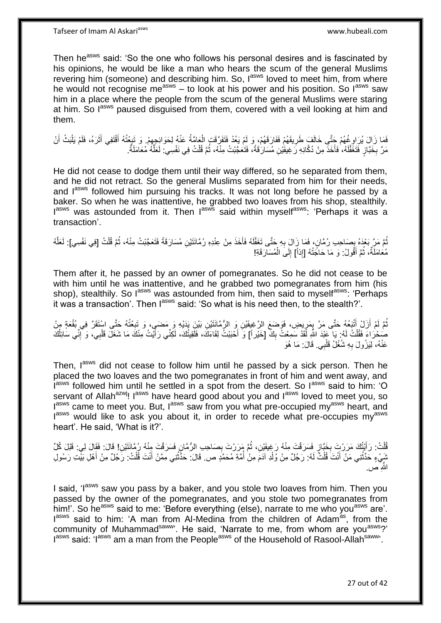Then he<sup>asws</sup> said: 'So the one who follows his personal desires and is fascinated by his opinions, he would be like a man who hears the scum of the general Muslims revering him (someone) and describing him. So, lasws loved to meet him, from where he would not recognise me<sup>asws</sup> – to look at his power and his position. So l<sup>asws</sup> saw him in a place where the people from the scum of the general Muslims were staring at him. So l<sup>asws</sup> paused disquised from them, covered with a veil looking at him and them.

فَمَا زَالَ يُرَاوِغُهُمْ جَتَّى خَالَفَ طَرِيقَهُمْ فَفَارَقَهُمْ، وَ لَمْ يَعُدْ فَتَفَرَّقَتِ الْعَامَّةُ عَذْهُ لِحَوَائِجِهِمْ. وَ تَبِعْتُهُ أَقْتَفِى أَثَرَهُ، فَلَمْ يَلْبَثْ أَنْ ِ ِ َ ْ َ َ َ **∶** ِ ْ مَرَّ بِخَبَّازٍ فَتَغَفَّلَهُ، فَأَخَذَ مِنْ دُكَّانِهِ رَغِيفَيْنِ مُسَارَقَةً، فَتَعَجَّبْتُ مِنْهُ، ثُمَّ قُلْتُ فِي نَفْسِي: لَعَلَّهُ مُعَامَلَةٌ: ا<br>است لَ ِ ه ْ ا دیکھیے

He did not cease to dodge them until their way differed, so he separated from them, and he did not retract. So the general Muslims separated from him for their needs, and lasws followed him pursuing his tracks. It was not long before he passed by a baker. So when he was inattentive, he grabbed two loaves from his shop, stealthily. lasws was astounded from it. Then lasws said within myselfasws: 'Perhaps it was a transaction'.

نُّمَّ مَرَّ بَعْدَهُ بِصَاحِبِ رُمَّانٍ، فَمَا زِلَا بِهِ حَتَّى تَغَفَّلَهُ فَأَخَذَ مِنْ عِنْدِهِ رُمَّانَتَيْنِ مُسَارَقَةً فَتَعَجَّبْتُ مِنْهُ، ثُمَّ قُلْتُ [فِي نَفْسِي]: لَعَلَّهُ َ لَ **∶** ِ ْ ُ ه مُعَامَلَةٌ، ثُمَّ أَقُولُ: وَ مَا حَاجَتُهُ [إِذاً] إِلَىَ الْمُسَارَقَةِ! ْ ∣∣<br>∶ ٔ.<br>ـ

Them after it, he passed by an owner of pomegranates. So he did not cease to be with him until he was inattentive, and he grabbed two pomegranates from him (his shop), stealthily. So l<sup>asws</sup> was astounded from him, then said to myself<sup>asws</sup>: 'Perhaps it was a transaction'. Then  $I^{asws}$  said: 'So what is his need then, to the stealth?'.

تُمَّ لَمْ أَزَلْ أَنْبَعُهُ حَتَّى مَرَّ بِمَرِيضٍ، فَوَضَعَ الرَّغِيفَيْنِ وَ الرُّمَّانَتَيْنِ بَيْنَ يَذَيْهِ وَ مَضَيَ، وَ نَبِعْتُهُ حَتَّى اسْتَقَرَّ فِي بُقُعَةٍ مِنْ<br>. ِ ِ َ ِ َ صُحْرَاءَ فَقُلْتُ لَهُ: يَا عَبْدَ اللَّهِ لَقَدْ سَمِعْتُ بِكَ [خَيْراً] وَ أَحْبَبْتُ لِقَاءَكَ، فَلَقِيتُكَ، لَكِنِّي رَأَيْتُ مِنْكَ مَا شَغَلَ قَلْبِي، وَ "إِنِّي سَائِلُكَ **!** ْ ُ ِ ْ عَنْهُ، لِيَزُولَ بِهِ شُغُلُ قَلْبِي قَالَ: مَا هُوَ ْ **∶** 

Then, lasws did not cease to follow him until he passed by a sick person. Then he placed the two loaves and the two pomegranates in front of him and went away, and Iasws followed him until he settled in a spot from the desert. So lasws said to him: 'O servant of Allah<sup>azwj</sup>! I<sup>asws</sup> have heard good about you and I<sup>asws</sup> loved to meet you, so lasws came to meet you. But, lasws saw from you what pre-occupied my<sup>asws</sup> heart, and lasws would like to ask you about it, in order to recede what pre-occupies myasws heart'. He said, 'What is it?'.

ُه َت ِمنْ ِن َف َس َرقْ َصا ِح ِب ال ُّر هما هم َم َر ْر َت ب ِن، ث ُه َر ِغيَفْي َت ِمنْ ٍز َف َس َرقْ َخهبا َك َم َر ْر َت ب ْيتُ ُت: َرأ ل ِن! َقا َل: َفَقا َل لِي: َقْب َل ُك ق ِّل ُ ُر هماَنَتْي ِ ُ **∶** َ ْ نَبِيءٍ حَدِّثْنِي مَنْ أَنْتَ قُلْتُ لَهُ: رَجُلٌ مِنْ وُلْدِ آدَمَ مِنْ أُمَّةِ مُحَمَّدٍ ص. قَالَ: حَذَّثْنِي مِمَّنْ أَنْتَ قُلْتُ: رَجُلٌ مِنْ أَهْلِ بَيْتِ رَسُولِ ْ ْ َ ْ ْ ُ َ ْ َ هَّللاِ ص.

I said, 'I<sup>asws</sup> saw you pass by a baker, and you stole two loaves from him. Then you passed by the owner of the pomegranates, and you stole two pomegranates from him!'. So he<sup>asws</sup> said to me: 'Before everything (else), narrate to me who you<sup>asws</sup> are'. lasws said to him: 'A man from Al-Medina from the children of Adam<sup>as</sup>, from the community of Muhammad<sup>saww</sup>'. He said, 'Narrate to me, from whom are you<sup>asws</sup>?' I<sup>asws</sup> said: 'I<sup>asws</sup> am a man from the People<sup>asws</sup> of the Household of Rasool-Allah<sup>saww</sup>'.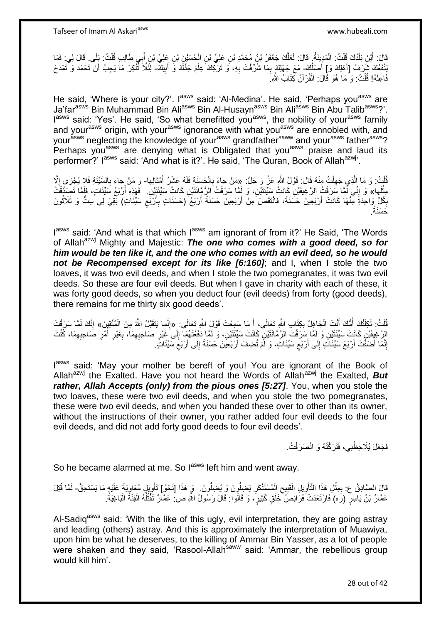َفَالَ: أَيْنَ بَلَدُكَ قُلْتُ: الْمَدِيِنَةُ: قَالَ: لَعَلَّكَ جَعْفَرُ بْنُ مُحَمَّدِ بْنِ عَلِيٍّ بْنِ الْحُسَيْنِ بْنِ عَلِيٍّ بْنِ إِلَيٍ طَالِبٍ قُلْتُ: بَلَى ۖ قَالَ لِي: فَمَا ْ ْ َ ْ َ ْ ه يَنْفَعُكَ شَرَفُ [أَهْلِكَ وَ] أَصْلُكَ- مَعَ جَهْلِكَ بِمَا شُرِّفْتَ بِهِ، وَ تَرْكِكَ عِلْمَ جَدِّكَ وَ أَبِيكَ- لِثَلَّا تُنْكِرَ مَا يَجِبُ أَنْ تَحْمَدَ وَ تَمْدَحَ ُ َ َ ِ َ ْ ِ ِ َ فَاعِلَهُ! قُلْتُ: وَ مَا هُوَ قَالَ: الْقُرْآنُ كِتَابُ الثَّهِ ْ ْ

He said, 'Where is your city?'. I<sup>asws</sup> said: 'Al-Medina'. He said, 'Perhaps you<sup>asws</sup> are Ja'far<sup>asws</sup> Bin Muhammad Bin Ali<sup>asws</sup> Bin Al-Husayn<sup>asws</sup> Bin Ali<sup>asws</sup> Bin Abu Talib<sup>asws</sup>?'. lasws said: 'Yes'. He said, 'So what benefitted you<sup>asws</sup>, the nobility of your<sup>asws</sup> family and your<sup>asws</sup> origin, with your<sup>asws</sup> ignorance with what you<sup>asws</sup> are ennobled with, and your<sup>asws</sup> neglecting the knowledge of your<sup>asws</sup> grandfather<sup>saww</sup> and your<sup>asws</sup> father<sup>asws</sup>? Perhaps you<sup>asws</sup> are denying what is Obligated that you<sup>asws</sup> praise and laud its performer?' Iasws said: 'And what is it?'. He said, 'The Quran, Book of Allahazwj'.

ُفْلَتُ: وَ مَا الَّذِي جَهِلْتُ مِنْهُ قَالَ: قَوْلُ اللَّهِ عَزَّ وَ جَلَّ: «مَنْ جاءَ بِالْحَسَنَةِ فَلَهُ عَشْرُ أَمْثالِها- وَ مَنْ جاءَ بِالسَّيِّئَةِ فَلا يُجْزِى إِلَّا ْ ِ ه ْ َ ْ ِ ِ ِ مِثْلَها» وَ إِنِّي لَمَّا سَرَقْتُ الرَّغِيفَيْنِ كَانَتْ سِيِّئَتَيْنِ، وَ لَمَّا سَرَقْتُ الرُّمَّانَتَيْنِ كَانَتْ سَيِّئَتَيْنِ. فَهَذِهِ أَرْبَعُ سَيِّئَاتٍ، فَلَمَّا تَصِدَّقْتُ ْ ֺ֧ׅ֧ׅ֧֧֚֚֚֚֚֚֚֚֚֚֚֚֚֚֚֚֚֝֝֬֓֡֡֡֡֡֡֡֬֓֡֟֓֡֟֓֡֟֓֡֡֡֬֓֡֡֬֩֓֓֬֩ َ بِكُلِّ وَاحِدَةٍ مِّنْهَا كَانَتْ أَرْبَعِينَ حَسَنَةً، فَانْتَقَصَ مِنْ أَرْبَعِينَ حَسَنَةً أَرْبَعُ (حَسَنَاتٍ بِأَرْبَع سَيِّئَاتٍ) بِّقِيَ لِي سِتٌّ وَ ثَلاَثُونَ َ ِ ُ ِ أ **∶** َ . َح َسَنةً

I<sup>asws</sup> said: 'And what is that which I<sup>asws</sup> am ignorant of from it?' He Said, 'The Words of Allah<sup>azwj</sup> Mighty and Majestic: **The one who comes with a good deed, so for** *him would be ten like it, and the one who comes with an evil deed, so he would not be Recompensed except for its like [6:160]*; and I, when I stole the two loaves, it was two evil deeds, and when I stole the two pomegranates, it was two evil deeds. So these are four evil deeds. But when I gave in charity with each of these, it was forty good deeds, so when you deduct four (evil deeds) from forty (good deeds), there remains for me thirty six good deeds'.

قُلْتُ: ثَكِلَتْكَ أُمُّكَ أَنْتَ الْجَاهِلُ بِكِتَابِ اللَّهِ تَعَالَى، أَ مَا سَمِعْتَ قَوْلَ اللَّهِ تَعَالَى حِلاإِنَّما يَتَقَبَّلُ اللَّهُ مِنَ الْمُتَّقِيِنَ» إِنَّكَ لَمَّا سَرَفْتَ َ ا<br>ا َ ْ َ ِ ْ ِ ِ الِرَّغِيِفَيْنِ كَانَتْ سَيِّئَتَيْنِ وَ لَمَّا سَرَقْتَ الرُّمَّانَتَيْنِ كَانَتْ سَيِّئَتَيْنِ، وَ لَمَّا دَفَعْتَهُمِا إِلَى غَيْرِ صَاحِبِهِمَا، بِغَيْرِ أَمْرِ صَاحِبِهِمَا، كُنْتَ ِ ِ أ ِ ِ ِ **ٍ** ِ إِنَّمَا أَضَفْتَ أَرْبَعَ سَيِّئَاتٍ إِلَى أَرْبَعِ سَيِّئَاتٍ، وَ لَمْ تُضِفْ أَرْبَعِينَ حَسَنَةً إِلَى أَرْبَعَ سَيِّئَاتٍ ِ ِ ِ ِ اُ ∣∣<br>∶ اُ َ ِ

lasws said: 'May your mother be bereft of you! You are ignorant of the Book of Allah<sup>azwj</sup> the Exalted. Have you not heard the Words of Allah<sup>azwj</sup> the Exalted, **But** *rather, Allah Accepts (only) from the pious ones [5:27]*. You, when you stole the two loaves, these were two evil deeds, and when you stole the two pomegranates, these were two evil deeds, and when you handed these over to other than its owner, without the instructions of their owner, you rather added four evil deeds to the four evil deeds, and did not add forty good deeds to four evil deeds'.

فَجَعَلَ يُلَاحِظُنِي، فَتَرَكْتُهُ وَ انْصَرَفْتُ

So he became alarmed at me. So l<sup>asws</sup> left him and went away.

قَالَ الصَّادِقُ ع: بِمِثْلِ هَذَا التَّأْوِيلِ الْقَبِيحِ الْمُسْتَنْكَرِ يَضِلُّونَ وَ يُضِلُّونَ. ۚ وَ هَذَا [نَحْوُ] تَأْوِيلٍ مُعَاوِيَةَ عَلَيْهِ مَا يَسْتَحِقُّ- لَمَّا قُتِلَ **∶** ْ ِ ِ ْ ِ **ٔ ٔ** ِ ِ ِ ْ لَ عَمَّارُ بْنُ يَاسِرٍ (رَه) فَارْتَعَدَتْ فَرَائِصُ خَلْقٍ كَثِيرٍ، وَ قَالُوا: قَالَ رَسُولُ اللَّهِ ص. عَمَّارٌ تَقْتُلُهُ الْفِئَةُ الْبَاغِيَةُ: ُ ْ ْ ْ

Al-Sadiq<sup>asws</sup> said: 'With the like of this ugly, evil interpretation, they are going astray and leading (others) astray. And this is approximately the interpretation of Muawiya, upon him be what he deserves, to the killing of Ammar Bin Yasser, as a lot of people were shaken and they said, 'Rasool-Allah<sup>saww</sup> said: 'Ammar, the rebellious group would kill him'.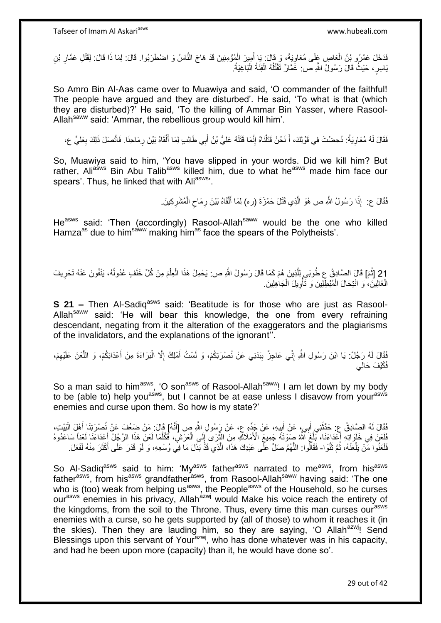فَذَفَا عَمْرُو بْنُ الْعَاصِ عَلَى مُعَاوِيَةً، وَ قَالَ: بَا أَمِيرَ الْمُؤْمِنِينَ قَدْ هَاجَ النَّاسُ وَ اضْطَرَبُوا. قَالَ: لِمَا ذَا قَالَ: لِقَتْلِ عَمَّارِ بْنِ ْ َ **∶** ْ ِ يَاسِرٍ ، حَيْثُ قَالَ رَسُولُ النَّهِ ص: عَمَّارٌ تَقْتُلُهُ الْفِئَةُ الْبَاغِيَةُ: ا.<br>ا ْ ا<br>ا

So Amro Bin Al-Aas came over to Muawiya and said, 'O commander of the faithful! The people have argued and they are disturbed'. He said, 'To what is that (which they are disturbed)?' He said, 'To the killing of Ammar Bin Yasser, where Rasool-Allah<sup>saww</sup> said: 'Ammar, the rebellious group would kill him'.

فَقَالَ لَهُ مُعَاوِيَةُ: دُحِصْتَ فِي قَوْلِكَ، أَ نَحْنُ قَتَلْنَاهُ إِنَّمَا قَتَلَهُ عَلِيٌّ بْنُ أَبِي طَالِبِ لِمَا أَلْقَاهُ بَيْنَ رِمَاحِنَا. فَاتَّصَلَ ذَلِكَ بِعَلِيٍّ عِ، ِ ِ ْ َ َ ِ ْ

So, Muawiya said to him, 'You have slipped in your words. Did we kill him? But rather, Ali<sup>asws</sup> Bin Abu Talib<sup>asws</sup> killed him, due to what he<sup>asws</sup> made him face our spears'. Thus, he linked that with Ali<sup>asws,</sup>

> فَقَالَ ع: ۚ إِذًا رَسُولُ النَّهِ ص هُوَ الَّذِي قَتَلَ حَمْزَةَ (ره) لِمَا أَلْقَاهُ بَيْنَ رِمَاحِ الْمُشْرِكِينَ ً ِ ْ  $\zeta$ ِ ْ َ ه

He<sup>asws</sup> said: 'Then (accordingly) Rasool-Allah<sup>saww</sup> would be the one who killed Hamza<sup>as</sup> due to him<sup>saww</sup> making him<sup>as</sup> face the spears of the Polytheists'.

21 [ثُمَ] قَالَ الصَّادِقُ عِ طُوبَيِ لِلَّذِينَ هُمْ كَمَا قَالَ رَسُولُ اللَّهِ ص: يَحْمِلُ هَذَا الْعِلْمَ مِنْ كُلِّ خَلَفٍ عُدُولُهُ، يَنْفُونَ عَنْهُ تَحْرِيفَ ُ ْ ه ُ الْغَالِينَ، ۚ وَ انْتِحَالَ الْمُبْطِّلِينَ وَ تَأْوِيلَ الْجَاهِلِينَ ْ ْ **∶** ْ

**S 21 –** Then Al-Sadiq<sup>asws</sup> said: 'Beatitude is for those who are just as Rasool-Allah<sup>saww</sup> said: 'He will bear this knowledge, the one from every refraining descendant, negating from it the alteration of the exaggerators and the plagiarisms of the invalidators, and the explanations of the ignorant''.

فَقَالَ لَهُ رَجُلٌ: يَا ابْنَ رَسُولِ اللَّهِ إِنِّي عَاجِزٌ بِبَدَنِي عَنْ نُصْرَتِكُمْ، وَ لَسْتُ أَمْلِكُ إِلَّا الْبَرَاءَةَ مِنْ أَعْدَائِكُمْ، وَ اللَّعْنَ عَلَيْهِمْ، ْ ِ َ **!** ِ ِ ه َ فَكَّنْفَ حَالِي

So a man said to him<sup>asws</sup>, 'O son<sup>asws</sup> of Rasool-Allah<sup>saww</sup>! I am let down by my body to be (able to) help you<sup>asws</sup>, but I cannot be at ease unless I disavow from your<sup>asws</sup> enemies and curse upon them. So how is my state?'

فَقَالَ لَهُ الصِّادِقُ عِ. حَذَّثَنِي أَبِيءٍ عَنْ أَبِيهِ، عَنْ جَدِّهِ عِ، عَنْ رَسُولِ اللَّهِ صِ [أَنَّهُ] قَالَ: مَنْ ضَعُفَ عَنْ نُصْرَتِنَا أَهْلَ الْبَيْتِ، ِ َ َ َ َ ْ َ فَلَعَنَ فِي خَلَوَاتِهِ أَعْدَاءَنَا، يَلَّغَ اللَّهُ صَوْتَهُ جَمِيعَ الْأَمْلَاكِ مِنَ الثُّرَى إِلَى الْعَرْشِ، فَكُلَّمَا لَعَنَ هَذَا الرَّجُلُ أَعْدَاءَنَا لَعَنْاً سَاعَدُوهُ ه ْ  $\frac{1}{2}$ ه ه َ َ فَلَغُوا مَنْ يَلْعَنُهُ، ثُمَّ ثَنَّوْا- فَقَالُوا: اللَّهُمَّ صَلِّ عَلَى عَبْدِكَ هَذَا، الَّذِي قَدَّ بَذَلَ مَا فِي وُسْعِهِ، وَ لَوْ قَدَرَ عَلَى أَكْثَرَ مِنْهُ لَفَعَلَ. َ ُ َ ه ه

So Al-Sadiq<sup>asws</sup> said to him: 'My<sup>asws</sup> father<sup>asws</sup> narrated to me<sup>asws</sup>, from his<sup>asws</sup> father<sup>asws</sup>, from his<sup>asws</sup> grandfather<sup>asws</sup>, from Rasool-Allah<sup>saww</sup> having said: 'The one who is (too) weak from helping us<sup>asws</sup>, the People<sup>asws</sup> of the Household, so he curses our<sup>asws</sup> enemies in his privacy, Allah<sup>azwj</sup> would Make his voice reach the entirety of the kingdoms, from the soil to the Throne. Thus, every time this man curses our<sup>asws</sup> enemies with a curse, so he gets supported by (all of those) to whom it reaches it (in the skies). Then they are lauding him, so they are saying, 'O Allah<sup>azwj</sup>! Send Blessings upon this servant of Your<sup>azwj</sup>, who has done whatever was in his capacity, and had he been upon more (capacity) than it, he would have done so'.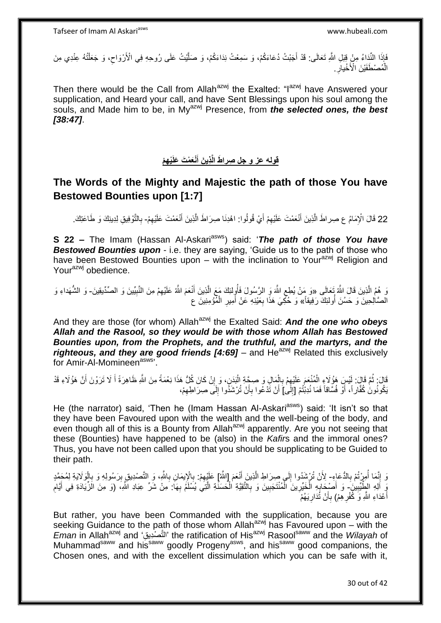َفَإِذَا النِّدَاءُ مِنْ ٍقِبَلِ اللَّهِ تَعَالَى: قَدْ أَجَبْتُ دُعَاءَكُمْ، وَ سَمِعْتُ نِدَاءَكُمْ، وَ صَلَّيْتُ عَلَى رُوحِهِ فِي الْأَرْوَاحِ، وَ جَعَلْتُهُ عِنْدِي مِنَ ه ْ  $\zeta$ الْمُصْطَفَيْنَ الْأَخْياَرِ . ِ ا<br>ا

Then there would be the Call from Allah<sup>azwj</sup> the Exalted: " $I^{azwj}$  have Answered your supplication, and Heard your call, and have Sent Blessings upon his soul among the souls, and Made him to be, in My<sup>azwj</sup> Presence, from *the selected ones, the best [38:47]*.

> **َه قوله عز و جل ْم ْي ْنَع ْم َت َعلَ َذي َن أ َط اله َصرا َ**

# **The Words of the Mighty and Majestic the path of those You have Bestowed Bounties upon [1:7]**

22 قَالَ الْإِمَامُ ع صِراطَ الَّذِينَ أَنْعَمْتَ عَلَيْهِمْ أَيْ قُولُوا: اهْدِنَا صِرَاطَ الَّذِينَ أَنْعَمْتَ عَلَيْهِمْ- بِالتَّوْفِيقِ لِدِينِكَ وَ طَاعَتِكَ. ِ ْ َ ه َ **ٔ** َ ه

**S 22 –** The Imam (Hassan Al-Askari<sup>asws</sup>) said: '*The path of those You have Bestowed Bounties upon* - i.e. they are saying, 'Guide us to the path of those who have been Bestowed Bounties upon – with the inclination to Your<sup>azwj</sup> Religion and Your<sup>azwj</sup> obedience.

ىَ هُمُ الَّذِينَ قَالَ اللَّهُ تَعَالَى «وَ مَنْ يُطِعِ اللَّهَ وَ الرَّسُولَ فَأُولِئِكَ مَعَ الَّذِينَ أَنْعَمَ اللَّهُ عَلَيْهِمْ مِنَ النَّبِيِّينَ وَ الصِّدِّيقِينَ- وَ الشُّهَداءِ وَ ه ه .<br>ا ِ ِ ِ الْصَّالِحِينَ ۚ وَ حَسُنَ أُولئِكَ رَفِيقاً» وَ خُكِيَ هَذَا بِعَيْنِهِ ۚ عَنْ أَمِيرِ الْمُؤْمِنِينَ ع ْ ِ َ ِ

And they are those (for whom) Allah<sup>azwj</sup> the Exalted Said: **And the one who obeys** *Allah and the Rasool, so they would be with those whom Allah has Bestowed Bounties upon, from the Prophets, and the truthful, and the martyrs, and the righteous, and they are good friends*  $[4:69]$  *– and*  $He^{azwj}$  *Related this exclusively* for Amir-Al-Momineen<sup>asws</sup>'.

قَالَ: ثُمَّ قَالَ: لَيْسٍ هَؤُلَاءٍ الْمُنْعَمَ عَلَيْهِمْ بِالْمَالِ وَ صِحَّةِ الْبَدَنِ، وَ إِنْ كَانَ كُلُّ هَذَا نِعْمَةً مِنَ اللَّهِ ظَاهِرَةً أَ لَا تَرَوْنَ أَنَّ هَؤُلَاءِ قَدْ ُ ֧<u>׀</u> :<br>ا ْ ِ ِ ْ َ َ يَكُونُونَ كُفَّاراً، أَوْ فُسَّاقاً فَمَا نُدِبْتُمْ [إِلَى] أَنْ تَدْعُوا بِأَنْ تُرْشَذُوا إِلَى صِرَاطِهِمْ، َ لَ ∣∣<br>∶ ِ ِ اُ ِ

He (the narrator) said, 'Then he (Imam Hassan Al-Askari<sup>asws</sup>) said: 'It isn't so that they have been Favoured upon with the wealth and the well-being of the body, and even though all of this is a Bounty from Allah<sup>azwj</sup> apparently. Are you not seeing that these (Bounties) have happened to be (also) in the *Kafir*s and the immoral ones? Thus, you have not been called upon that you should be supplicating to be Guided to their path.

وَ إِنَّمَا أُمِرْتُمْ بِالدُّعَاءِ- لِأَنْ تُرْشَدُوا إِلَى صِرَاطِ الَّذِينَ أَنْعَمَ إِاشًا عَلَيْهِمْ. بِالْإِيمَانِ بِاللَّهِ، وَ التَّصْدِيقِ بِرَسُولِهِ وَ بِالْوَلَايَةِ لِمُحَمَّدٍ ُ ِ **∶** َ ه  $\frac{1}{2}$ ِ ِ ِ ِ ْ ِ وَ أَلِهِ الطِّّيِّينِ)َ- وَ أَصْبِحَابِهِ الْخَيِّرِينَ الْمُنْتَجَبِينَ وَ بِالتَّقِيَّةِ الْحَسَنَةِ الَّتِي يُسَلَّمُ بِهَا. مِنْ شَرِّ عِبَادِ اللَّهِ، (وَ مِنَ الَزِّيَادَةِ فِي أَيَّام **! ∶** ِ ْ ِ ْ .<br>; َ ِ َ **∶** ه ْ أَعْدَاءِ اللَّهِ وَ كُفْرِ هِمْ) بِأَنْ تُدَارِيَهُمْ **∶** َ **∶** ِ َ

But rather, you have been Commanded with the supplication, because you are seeking Guidance to the path of those whom Allah<sup>azwj</sup> has Favoured upon – with the *Eman* in Allah<sup>azwj</sup> and 'التَّصَدِيق' the ratification of His<sup>azwj</sup> Rasool<sup>saww</sup> and the *Wilayah* of Muhammad<sup>saww</sup> and his<sup>saww</sup> goodly Progeny<sup>asws</sup>, and his<sup>saww</sup> good companions, the Chosen ones, and with the excellent dissimulation which you can be safe with it,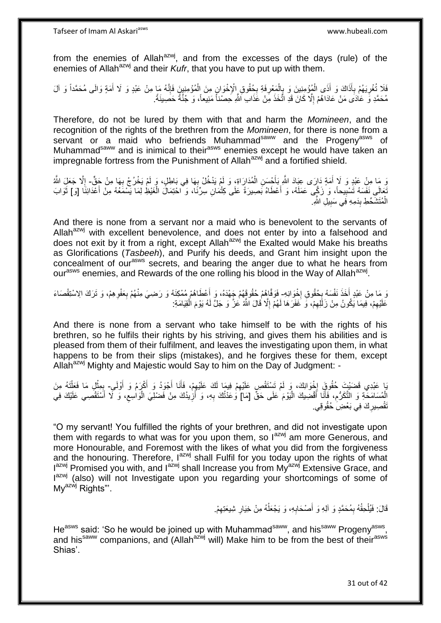from the enemies of Allah $a^{2x}$ , and from the excesses of the days (rule) of the enemies of Allah<sup>azwj</sup> and their *Kufr*, that you have to put up with them.

فَلَا تُغْرِيَهُمْ بِأَذَاكَ وَ أَذَى الْمُؤْمِنِينَ وَ بِالْمَعْرِفَةِ بِحُقُوقِ الْإِخْوَانِ مِنَ الْمُؤْمِنِينَ فَإِنَّهُ مَا مِنْ عَبْدٍ وَ لَا أَمَةٍ وَالَى مُحَمَّداً وَ آلَ ْ َ َ **∶** ِ َ ا∣<br>ِ∘ِ ْ ِ ِ ْ ِ مُحَمَّدِ وَ عَادَى مَنْ عَادَاهُمْ إِلَّا كَانَ قَدِ اتَّخَذَ مِنْ عَذَابِ اللَّهِ حِصْناً مَنِيعاً، وَ جُنَّةً حَصِينَةً. ِ

Therefore, do not be lured by them with that and harm the *Momineen*, and the recognition of the rights of the brethren from the *Momineen*, for there is none from a servant or a maid who befriends Muhammad<sup>saww</sup> and the Progeny<sup>asws</sup> of Muhammad<sup>saww</sup> and is inimical to their<sup>asws</sup> enemies except he would have taken an impregnable fortress from the Punishment of Allah $a^{2}$  and a fortified shield.

وَ مَا مِنْ عَبْدٍ وَ لَا أَمَةٍ دَارَى عِبَادَ اللَّهِ بَأَحْسَنِ الْمُدَارَاةِ، وَ لَمْ يَدْخُلْ بِهَا فِي بَاطِلٍ، وَ لَمْ يَخْرُجْ بِهَا مِنْ جَقٍّ- إِلَّا جَعَلِ اللَّهُ ِ ْ َ َ ِ **⊥** َ فَقَامَهُ تَسْبِيحاً، وَ زَكَّى عَمَلَهُ، وَ أَعْطَاهُ بَصِيرَةً عَلَى كِتْمَانِ سِرِّنَا، وَ احْتِمَالَ الْغَيْظِ لِمَا يَسْمَعُهُ مِنْ أَعْدَائِنَا [وَ] ثَوَابَ ْ َ **!** َ َ الْمُتَشَّخِّطِ بِدَمِهِ فِي سَبِيلِ الثَّهِ ۖ **! ∣** ْ

And there is none from a servant nor a maid who is benevolent to the servants of Allah<sup>azwj</sup> with excellent benevolence, and does not enter by into a falsehood and does not exit by it from a right, except Allah<sup>azwj</sup> the Exalted would Make his breaths as Glorifications (*Tasbeeh*), and Purify his deeds, and Grant him insight upon the concealment of our<sup>asws</sup> secrets, and bearing the anger due to what he hears from our<sup>asws</sup> enemies, and Rewards of the one rolling his blood in the Way of Allah<sup>azwj</sup>.

#### وَ مَا مِنْ عَبْدٍ أَخَذَ نَفْسَهُ بِحُقُوقِ إِخْوَانِهِ– فَوَفَّاهُمْ حُقُوقَهُمْ جَهْدَهُ، وَ أَعْطَاهُمْ مُمْكِنَهُ وَ رَضِيَ مِنْهُمْ بِعَفْوِهِمْ، وَ تَرَكَ الِاسْتِقْصَاءَ ·<br>∶ ِ َ ِ ِ عَلَيْهِمْ، فِيمَا يَكُونُ مِنْ زَلَّلِهِمْ، وَ خَفَرَهَا لَهُمْ إِلَّا قَالَ اللَّهُ عَزَّ وَ جَلَّ لَهُ يَوْمَ الْقِيَامَةِ: ِ ِ ِ ْ

And there is none from a servant who take himself to be with the rights of his brethren, so he fulfils their rights by his striving, and gives them his abilities and is pleased from them of their fulfilment, and leaves the investigating upon them, in what happens to be from their slips (mistakes), and he forgives these for them, except Allah<sup>azwj</sup> Mighty and Majestic would Say to him on the Day of Judgment: -

يَا عَبْدِي قَضَيْتَ حُقُوقٍَ إِخْوَانِكَ، وَ لَمْ تَسْتَقْصِ عَلَيْهِمْ فِيمَا لَكَ عَلَيْهِمْ، فَأَنَا أَجْوَدُ وَ أَكْرَمُ وَ أَوْلَى- بِمِثْلِ مَا فَعَلْتَهُ مِنَ  $\frac{1}{2}$ َ َ َ َ ِ ِ ْ ْ ِ ْ الْمُسَامَحَةِ وَ التَّكَرُّمِ، فَأَنَا أَقْضِيكَ الْيَوْمَ عَلَى حَقٍّ [مَا] وَعَدْتُكَ بِهِ، وَ أَزِيدُكَ مِنْ فَضْلِيَ الْوَاسِعِ، وَ لَا أَسْتَقْصِي عَلَيْكَ فِي ِ َ **∶** :<br>ا َ َ ِ ْ َ ِ نَّقْصِيرِكَ فِي بَعْضَ حُقُوقِي. ِ

"O my servant! You fulfilled the rights of your brethren, and did not investigate upon them with regards to what was for you upon them, so  $I^{ax}$  am more Generous, and more Honourable, and Foremost with the likes of what you did from the forgiveness and the honouring. Therefore,  $I^{azwj}$  shall Fulfil for you today upon the rights of what l<sup>azwj</sup> Promised you with, and l<sup>azwj</sup> shall Increase you from My<sup>azwj</sup> Extensive Grace, and lazwj (also) will not Investigate upon you regarding your shortcomings of some of  $Mv^{az\hat{w}j}$  Rights"'.

> قَالَ: فَيُلْحِقُهُ بِمُحَمَّدٍ وَ أَلِهِ وَ أَصْحَابِهِ، وَ يَجْعَلُهُ مِنْ خِيَارِ شِيعَنِهِمْ. ِ ِ ٔ<br>ا **∶** ِ ْ

He<sup>asws</sup> said: 'So he would be joined up with Muhammad<sup>saww</sup>, and his<sup>saww</sup> Progeny<sup>asws</sup>, and his<sup>saww</sup> companions, and (Allah<sup>azwj</sup> will) Make him to be from the best of their<sup>asws</sup> Shias'.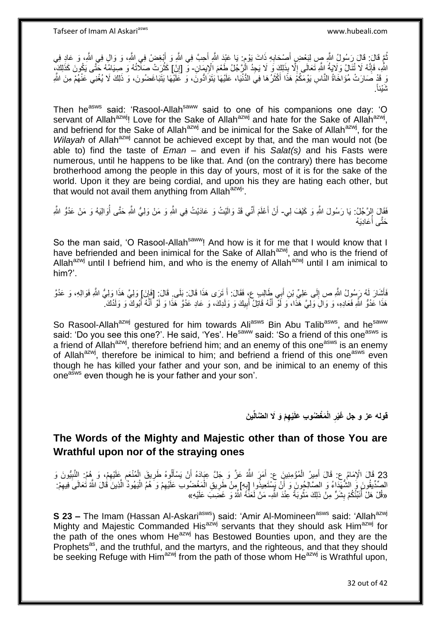Tafseer of Imam Al Askariasws www.hubeali.com

نُمَّ قَالَ: قَالَ رَسُولُ اللَّهِ صِ لِبَعْضِ أَصْحَابِهِ ذَاتَ يَوْمٍ: يَا عَبْدَ اللَّهِ أَحِبَّ فِي اللَّهِ وَ أَبْغِضْ فِي اللَّهِ، وَ وَالِ فِي اللَّهِ، وَ عَادِ فِي َ َ ֧֖֧֧֧֧֧֧֚֚֚֚֚֚֚֚֚֚֚֚֚֚֚֚֚֝֝֓֜֡֓֓֝֓֝֓֜֡֓֓ **∶** َ اللَّهِ، فَإِنَّهُ لَا تُنَالُ وَلَايَةُ اللَّهِ تَعَالَى إِلَّا بِذَلِكَ وَ لَا يَجِدُ الْرَّجُلُ طَعْمَ الْإِيمَانِ- وَّ [إِنْ] كَثُرَتْ صلَّاتُهُ وَ صِيَامُهُ خَتَّى يَكُونَ كَذَلِكَ<br>اللَّهِ الْجَمَعِينَ وَالْمَرْسَلِي ِ ِ ِ ان<br>المعاملات ا ِ قَدْ صَارَتْ مُؤَاخَاةُ النَّاسِ يَوْمَكُمْ هَذَا أَكْثَرُهَا فِي الدُّنْيَا، عَلَيْهَا يَتَوَادُّونَ، وَ كَلَيْهَا يَتَبَاغَضُونَ، وَ ذَلِكَ لَا يُغْنِي عَنْهُمْ مِنَ الثَّهِ ة<br>أ َ . َشْيئاً

Then he<sup>asws</sup> said: 'Rasool-Allah<sup>saww</sup> said to one of his companions one day: 'O servant of Allah<sup>azwj</sup>! Love for the Sake of Allah<sup>azwj</sup> and hate for the Sake of Allah<sup>azwj</sup>, and befriend for the Sake of Allah<sup>azwj</sup> and be inimical for the Sake of Allah<sup>azwj</sup>, for the *Wilayah* of Allah<sup>azwj</sup> cannot be achieved except by that, and the man would not (be able to) find the taste of *Eman* – and even if his *Salat(s)* and his Fasts were numerous, until he happens to be like that. And (on the contrary) there has become brotherhood among the people in this day of yours, most of it is for the sake of the world. Upon it they are being cordial, and upon his they are hating each other, but that would not avail them anything from Allah<sup>azwj</sup>.

فَقَالَ الرَّجُلُ: يَا رَسُولَ اللَّهِ وَ كَيْفَ لِي- أَنْ أَعْلَمَ أَنِّي قَدْ وَالَيْتُ وَ عَادَيْتُ فِي اللَّهِ وَ مَنْ عَذَرَهُ اللَّهِ حَتَّى أُوَالِيَهُ وَ مَنْ عَدُوُّ اللَّهِ ر<br>أن َ َ َ حَتَّى أَعَادِيَهُ :<br>أ

So the man said, 'O Rasool-Allah<sup>saww</sup>! And how is it for me that I would know that I have befriended and been inimical for the Sake of Allah<sup>azwj</sup>, and who is the friend of Allah<sup>azwj</sup> until I befriend him, and who is the enemy of Allah<sup>azwj</sup> until I am inimical to him?'.

فَأَشَارَ لَهُ رَسُولُ اللَّهِ ص إِلَى عَلِيِّ بْنِ أَبِي طَالِبٍ عِ، فَقَالَ: أَ تَرَى هَذَا قَالَ: بَلَى ۚ قَالَ: [فَإِنَ] وَلِيَّ هَذَا لَهِ أَوْ الِهِ، وَ عَدُوَّ َ َ יִי<br>; َ اِ هَذَا عَدُوُّ اللَّهِ فَعَادِهِ، وَ وَالِ وَلِيَّ هَذَا، وَ لَوْ أَنَّهُ قَاتِلُ أَبِيكَ وَ وَلَدِكَ، وَ عَادِ عَدُوَّ هَذَا وَ لَوْ أَنَّهُ أَبُوكَ وَ وَلَدُكَ. َ َ ِ َ َ

So Rasool-Allah<sup>azwj</sup> gestured for him towards Ali<sup>asws</sup> Bin Abu Talib<sup>asws</sup>, and he<sup>saww</sup> said: 'Do you see this one?'. He said, 'Yes'. He<sup>saww</sup> said: 'So a friend of this one<sup>asws</sup> is a friend of Allah<sup>azwj</sup>, therefore befriend him; and an enemy of this one<sup>asws</sup> is an enemy of Allah<sup>azwj</sup>, therefore be inimical to him; and befriend a friend of this one<sup>asws</sup> even though he has killed your father and your son, and be inimical to an enemy of this one<sup>asws</sup> even though he is your father and your son'.

> **ي َن َه قوله عز و جل ْم َو َال ال هضالِّ ْي َم ْغ ُضو َب َعلَ الْ َغْير َ**

# **The Words of the Mighty and Majestic other than of those You are Wrathful upon nor of the straying ones**

23 قَالَ الْإِمَامُ عِ: قَالَ أَمِيرُ الْمُؤْمِنِينَ عِ: أَمَرَ اللَّهُ عَنَّ وَ جَلَّ عِبَادَهُ أَنْ يَسْأَلُوهُ طَرِيقَ الْمُنْعَمِ عَلَيْهِمْ، وَ هُمُ: النَّبِيُّونَ وَ<br>. \* \* أَمْرَ بَيْنَ تَعَبَّدُ عَبَادَ بِلِيَّا وَ ِ ْ َ ْ ِ اً<br>ا َ َ الصِّدِّيةُونَ وَ الشُّهَدَاءُ وَ الصَّالِحُونَ وَ أَنْ يَبِنْتَعِيذُوا لِبِهِمْ إِهِنْ طَرِيقِ الْمَغْضُوبِ عَلَيْهِمْ وَ َهُمُ الْيَهُودُ الَّذِينَ قُالَ اللَّهُ تُعَالَى فِيهِمْ. ֦֧֦֦֦֦֦֦֝֝֝֝֝֝֝ َ ِ ِ ْ ِ ه :<br>ا «قُلْ هَلْ أَنْبَئُكُمْ بِشَرٍّ مِنْ ذلِكَ مَثُوبَةً عِنْدَ اللَّهِ- مَنْ لَعَنِّهُ اللَّهُ وَ غَضَبَ عَلَيْهِ» ً **∣** ر<br>ا

**S 23 –** The Imam (Hassan Al-Askari<sup>asws</sup>) said: 'Amir Al-Momineen<sup>asws</sup> said: 'Allah<sup>azwj</sup> Mighty and Majestic Commanded His<sup>azwj</sup> servants that they should ask Him<sup>azwj</sup> for the path of the ones whom He $^{azmj}$  has Bestowed Bounties upon, and they are the Prophets<sup>as</sup>, and the truthful, and the martyrs, and the righteous, and that they should be seeking Refuge with Him<sup>azwj</sup> from the path of those whom He<sup>azwj</sup> is Wrathful upon,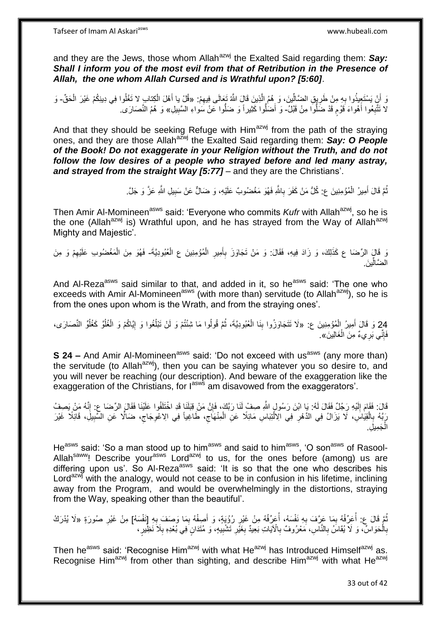and they are the Jews, those whom Allah<sup>azwj</sup> the Exalted Said regarding them: **Say:** *Shall I inform you of the most evil from that of Retribution in the Presence of Allah, the one whom Allah Cursed and is Wrathful upon? [5:60]*.

وَ أَنْ يَسْتَعِيذُوا بِهِ مِنْ طَرِيقِ الضَّالِّينَ، وَ هُمُ الَّذِينَ قَالَ اللَّهُ تَعَالَى فِيهِمْ. «قُلْ يا أَهْلَ الْكِتابِ لا تَغْلُوا فِي دِينِكُمْ غَيْرَ الْحَقِّ- وَ ِ ِ ِ ه ْ ْ َ لا نَتَّبِعُوا أَهْواءَ قَوْمٍ قَدْ ضَلَّوا مِنْ قَبْلُ- وَ أَضَلُّوا كَثِيراً وَ ضَلَّوا عَنْ سَواءِ السَّبِيلِ» وَ هُمُ النَّصَارَى. َ ِ **!** َ

And that they should be seeking Refuge with Him<sup>azwj</sup> from the path of the straying ones, and they are those Allah<sup>azwj</sup> the Exalted Said regarding them: Say: O People *of the Book! Do not exaggerate in your Religion without the Truth, and do not follow the low desires of a people who strayed before and led many astray, and strayed from the straight Way [5:77]* – and they are the Christians'.

> نُّمَّ قَالَ أَمِيرُ الْمُؤْمِنِينَ ع: كُلُّ مَنْ كَفَرَ بِاللَّهِ فَهُوَ مَغْضُوبٌ عَلَيْهِ، وَ ضَالٌّ عَنْ سَبِيلِ اللَّهِ عَزَّ وَ جَلَّ. ِ ِ ْ َ ُ

Then Amir Al-Momineen<sup>asws</sup> said: 'Everyone who commits *Kufr* with Allah<sup>azwj</sup>, so he is the one (Allah<sup>azwj</sup> is) Wrathful upon, and he has strayed from the Way of Allah<sup>azwj</sup> Mighty and Majestic'.

نَ قَالَ الرِّصَا عِ كَذَلِكَ، وَ زَادَ فِيهِ، فَقَالَ: وَ مَنْ تَجَاوَزَ بِأَمِيرِ الْمُؤْمِنِينَ عِ الْعُبُودِيَّةَ- فَهُوَ مِنَ الْمَغْضُوبِ عَلَيْهِمْ وَ مِنَ ْ ْ **ٍ** َ ِ ِ الضَّالِّينَ.

And Al-Reza<sup>asws</sup> said similar to that, and added in it, so he<sup>asws</sup> said: 'The one who exceeds with Amir Al-Momineen<sup>asws</sup> (with more than) servitude (to Allah<sup>azwj</sup>), so he is from the ones upon whom is the Wrath, and from the straying ones'.

24 وَ قَالَ أُمِيرُ الْمُؤْمِنِينَ ع: «لَا تَتَجَاوَزُوا بِنَا الْعُبُودِيَّةَ، ثُمَّ قُولُوا مَا شِئْتُمْ وَ لَنْ تَبْلُغُوا وَ إِيَّاكُمْ وَ الْغُلُوَّ كَغُلُوِّ النَّصَارَى، ُ ا<br>ا ْ ِ ُ ان<br>المقامات ْ ِ ْ َ فَإِنِّي بَرِيءٌ مِنَ الْغَالِينَ». ِ ْ

**S 24 –** And Amir Al-Momineen<sup>asws</sup> said: 'Do not exceed with us<sup>asws</sup> (any more than) the servitude (to Allah<sup>azwj</sup>), then you can be saying whatever you so desire to, and you will never be reaching (our description). And beware of the exaggeration like the exaggeration of the Christians, for  $I^{asws}$  am disavowed from the exaggerators'.

قَالَ: فَقَامَ إِلَيْهِ رَجُلٌ فَقَالَ لَهُ: يَا ابْنَ رَسُولٍ اللَّهِ صِفٍ لَنَا رَبَّكَ، فَإِنَّ مَنْ قِبَلَنَا قَدِ اخْتَلَفُوا عَلَيْنَا فَقَالَ الرِّضَا عِ: إِنَّهُ مَنْ يَصِفُ ِ لَ ِ  $\frac{1}{2}$ ِّ بَهُ بِالْقِيَاسِ، لَا يَزَالُ فِي الدَّهْرِ فِي الِالْتِبَاسِ مَائِلًا عَنِ الْمِنْهَاجِ، طَاغِياً فِي الِاعْوِجَاجِ، ضَالًا عَنِ السَّبِيلَِ، قَائِلًا غَيْرَ **∶** ْ ِ ِ ِ ْ ِل. جَمِيا ْ ال

He<sup>asws</sup> said: 'So a man stood up to him<sup>asws</sup> and said to him<sup>asws</sup>, 'O son<sup>asws</sup> of Rasool-Allah<sup>saww</sup>! Describe your<sup>asws</sup> Lord<sup>azwj</sup> to us, for the ones before (among) us are differing upon us'. So Al-Reza<sup>asws</sup> said: 'It is so that the one who describes his Lord<sup>azwj</sup> with the analogy, would not cease to be in confusion in his lifetime, inclining away from the Program, and would be overwhelmingly in the distortions, straying from the Way, speaking other than the beautiful'.

نُمَّ قَالَ ع: أَعَرِّفُهُ بِمَا عَرَّفَ بِهِ نَفْسَهُ، أَعَرِّفُهُ مِنْ غَيْرِ رُؤْيَةٍ، وَ أَصِفُهُ بِمَا وَصَفَ بِهِ [نَفْسَهُ] مِنْ غَيْرِ صُورَةٍ «لَا يُدْرَكُ **∶** ِ ِ **∶** ِ :<br>ا ُ ِ بِالْحَوَاسِّ، وَ لَا يُقَاسُ بِالنَّاسِ، مَعْرُوفٌ بِالْآيَاتِ بَعِيدٌ بِغَيْرِ تَشْبِيَهِ، وَ مُتَدَانٍ َفِي بُعْدِهِ بِلَا نَظِيرٍ، ْ **∶ ∶ ! ∶** ِ **∶ ∶** 

Then he<sup>asws</sup> said: 'Recognise Him<sup>azwj</sup> with what He<sup>azwj</sup> has Introduced Himself<sup>azwj</sup> as. Recognise Him<sup>azwj</sup> from other than sighting, and describe Him<sup>azwj</sup> with what He<sup>azwj</sup>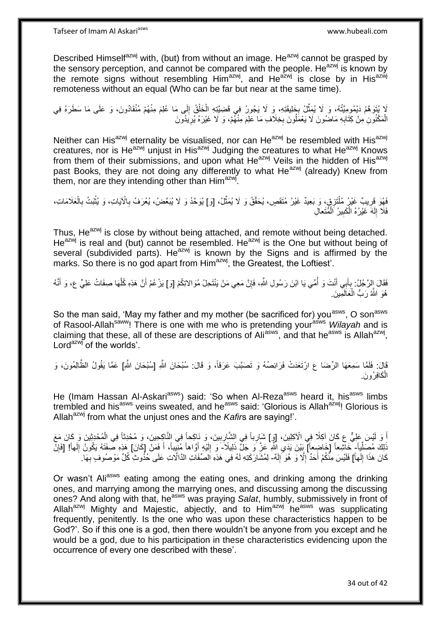Tafseer of Imam Al Askariasws www.hubeali.com

Described Himself<sup>azwj</sup> with, (but) from without an image. He<sup>azwj</sup> cannot be grasped by the sensory perception, and cannot be compared with the people. He<sup>azwj</sup> is known by the remote signs without resembling Him<sup>azwj</sup>, and He<sup>azwj</sup> is close by in His<sup>azwj</sup> remoteness without an equal (Who can be far but near at the same time).

لَا يُنَوَهَمُ دَيْمُومِيَّتُهُ، وَ لَا يُمَثِّلُ بِخَلِيقَتِهِ، وَ لَا يَجُورُ فِي قَضِيَّتِهِ الْخَلْقُ إِلَى مَا عُلِمَ مِنْهُمْ مُنْقَادُونَ، وَ عَلَى مَا سَطَرَهُ فِي ِ ْ ْ ِ ه الْمَكْنُونِ ٰمِنْ كِتَابِهِ مَاضُونَ لَا يَعْمَلُونَ بِخِلَافِ مَا عَلِمَ مِنْهُمْ، وَ لَا غَيْرَهُ يُرِيَدُونَ **∶** ِ **∶** 

Neither can His<sup>azwj</sup> eternality be visualised, nor can He<sup>azwj</sup> be resembled with His<sup>azwj</sup> creatures, nor is He<sup>azwj</sup> unjust in His<sup>azwj</sup> Judging the creatures to what He<sup>azwj</sup> Knows from them of their submissions, and upon what He<sup>azwj</sup> Veils in the hidden of His<sup>azwj</sup> past Books, they are not doing any differently to what He<sup>azwj</sup> (already) Knew from them, nor are they intending other than Him<sup>azwj</sup>.

فَهُوَ قَرِيبٌ غَيْرُ مُلْتَزِقٍ، وَ بَعِيدٌ غَيْرُ مُتَقَصِ، يُحَقَّقُ وَ لَا يُمَثَّلُ، [وَ] يُوَحَّدُ وَ لَا يُبَعَّضُ، يُعْرَفُ بِالْأَيَاتِ، وَ يُثْبَتُ بِالْعَلَامَاتِ،<br>تَعِيفَ الْجَمَاءِ فَلَمْ يُثْبَتُ بِالْعَلَام ْ ِ ْ **∶ ٔ** ِ ه فَلَا إِلَهَ غَيْرُهُ الْكَبِيرُ الْمُتَعالِ لَ ∣∣<br>∶ ْ ِ ْ

Thus, He<sup>azwj</sup> is close by without being attached, and remote without being detached. He<sup>azwj</sup> is real and (but) cannot be resembled. He<sup>azwj</sup> is the One but without being of several (subdivided parts). He<sup>azwj</sup> is known by the Signs and is affirmed by the marks. So there is no god apart from Him<sup>azwj</sup>, the Greatest, the Loftiest'.

فَقَالَ إِلرَّجُلُ: بِبَأْبِي أَنْتَ وَ أُمِّي يَا ابْنَ رَسُولِ اللَّهِ، فَإِنَّ مَعِي مَنْ يَنْتَحِلُ مُوَالاتِكُمْ [وَ] يَزْعُمُ أَنَّ هَذِهِ كُلَّهَا صِفَاتُ عَلِيٍّ ع، وَ أَنَّهُ ِ ُ َ َ **∶** َ ه َ هُوَ اللَّهُ رَبُّ الْمَعَالَمِينَ<sub>.</sub> ْ

So the man said, 'May my father and my mother (be sacrificed for) you<sup>asws</sup>, O son<sup>asws</sup> of Rasool-Allahsaww! There is one with me who is pretending yourasws *Wilayah* and is claiming that these, all of these are descriptions of Ali<sup>asws</sup>, and that he<sup>asws</sup> is Allah<sup>azwj</sup>, Lord<sup>azwj</sup> of the worlds'.

قَالَ: فَلَمَّا سَمِعَهَا الرِّضَا عِ ارْتَعَدَتْ فَرَائِصُهُ وَ تَصَبَّبَ عَرَقاً، وَ قَالَ: سُبْحَانَ اللَّهِ [سُبْحَانَ اللَّهِ] عَمَّا يَقُولُ الظَّالِمُونَ، وَ الْكَافِرُونَ. ْ

He (Imam Hassan Al-Askari<sup>asws</sup>) said: 'So when Al-Reza<sup>asws</sup> heard it, his<sup>asws</sup> limbs trembled and his<sup>asws</sup> veins sweated, and he<sup>asws</sup> said: 'Glorious is Allah<sup>azwj</sup>! Glorious is Allah<sup>azwj</sup> from what the unjust ones and the *Kafir*s are saying!'.

ِ أَ وَ لَيْسَ عَلِيٌّ ع كَانَ آكِلًا فِي الْأَكِلِينَ، [وَ] شَارِباً فِي الشَّارِبِينَ، وَ نَاكِحاً فِي النَّاكِحِينَ، وَ مُحْدِثاً فِي الْمُحْدِثِينَ وَ كَانَ مَعَ ْ **! ٍ** ذَلِكَ مُصَلِّياً- خَاشِعاً [خَاضِعاً] بَيْنَ يَدَي اللَّهِ عَزَّ وَ جَلَّ ذَلِيلاً- وَ إِلَيْهِ أَوَّاهاً مُنْتِيباً، أَ فَمَنْ [كَانَ] هَذِهِ صَّفْتَهُ يَكُونُ إِلَهاً! [فَإِنْ ِّ  $\ddot{\cdot}$ َ اُ لَ ِ ِ ِ كَانَ هَذَا إِلَهاً] فَلَيْسَ مِنْكُمْ أَحَدٌ إِلَّا وَ هُوَ ۖ إِلَهٌ- لِمُشَارَكَتِهِ لَهُ فِي هَذِهِ اَلصِّفَاتِ الذّالّاتِ عَلَى حُذُوثٌ كُلِّ مَوْصُوفٍ بِهَا. لَ ِ ِ َ  $\frac{1}{2}$ ِ

Or wasn't Aliasws eating among the eating ones, and drinking among the drinking ones, and marrying among the marrying ones, and discussing among the discussing ones? And along with that, he<sup>asws</sup> was praying *Salat*, humbly, submissively in front of Allah<sup>azwj</sup> Mighty and Majestic, abjectly, and to Him<sup>azwj</sup> he<sup>asws</sup> was supplicating frequently, penitently. Is the one who was upon these characteristics happen to be God?'. So if this one is a god, then there wouldn't be anyone from you except and he would be a god, due to his participation in these characteristics evidencing upon the occurrence of every one described with these'.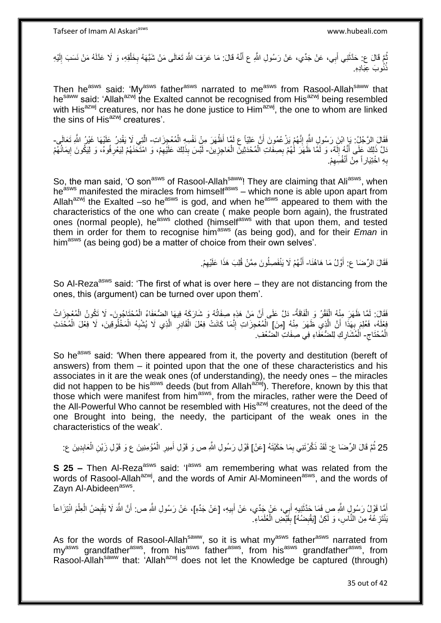بُّمَّ قَالَ ع: حَذَّثَنِي أَبِي، عَنْ جَدِّي، عَنْ رَسُولِ اللَّهِ ع أَنَّهُ قَالَ: مَا عَرَفَ اللَّهَ تَعَالَى مَنْ شَبَّهَهُ بِخَلْقِهِ، وَ لَا عَذَلَهُ مَنْ نَسَبَ إِلَيْهِ َ َ َ لَ ِ ْ ِ نُنُوبَ عِبَادِهِ.

Then he<sup>asws</sup> said: 'My<sup>asws</sup> father<sup>asws</sup> narrated to me<sup>asws</sup> from Rasool-Allah<sup>saww</sup> that he<sup>saww</sup> said: 'Allah<sup>azwj</sup> the Exalted cannot be recognised from His<sup>azwj</sup> being resembled with His<sup>azwj</sup> creatures, nor has he done justice to  $\overline{H}$  Him<sup>azwj</sup>, the one to whom are linked the sins of His<sup>azwj</sup> creatures'.

فَقَالَ الرَّجُلُ: بَإِ ابْنَ رَسُولِ اللَّهِ إِنَّهُمْ يَزْعُمُونَ أَنَّ عَلِيّاً ع لَمَّا أَظْهَرَ مِنْ نَفْسِهِ الْمُعْجِزَاتِ- الَّتِي لَا يَقْدِرُ عَلَيْهَا غَيْرُ اللَّهِ تَعَالَمِ-ْ َ ِ َنَا ۚ ذَلِكَ عَلَى أَنَّهُ إِلَهٌ، وَ لَمَّا ظَهَرَ لَهُمْ بِصِفَاتِ الْمُحْدَثِينَ الْعَاجِزِينَ- لَبَّسَ بِذَلِكَ عَلَيْهِمْ، وَ امْتَحَنَهُمْ لِيَعْرِفُوهُ، وَ لِيَكُونَ إِيمَانُهُمْ لَ ِ َ ِ ْ ْ ِ ِ ِ ِ لَ بِهِ اخْتِيَاراً مِنْ أَنْفُسِهِمْ. ِ َ ِ

So, the man said, 'O son<sup>asws</sup> of Rasool-Allah<sup>saww</sup>! They are claiming that Ali<sup>asws</sup>, when he<sup>asws</sup> manifested the miracles from himself<sup>asws</sup> – which none is able upon apart from Allah<sup>azwj</sup> the Exalted –so he<sup>asws</sup> is god, and when he<sup>asws</sup> appeared to them with the characteristics of the one who can create ( make people born again), the frustrated ones (normal people), he<sup>asws</sup> clothed (himself<sup>asws</sup> with that upon them, and tested them in order for them to recognise himasws (as being god), and for their *Eman* in him<sup>asws</sup> (as being god) be a matter of choice from their own selves'.

> فَقَالَ الرِّضَا ع: أَوَّلُ مَا هَاهُنَا- أَنَّهُمْ لَا يَنْفَصِلُونَ مِمَّنْ قُلِبَ هَذَا عَلَيْهِمْ. َ ِ َ

So Al-Reza<sup>asws</sup> said: 'The first of what is over here  $-$  they are not distancing from the ones, this (argument) can be turned over upon them'.

فَقَالَ: لَمَّا ظَهَرَ مِنْهُ الْفَقْرُ وَ الْفَاقَةُ- دَلَّ عَلَى أَنَّ مَنْ هَذِهٍ صِفَاتُهُ وَ شَارَكَهُ فِيهَا الضُّعَفَاءُ الْمُحْتَاجُورَ - لَا تَكُونُ الْمُعْجِزَاتُ ْ ْ ْ ِعْلَهُ، فَعُلِمَ بِهَذَا أَنَّ الَّذِي ظَهَرَ مِنْهُ [مِنَ] الْمُعْجِزَاتِ إِنَّمَا كَانَتْ فِعْلَ الْقَادِرِ الَّذِي لَا يُشْبِهُ الْمَخْلُوقِينَ، لَا فِعْلَ الْمُخْدَثِ ه َ **∶** ه **∶** ْ ِ ْ ْ ِ ِ الْمُخْتَاجِ- الْمُشَارِكِ لِلضُّعَفَاءِ فِي صِفَاتِ الضَّعْفِ. ْ ِ ْ

So he<sup>asws</sup> said: 'When there appeared from it, the poverty and destitution (bereft of answers) from them – it pointed upon that the one of these characteristics and his associates in it are the weak ones (of understanding), the needy ones – the miracles did not happen to be his<sup>asws</sup> deeds (but from Allah<sup>azwj</sup>). Therefore, known by this that those which were manifest from him<sup>asws</sup>, from the miracles, rather were the Deed of the All-Powerful Who cannot be resembled with His $a_{\text{av}}$  creatures, not the deed of the one Brought into being, the needy, the participant of the weak ones in the characteristics of the weak'.

25 ثُمَّ قَالَ الرِّضَا ع: لَقَدْ ذَكَّرْتَنِي بِمَا حَكَيْتَهُ [عَنْ] قَوْلِ رَسُولِ اللَّهِ ص وَ قَوْلِ الْمُؤْمِنِينَ ع وَ قَوْلِ زَيْنِ الْعَابِدِينَ ع: ِ ْ ْ َ ِ

**S 25 –** Then Al-Reza<sup>asws</sup> said: 'I<sup>asws</sup> am remembering what was related from the words of Rasool-Allah<sup>azwj</sup>, and the words of Amir Al-Momineen<sup>asws</sup>, and the words of Zayn Al-Abideen<sup>asws</sup>.

أَهَا قَوْلُ رَسُولِ اللَّهِ صِ فَمَا حَذَّثَنِيهِ أَبِي، عَنْ جَدِّي، عَنْ أَبِيهِ، [عَنْ جَدِّهِ]، عَنْ رَسُولِ اللَّهِ ص: أَنَّ اللَّهَ لَا يَقْبِضُ الْعِلْمَ انْتِزَاعاً ِ َ َ َ َ ْ ْ ِ َ يَنْتَزِ عُهُ مِنَ النَّاسِ، وَ لَكِنْ [يَقْبِضُهُ] بِقَيْضِ الْعُلَمَاءِ ۖ ِ **ِ** ْ **∣** 

As for the words of Rasool-Allah<sup>saww</sup>, so it is what my<sup>asws</sup> father<sup>asws</sup> narrated from my<sup>asws</sup> grandfather<sup>asws</sup>, from his<sup>asws</sup> father<sup>asws</sup>, from his<sup>asws</sup> grandfather<sup>asws</sup>, from Rasool-Allah<sup>saww</sup> that: 'Allah<sup>azwj</sup> does not let the Knowledge be captured (through)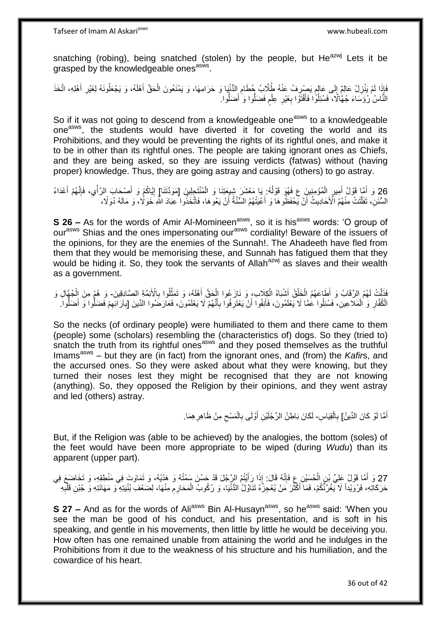snatching (robing), being snatched (stolen) by the people, but He<sup>azwj</sup> Lets it be grasped by the knowledgeable ones<sup>asws</sup>.

ٍ فَإِذَا لَمْ يَنْزِلْ عَالِمٌ إِلَى عَالِمٍ يَصْرِفُ عَنْهُ طُلَّابُ جُطَامِ الدُّنْيَا وَ حَرَامِهَا، وَ يَمْنَعُونَ الْحَقَّ أَهْلَهُ، وَ يَجْعَلُونَهُ لِغَيْرِ أَهْلِهِ، اتَّخَذَ ِ ِ ِ <u>ุ</u> َ ِ َ ْ النَّاسُ ٰرُؤَسَاءَ جُهَّالًا، ۖ فَسُئِلُوَۢ ا فَأَفْتَوْا بِغَيْرِ عِلْمِ فَضَلُّوا وَ ٰ أَضَلُّوا ِ َ ٍ ْ ِ ِ َ

So if it was not going to descend from a knowledgeable one<sup>asws</sup> to a knowledgeable one<sup>asws</sup>, the students would have diverted it for coveting the world and its Prohibitions, and they would be preventing the rights of its rightful ones, and make it to be in other than its rightful ones. The people are taking ignorant ones as Chiefs, and they are being asked, so they are issuing verdicts (fatwas) without (having proper) knowledge. Thus, they are going astray and causing (others) to go astray.

26 وَ أَمَّا قَوْلُ أُمِينِ الْمُؤْمِنِينَ عِ فَهُوَ قَوْلُهُ: يَا مَعْشَرَ شِيعَتِنَا وَ الْمُنْتَجِلِينَ [مَوتَتَنَا] إِيَّاكُمْ وَ أَصْحَابَ الرَّأْيِ، فَإِنَّهُمْ أَعْدَاءُ<br>للهُ يَسَبَّرَ وَمَا مُوسَوِّياً عَلَى الْمُ َ ه ا∣<br>ِ∘ِ ا<br>ا ْ َ َ  $\frac{1}{2}$ َ ֖֧֦֧֦֧֦֧֦֧֦֧֦֧֦֧ׅ֧֦֧ׅ֧֦֧֦֧֦֧֦֧֦֧֦֧֦֧֦֧֦֧֦֧֦֧֦֧֦֧֦֧֦֧֦֧֚֜֓֓֜֓֓֓֞֡<br>֧֜֩֞֘ ْ السُّنَنِ، تَفَلَّتَتْ مِنْهُمُ الْأَحَادِيثُ أَنْ يَحْفَظُوهَا وَ أَعْيَتْهُمُ السَّنَّةُ أَنْ يَعُوهَا، فَاتَّخَذُوا عِبَادَ اللَّهِ خَوَلاً، وَ مَالَهُ دُوَلَا، ه اُ َ َ

**S 26 –** As for the words of Amir Al-Momineen<sup>asws</sup>, so it is his<sup>asws</sup> words: 'O group of our<sup>asws</sup> Shias and the ones impersonating our<sup>asws</sup> cordiality! Beware of the issuers of the opinions, for they are the enemies of the Sunnah!. The Ahadeeth have fled from them that they would be memorising these, and Sunnah has fatigued them that they would be hiding it. So, they took the servants of Allah<sup>azwj</sup> as slaves and their wealth as a government.

فَذَلَتْ لَهُمُ الرِّقَابُ وَ أَطَاعَهُمُ الْخَلْقُ أَشْبَاهُ الْكِلَابِ، وَ نَازَعُوا الْحَقَّ أَهْلَهُ، وَ تَمَثَّلُوا بِالْأَئِمَّةِ الصَّادِقِينَ- وَ هُمْ مِنَ الْجُهَّالِ وَ ْ َ ْ ْ **∶** ه َ ْ ْ الْمُُفَّارِ وَ الْمَلاعِينِ، فَسُئِلُوا عُمَّا لَا يَعْلَمُونَ، فَأَنِفُوا أَنْ يَعْتَرِفُوا بِأَنَّهُمْ لَا يَعْلَمُونَ، فَعَارَضُوا الدِّينَ [بِأَرَائِهِمْ فَضَلُّوا وَ أَضَلُّوا ۖ َ ِ ِ َ ْ **∶** ِ ُّ َ ِ

So the necks (of ordinary people) were humiliated to them and there came to them (people) some (scholars) resembling the (characteristics of) dogs. So they (tried to) snatch the truth from its rightful ones<sup>asws</sup> and they posed themselves as the truthful Imams<sup>asws</sup> – but they are (in fact) from the ignorant ones, and (from) the *Kafirs*, and the accursed ones. So they were asked about what they were knowing, but they turned their noses lest they might be recognised that they are not knowing (anything). So, they opposed the Religion by their opinions, and they went astray and led (others) astray.

> أَمَّا لَوْ كَانَ الدِّينُ] بِالْقِيَاسِ- لَكَانَ بَاطِنُ الرِّجْلَيْنِ أَوْلَى بِالْمَسْحِ مِنْ ظَاهِرِ هِمَا َ ْ ِ **∶** ِ ْ ِ َ

But, if the Religion was (able to be achieved) by the analogies, the bottom (soles) of the feet would have been more appropriate to be wiped (during *Wudu*) than its apparent (upper part).

27 وَ أَمَّا قَوْلُ عَلِيٍّ بْنِ الْحُسَيْنِ عِ فَإِنَّهُ قَالَ: إِذَا رَأَيْتُمُ الرَّجُلَ قَدْ حَسُنَ سَمْتُهُ وَ هَدْيُهُ، وَ تَمَاوَتَ فِي مَنْطِقِهِ، وَ تَخَاضَعَ فِي َ َ ِ ه<br>:<br>: ׀ו<br>ِי ْ َ حَرَكَاتِهِ، فَرُوَيْداً لَا يَغُرَّنَّكُمْ، فَمَا أَكْثَرَ مَنْ يُعْجِزُهُ تَنَاوُلُ الدُّنْيَا، وَ رُكُوبُ الْمَحَارِمِ مِنْهَا، لِضَعْفِ بُنْيَتِهِ وَ هَهَانَتِهِ وَ جُبْنِ قَلْبِهِ  $\ddot{\phantom{0}}$ َ ِ ِ ْ **∶** ْ

**S 27 –** And as for the words of Ali<sup>asws</sup> Bin Al-Husayn<sup>asws</sup>, so he<sup>asws</sup> said: 'When you see the man be good of his conduct, and his presentation, and is soft in his speaking, and gentle in his movements, then little by little he would be deceiving you. How often has one remained unable from attaining the world and he indulges in the Prohibitions from it due to the weakness of his structure and his humiliation, and the cowardice of his heart.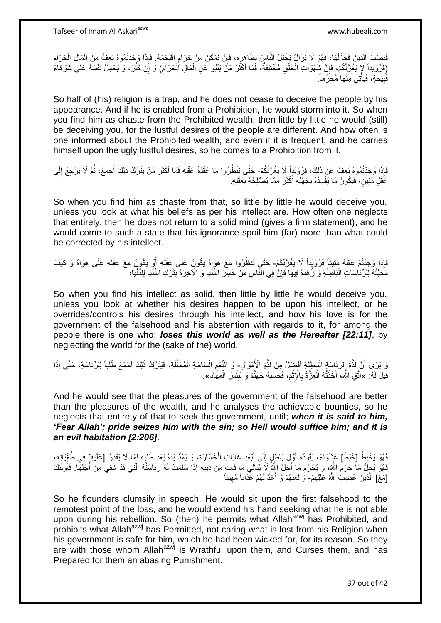َفَنَصَبَ الدِّينَ فَخَّاً لَهَا، فَهُوَ لَا يَزَالُ يَخْتِلُ النَّاسِ بِظَاهِرٍهِ، فَإِنْ تَمَكَّنَ مِنْ حَرَامٍ اقْتَحَمَهُ. فَإِذَا وَجَدْتُمُوهُ يَعِفُّ مِنَ الْمَالِ الْحَرَامِ ֧֧֚֓֝֝֓֝  $\frac{1}{2}$ ِ ِ ِ ْ ْ (ِفَرُوَيْداً لَإِ يَغُرَّنَّكُمْ، فَإِنَّ شَهَوَاتِ الْخَلْقِ مُخْتَلِفَةٌ، فَمَا أَكْثَرَ مَنْ يَنْبُو عَنِ الْمَالِ أَلْحَرَامِ) وَ إِنْ كَثُرَ، وَ يَحْمِلُ نَفْسَهُ عَلَى شَوْهَاءَ ْ ْ َ َ ْ ْ ِ ِ ر<br>نا ِ قَبِيحَةٍ، فَيَأْتِي مِنْهَا مُحَرَّماً. ֧֖֦֧֦֧֦֧֦֧֦֧֦֦֦֦֦֦֦֧֧֦֧֝֟֓֓֓֓֓֓֓֓֓֓֓֓֓֓֓֡֟֓֓֓֓֓֓֓֓֓֓֓֡֓֓֡֓֓֡֓֓֡֓֓֡֬֓֓֡֡֬֓֓֡֡֬֓֓ **!** 

So half of (his) religion is a trap, and he does not cease to deceive the people by his appearance. And if he is enabled from a Prohibition, he would storm into it. So when you find him as chaste from the Prohibited wealth, then little by little he would (still) be deceiving you, for the lustful desires of the people are different. And how often is one informed about the Prohibited wealth, and even if it is frequent, and he carries himself upon the ugly lustful desires, so he comes to a Prohibition from it.

فَإِذَا وَجَدْتُمُوهُ يَعِفُّ عَنْ ذَلِكَ، فَرُوَيْداً لَا يَغُرَّنَّكُمْ- حَتَّى تَنْظُرُوا مَا عُقْدَةُ عَقْلِهِ فَمَا أَكْثَرَ مَنْ يَتْرُكُ ذَلِكَ أَجْمَعَ، ثُمَّ لَا يَرْجِعُ إِلَى ُ َ َ َ لَ ِ عََقْلٍ مَتِينٍ، فَيَكُونُ مَا يُفْسِدُهُ بِجَهْلِهِ أَكْثَرَ مِمَّا يُصْلِحُهُ بِعَقْلِهِ. **∶** َ **∶** 

So when you find him as chaste from that, so little by little he would deceive you, unless you look at what his beliefs as per his intellect are. How often one neglects that entirely, then he does not return to a solid mind (gives a firm statement), and he would come to such a state that his ignorance spoil him (far) more than what could be corrected by his intellect.

َفَإِذَا وَجَدْتُمْ عَقْلَهُ مَتِيناً فَرُوَيْداً لَا يَغُرَّنَّكُمْ- حَتَّي تَتْظُرُوا مَعَ هَوَاهُ يَكُونُ عَلَى عَقْلِهِ أَوْ يَكُونُ مَعَ عَقْلِهِ عَلَى هَوَاهُ وَ كَيْفَ<br>وَأَرْقَبُ بِرَبُرِينَ مَعَ الْقَالِمَ وَمَثَل لَ َ مَحَبَّتُهُ لِلرِّئَاسَاتِ الْبَاطِلَةِ وَ زُهْدُهُ فِيهَا فَإِنَّ فِي النَّاسِ مَنْ خَسِرَ الدُّنْيا وَ الْآخِرَةَ بِتَرْكِ الدُّنْيَا لِلدُّنْيَا، ِ :<br>ا ِ

So when you find his intellect as solid, then little by little he would deceive you, unless you look at whether his desires happen to be upon his intellect, or he overrides/controls his desires through his intellect, and how his love is for the government of the falsehood and his abstention with regards to it, for among the people there is one who: *loses this world as well as the Hereafter [22:11]*, by neglecting the world for the (sake of the) world.

وَ يَرَى أَنَّ لَذَّةَ إِلزَّذَاسَةِ الْبَاطِلَةِ أَفْضِلُ مِنْ لَذَّةِ الْأَمْوَالِ- وَ النِّعَمِ الْمُبَاحَةِ الْمُحَلَّلَةِ، فَيَتْرُكُ ذَلِكَ أَجْمَعَ طَلَباً لِلرِّئَاسَةِ، حَتَّى إِذَا اً ْ َ لَ ه ْ ْ ِ قِيلَ لَهُ: «اتَّقِ اللَّهَ، أَخَذَتْهُ الْعِزَّةُ بِالْإِثْمِ، فَحَسْبُهُ جَهَنَّمُ وَ لَبِئْسَ الْمِهَادُ». ِ ْ **∶** ْ َ ْ **∣** 

And he would see that the pleasures of the government of the falsehood are better than the pleasures of the wealth, and he analyses the achievable bounties, so he neglects that entirety of that to seek the government, until; *when it is said to him, 'Fear Allah'; pride seizes him with the sin; so Hell would suffice him; and it is an evil habitation [2:206]*.

فَهُوَ يَخْبِطُ [خَبْطَ] عَشْوَاءَ، يَقُودُهُ أَوَّلُ بَاطِلٍ إِلَى أَبْعَدِ غَايَاتِ الْخَسَارَةِ، وَ يَمُدُّ يَدَهُ بَعْدَ طَلَبِهِ لِمَا لَا يَقْدِرُ [عَلَيْهِ] فِي طُغْيَانِهِ، ْ َ ∣∣<br>∶ َ ¦ ِ فَهُوَ يُجِلُّ مَا حَرَّمَ اللَّهِ، وَ يُحَرِّمُ مَا أَحَلَّ اللَّهُ لَا يَبَالِي مَا فَاتَ مِنْ دِينِهِ إِذَا سَلِمَتْ لَهُ رِئَاسَتُهُ الَّتِي قَدْ شَقِيَ مِنْ أَجْلِهَا. فَأُولَئِكَ َ ِ ֧֝֟֓֓<u>֓</u>֧֧֧֧֧֢֓֝֬֓֓֓֓֓֓֓֓׆֬ ا<br>استعمال [مَعَ] الَّذِينَ غَضِبَ النَّهُ عَلَيْهِمْ- وَٰ لَعَنَهُمْ وَ أَعَدَّ لَهُمْ عَدَاباً مُهِيناً ِ ِ َ

So he flounders clumsily in speech. He would sit upon the first falsehood to the remotest point of the loss, and he would extend his hand seeking what he is not able upon during his rebellion. So (then) he permits what Allah<sup>azwj</sup> has Prohibited, and prohibits what Allah<sup>azwj</sup> has Permitted, not caring what is lost from his Religion when his government is safe for him, which he had been wicked for, for its reason. So they are with those whom Allah $a^{2x\dot{w}j}$  is Wrathful upon them, and Curses them, and has Prepared for them an abasing Punishment.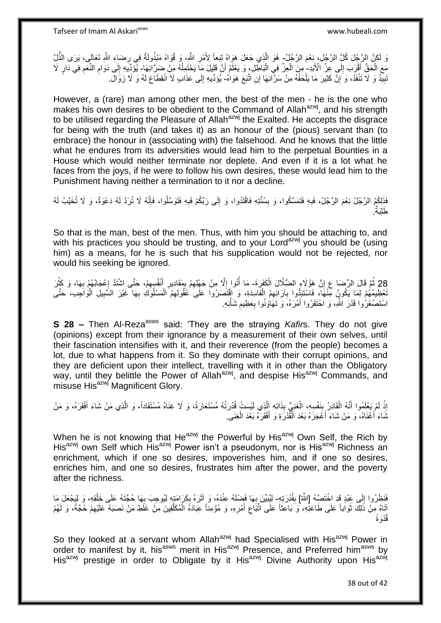وَ لَكِنَّ الرَّجُلَ كُلَّ الرَّجُلِ، نِعْمَ الرَّجُلُ- هُوَ الَّذِي جَعَلَ هَوَاهُ تَبَعاً لِأَمْرِ اللَّهِ، وَ قُوَاهُ مَبْذُولَةً فِي رِضَاءِ اللَّهِ تَعَالَى، يَرَى الذُّلِّ **ٍ** ِ مَعَ الْحَقِّ أَقْرَبَ إِلَى عِنِّ الْأَبَدِ ۚ مِنَ الْعِنِّ فِي الْبَاطَلِ، وَ يَعْلَمُ أَنَّ قَلِيلَ مَا يَحْتَمِلُهُ مِنْ ضَرَّ ابْهَا . يُؤَكِّبُهِ إِلَى دَوَامِ النُّعَمِ فِي دَارٍ لَا ِ َ ْ ا<br>ا اُ ْ ِ  $\ddot{\phantom{a}}$ ِ نَبِيَدُ وَ لَا تَنْفَدُ، وَ إِنَّ كَثِيرَ مَا يَلْحَقُهُ مِنْ سَرَّائِهَا إِنِ اتَّبَعَ هَوَاهُ- يُؤَدِّيهِ إِلَى عَذَابٍ لَا انْقِطَاعَ لَهُ وَ لَا زَوَالَ. יֲ<br>י **!** ْ ِ

However, a (rare) man among other men, the best of the men - he is the one who makes his own desires to be obedient to the Command of Allah<sup>azwj</sup>, and his strength to be utilised regarding the Pleasure of Allah $a^{2}$ wj the Exalted. He accepts the disgrace for being with the truth (and takes it) as an honour of the (pious) servant than (to embrace) the honour in (associating with) the falsehood. And he knows that the little what he endures from its adversities would lead him to the perpetual Bounties in a House which would neither terminate nor deplete. And even if it is a lot what he faces from the joys, if he were to follow his own desires, these would lead him to the Punishment having neither a termination to it nor a decline.

ا<br>ا فَذِلِكُمُ الرَّجُلُ نِعْمَ الرَّجُلُ، فَبِهِ فَتَمَسَّكُوا، وَ بِسُنَّتِهِ فَاقْتَدُوا، وَ إِلَى رَبِّكُمْ فَبِهِ فَتَوَسَّلُوا، فَإِنَّهُ لَا تُرَدَّ لَهُ دَعْوَةٌ، وَ لَا تُخَيَّبُ لَهُ ِ ِ **ِ ∶** ׀ו<br>ِי . َطلَِبةٌ

So that is the man, best of the men. Thus, with him you should be attaching to, and with his practices you should be trusting, and to your Lord<sup>azwj</sup> you should be (using him) as a means, for he is such that his supplication would not be rejected, nor would his seeking be ignored.

28 ثُمَّ قَالَ الرِّحْمَا عِ إِنَّ هَؤُلَاءِ الْصُلَّالَ الْكَفَرَةَ- مَا أُتُوا إِلَّا مِنْ جَهْلِهِمْ بِمَقَادِيرِ أَنْفُسِهِمْ، حَتَّى اشْتَذَ إِعْجَابُهُمْ بِهَا، وَ كَثُرَ<br>نذه المسامر المسلم المسامر المسلم المسلم الم ِ  $\frac{1}{2}$ **ٔ** َ ِ ِ ْ יִי, تَعْظِيمُهُمْ لِمَا يَكُونُ مِّنْهَا، فَاسْتَذَوْا بِآرَائِهِمُ الْفَاسِدَةِ، وَ اقْتَصَرُوا عَلَى عُقُولِهِمُ الْمَسْلُوكِ بِهَا غَيْرَ السَّبِيلِ الْوَاجِبِ، حَتَّى ِ ِ ْ ْ ِ ْ اسْتَصْغَرُوا قَدْرَ اللَّهِ، وَ احْتَقَرُوا أَمْرَهُ، وَ تَهَاوَنُوا بِعَظِيم شَأْنِهِ. ْ ِ **∶** َ

**S 28 –** Then Al-Reza<sup>asws</sup> said: 'They are the straying *Kafirs*. They do not give (opinions) except from their ignorance by a measurement of their own selves, until their fascination intensifies with it, and their reverence (from the people) becomes a lot, due to what happens from it. So they dominate with their corrupt opinions, and they are deficient upon their intellect, travelling with it in other than the Obligatory way, until they belittle the Power of Allah<sup>azwj</sup>, and despise His<sup>azwj</sup> Commands, and misuse His<sup>azwj</sup> Magnificent Glory.

إِذْ لَمْ يَعْلَمُوا أَنَّهُ الْقَادِرُ بِنَفْسِهِ، الْغَنِيُّ بِذَاتِهِ إِلَّذِي لَيْسَتْ قُدْرَتُهُ مُسْتَعَارَةً، وَ لَا غِنَاهُ مُسْتَفَاداً، وَ الَّذِي مَنْ شَاءَ أَفْقَرَهُ، وَ مَنْ ه ْ ِ ْ َ لَ **ٔ** َ ه ثَنَاءَ أَغْنَاهُ، وَ مَنْ شَاءَ أَعْجَزَهُ بَعْدَ الْقُدْرَةِ وَ أَفْقَرَهُ بَعْدَ الْغِنَى ِ ْ َ اً<br>ا ْ َ

When he is not knowing that He<sup>azwj</sup> the Powerful by His<sup>azwj</sup> Own Self, the Rich by His<sup>azwj</sup> own Self which His<sup>azwj</sup> Power isn't a pseudonym, nor is His<sup>azwj</sup> Richness an enrichment, which if one so desires, impoverishes him, and if one so desires, enriches him, and one so desires, frustrates him after the power, and the poverty after the richness.

فَنَظَرُوا إِلَى عَِبْدٍ قَدِ اخْتَصَمَّهُ [اللَّهُ] بِقُدْرَتِهٍ- لِيُبَيِّنَ بِهَا فَضْلَهُ عِنْدَهُ، وَ آثَرَهُ بِكَرَامَتِهِ لِيُوجِبَ بِهَا حُجَّتَهُ عَلَى خَلْقِهِ، وَ لِيَجْعَلَ مَا ِ ֢֖֦֧֚֚<u>֓</u> َ **∶** ْ ِ اِتَاهُ مِنْ ذَلِكَ ثَوَاباً عَلَى طَاعَتِهِ، وَ َبَاعِثاً عَلَى اتَّبَاع أَمْرِهِ، وَ مُؤْمِناً عِبَادَهُ الْمُكَلَّفِينَ مِنْ غَلَطِ مَنْ نَصَبَهُ عَلَيْهِمْ حُجَّةً، وَ لَهُمْ ِ َ ِ َ ِ ه ْ <sup>ي</sup>ُدْوَةً

So they looked at a servant whom Allah<sup>azwj</sup> had Specialised with His<sup>azwj</sup> Power in order to manifest by it, his<sup>asws</sup> merit in His<sup>azwj</sup> Presence, and Preferred him<sup>asws</sup> by His<sup>azwj</sup> prestige in order to Obligate by it His<sup>azwj</sup> Divine Authority upon His<sup>azwj</sup>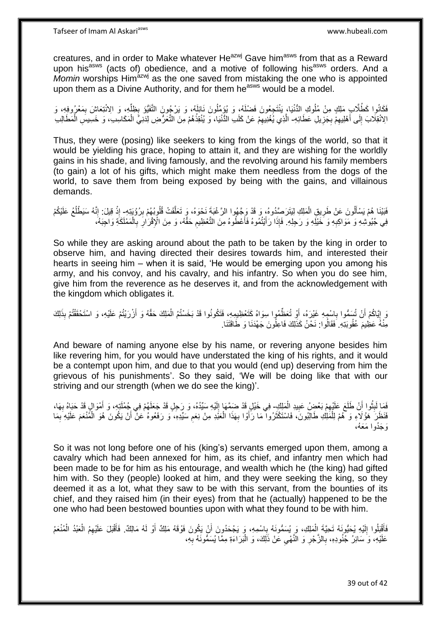creatures, and in order to Make whatever He<sup>azwj</sup> Gave him<sup>asws</sup> from that as a Reward upon his<sup>asws</sup> (acts of) obedience, and a motive of following his<sup>asws</sup> orders. And a *Momin* worships Him<sup>ázwj</sup> as the one saved from mistaking the one who is appointed upon them as a Divine Authority, and for them he<sup>asws</sup> would be a model.

فَكَانُوا كَطُلَّابٍ مَلِكٍ مِنْ مُلُوكِ الدُّنْيَا، يَنْتَجِعُونَ فَضْلَهُ، وَ يُؤَمِّلُونَ نَائِلَهُ، وَ يَرْجُونَ التَّفَيُّوَ بِظِلِّهِ، وَ الِانْتِعَاشَ بِمَعْرُوفِهِ، وَ ِ ِّ ِ الِانْقِلَابَ إِلَى أَهْلِيهِمْ بِجَزِيلِ عَطَائِهِ- الَّذِي يُغْنِيهِمْ عَنْ كَلَبِ الدُّنْيَا، وَ يُنْقِذُهُمْ مِنَ التَّعَرُّضِ لِدَنِيٍّ الْمَكَاسِبَ، وَ خَسِيسَ الْمَطَالِبِ **∶ ∶** ِ َ  $\frac{1}{2}$ ِ ْ ْ

Thus, they were (posing) like seekers to king from the kings of the world, so that it would be yielding his grace, hoping to attain it, and they are wishing for the worldly gains in his shade, and living famously, and the revolving around his family members (to gain) a lot of his gifts, which might make them needless from the dogs of the world, to save them from being exposed by being with the gains, and villainous demands.

فَبَيْنَا هُمْ يَسْأَلُونَ عَنْ طَرِيقِ الْمَلِكِ لِيَتَرَصِّدُوهُ، وَ قَدْ وَجَّهُوا الرَّعْبَةَ نَحْوَهُ، وَ تَعَلَّقَتْ قُلُوبُهُمْ بِرُؤُيَتِهِ ۖ إِنَّهُ سَلَا عَلَيْكُمْ عَلَيْكُمْ ه ْ ِ ֦֦֦֧֧֧֧֧֪֪֪֪֦֡֓֓֓֓֓֓֓֓֓֓֓֓֓֓֓֓֓֓֓֓֓֓֓֓֓֡֓֓֓֡֓֓֡֬֓֓֓֓֡֬֓֓֓֓֡֬֓֓֓֡֬֓֓֡֓֡֬֓֓֡֬֓֓֬֓֓֓֓֓֞֓֬֓֓֟֬֟֞֟ ِ ُ ِ **ٔ** فِي جُيُوشِهِ وَ مَوَاكِبِهِ وَ خَيْلَِهِ وَ رَجِلِهِ. فَإِذَا رَأَيْتُمُوهُ فَأَعْطُوهُ مِنَ الْتَعْظِيمِ حَقَّهُ، وَ مِنَ الْإِقْرَارِ بِالْمَمْلَكَةِ وَاجِبَهُ، ِ ْ ِ ِ ِ َ َ

So while they are asking around about the path to be taken by the king in order to observe him, and having directed their desires towards him, and interested their hearts in seeing him – when it is said, 'He would be emerging upon you among his army, and his convoy, and his cavalry, and his infantry. So when you do see him, give him from the reverence as he deserves it, and from the acknowledgement with the kingdom which obligates it.

وَ إِيَّاكُمْ أَنْ تُسَمُّوا بِاسْمِهِ غَيْرَهُ، أَوْ تُعَظِّمُوا سِوَاهُ كَتَعْظِيمِهِ، فَتَكُونُوا قَدْ بَخَسْتُمُ الْمَلِكَ حَقَّهُ وَ أَزْرَيْتُمْ عَلَيْهِ، وَ اسْتَحْقَقْتُمْ بِذَلِكَ ْ اُ ِ ِ َ مِنْهُ عَظِيمَ عُقُوبَتِهِ. فَقَالُوا: نَحْنُ كَذَلِكَ فَاعِلُونَ جَهْدَنَا وَ طَاقَتَنَا.

And beware of naming anyone else by his name, or revering anyone besides him like revering him, for you would have understated the king of his rights, and it would be a contempt upon him, and due to that you would (end up) deserving from him the grievous of his punishments'. So they said, 'We will be doing like that with our striving and our strength (when we do see the king)'.

فَمَا لَبِثُوا أَنْ طَلَعَ عَلَيْهِمْ بَعْضِ عَبِيدِ الْمَلِكِ- فِي خَيْلٍ قَدْ ضَمَّهَا إِلَيْهِ سَيِّدُهُ، وَ رَجِلٍ قَدْ جَعَلَهُمْ فِي جُمْلَتِهِ، وَ أَمْوَالٍ قَدْ حَبَاهُ بِهَا، روبو ۽<br>با ِ ْ **!** ِ لَ  $\frac{1}{2}$ ِ َ فَنَظَرَ هَؤُلَاءِ وَ هُمْ لِلْمَلِكِ طَالِبُونَ، فَاسْتَكْثَرُوا مَا رَأَوْا بِهَذَا الْعَبْدِ مِنْ نِعَمِ سَيِّدِهِ، وَ رَفَعُوهُ عَنْ أَنْ يَكُونَ هُوَ الْمُنْعَمَ عَلَيْهِ بِمَا ْ ِ اُ َ ْ ِ ِ ْ َ هَ جَذُهِ إِيْمَعُهُ،

So it was not long before one of his (king's) servants emerged upon them, among a cavalry which had been annexed for him, as its chief, and infantry men which had been made to be for him as his entourage, and wealth which he (the king) had gifted him with. So they (people) looked at him, and they were seeking the king, so they deemed it as a lot, what they saw to be with this servant, from the bounties of its chief, and they raised him (in their eyes) from that he (actually) happened to be the one who had been bestowed bounties upon with what they found to be with him.

فَأَقْتِلُوا إِلَيْهِ يُحَيُّونَهُ تَحِيَّةَ الْمَلِكِ، وَ بِيُسَمُّونَهُ بِاسْمِهِ، وَ يَجْحَدُونَ أَنْ يَكُونَ فَوْقَهُ مَلِكٌ أَوْ لَهُ مَالِكٌ. فَأَقْتِلَ عَلَيْهِمُ الْعَبْدُ الْمُنْعَمُ ِ ْ لَ ِ َ َ َ ْ ْ َ عَلَيْهِ، وَ سَائِرُ جُنُودِهِ، بِالزَّجْرِ وَ النَّهْيِ عَنْ ذَلِكَ، وَ الْبَرَاءَةِ مِمَّا يُسَمُّونَهُ بِهِ، ِ ْ ِ ِ **∶**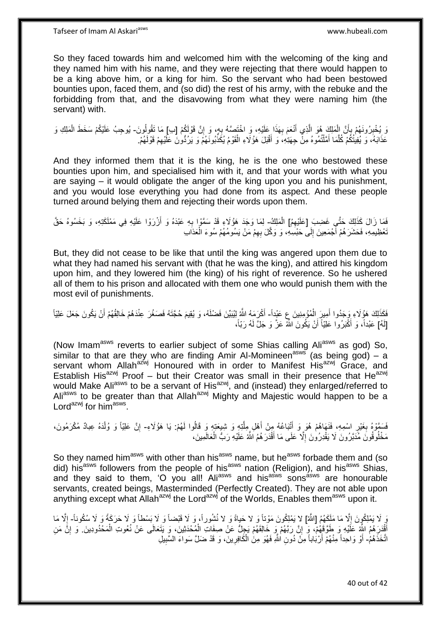So they faced towards him and welcomed him with the welcoming of the king and they named him with his name, and they were rejecting that there would happen to be a king above him, or a king for him. So the servant who had been bestowed bounties upon, faced them, and (so did) the rest of his army, with the rebuke and the forbidding from that, and the disavowing from what they were naming him (the servant) with.

وَ يُخْبِرُونَهُمْ بِأَنَّ الْمَلِكَ هُوَ الَّذِي أَنْعَمَ بِهَذَا عَلَيْهِ، وَ اخْتَصَهُ بِهِ، وَ إِنَّ قَوْلَكُمْ [كِ] مَا تَقُولُونَ- يُوجِبُ عَلَيْكُمْ سَخَطَ الْمَلِكِ وَ ِ **∶ ∶** َ ه ْ ز<br>ا ِ **ِ** ُ ْ عَذَابَهُ، ۚ وَ يُفِيتُكُمْ كُلَّمَا أَمَّلْتُمُوهُ مِنْ حِهَتِٰهِ، وَ أَقْبَلَ هَؤُلَاءِ الْقَوْمُ يُكَذِّبُونَّهُمْ وَ يَرُدُّونَ عَلَيْهِمْ قَوْلَهُمْ. ِ ْ َ ْ َ ه

And they informed them that it is the king, he is the one who bestowed these bounties upon him, and specialised him with it, and that your words with what you are saying – it would obligate the anger of the king upon you and his punishment, and you would lose everything you had done from its aspect. And these people turned around belying them and rejecting their words upon them.

فَمَا زَالَ كَذَلِكَ حَتَّى غَضِبَ إِعَلَيْهِمُ] الْمَلِكُ- لِمَا وَجَدَ هَؤُلَاءٍ قَدْ سَمَّوْا بِهِ عَبْدَهُ وَ أَزْرَوْا عَلَيْهِ فِي مَمْلَكَتِهِ، وَ بَخَسُوهُ حَقَّ<br>. اً ِ تَعْظِيمِهِ، فَحَشَرَهُمْ أَجْمَعِينَ إِلَى حَبْسِلَهِ، وَ وَكَّلَ بِهِمْ مَنْ يَسُومُهُمْ سُوءَ الْعَذَاب ِ ِ ْ

But, they did not cease to be like that until the king was angered upon them due to what they had named his servant with (that he was the king), and attired his kingdom upon him, and they lowered him (the king) of his right of reverence. So he ushered all of them to his prison and allocated with them one who would punish them with the most evil of punishments.

فَكَذَلِكَ هَؤُلَاءِ وَجَدُوا أَمِيرَ ِالْمُؤْمِنِينَ عِ عَيْداً- أَكْرَمَهُ اللَّهُ لِيُبَيِّنَ فَضلَهُ، وَ يُقِيمَ حُجَّتَهُ فَصَغُرَ عِنْدَهُمْ خَالِقُهُمْ أَنْ يَكُونَ جَعَلَ عَلِيّاً ْ َ َ اُ [لَهُ] عَبْداً، وَ أَكْبَرُوا عَلِيّاً أَنْ يَكُونَ اللَّهُ عَزَّ وَ جَلَّ لَهُ رَبّاً، َ

(Now Imam<sup>asws</sup> reverts to earlier subject of some Shias calling Ali<sup>asws</sup> as god) So, similar to that are they who are finding Amir Al-Momineen<sup>asws</sup> (as being god) – a servant whom Allah<sup>azwj</sup> Honoured with in order to Manifest His<sup>azwj</sup> Grace, and Establish His<sup>azwj</sup> Proof – but their Creator was small in their presence that He<sup>azwj</sup> would Make Ali<sup>asws</sup> to be a servant of His<sup>azwj</sup>, and (instead) they enlarged/referred to Aliasws to be greater than that Allah<sup>azwj</sup> Mighty and Majestic would happen to be a Lord<sup>azwj</sup> for him<sup>asws</sup>.

فَسَمَّوْهُ بِغَيْرِ اسْمِهِ، فَنَهَاهُمْ هُوَ وَ أَتْبَاعُهُ مِنْ أَهْلِ مِلَّتِهِ وَ شِبِعَتِهِ وَ قَالُوا لَهُمْ. يَا هَؤُلَاءِ- إِنَّ عَلِيّاً وَ وُلْدَهُ عِبادٌ مُكْرَمُونَ، ِ ِ ه َ َ ْ ِ مَخْلُوهُونَ مُدَبَّرُونَ لَا يَقْدِرُونَ إِلَّا عَلَى مَا أَقْدَرَهُمُ اللَّهُ عَلَيْهِ رَبُّ الْعَالَمِينَ، ْ َ ِ

So they named him<sup>asws</sup> with other than his<sup>asws</sup> name, but he<sup>asws</sup> forbade them and (so did) his<sup>asws</sup> followers from the people of his<sup>asws</sup> nation (Religion), and his<sup>asws</sup> Shias, and they said to them, 'O you all! Ali<sup>asws</sup> and his<sup>asws</sup> sons<sup>asws</sup> are honourable servants, created beings, Masterminded (Perfectly Created). They are not able upon anything except what Allah<sup>azwj</sup> the Lord<sup>azwj</sup> of the Worlds, Enables them<sup>asws</sup> upon it.

يَ لَا يَمْلِكُونَ إِلَّا مَا مَلَكَهُمُ [اللَّهُ] لا يَمْلِكُونَ مَوْتاً وَ لا ذَهبُواةً وَ لا نُشُوراً، وَ لَا قَبْضاً وَ لَا بَسْطاً وَ لَا حَرَكَةً وَ لَا سُكُوناً- إِلَّا مَا ِ ِ أَقْدَرَهُمُ اللَّهُ عَلَيْهِ وَ طَوَّقَهُمْ، وَ إِنَّ رَبَّهُمْ وَ خَالِقَهُمْ يَجِلُّ عَنْ صِفَاتِ الْمُحْدَثِينَ، وَ يَتَعَالَى عَنْ نُعُوتِ الْمَحْدُودِينَ. وَ إِنَّ مَنِ ْ  $\sum_{i=1}^{n}$ َ ِ ْ اتَّخَذَهُمُ- أَوْ وَاحِداً مِنْهُمْ أَرْبَٰاباً مِنْ دُونِ اللَّهِ فَهُوَ مِنَٰ الْمَكَافِرِينَ، وَ قَدْ ضَلَّ سَواءَ السَّبِيلِ ِ **∶** ْ َ َ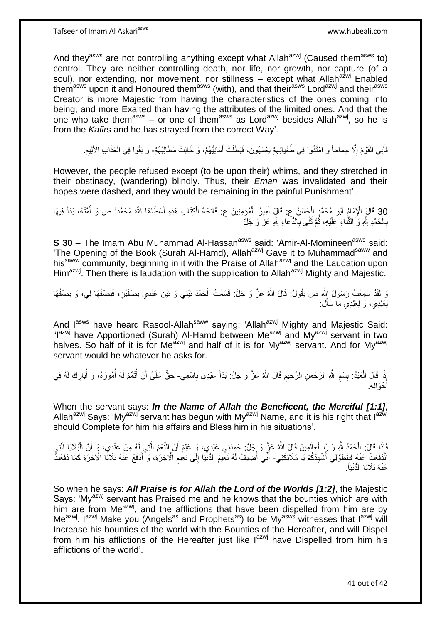Tafseer of Imam Al Askariasws www.hubeali.com

And they<sup>asws</sup> are not controlling anything except what Allah<sup>azwj</sup> (Caused them<sup>asws</sup> to) control. They are neither controlling death, nor life, nor growth, nor capture (of a soul), nor extending, nor movement, nor stillness  $-$  except what Allah<sup>azwj</sup> Enabled them<sup>asws</sup> upon it and Honoured them<sup>asws</sup> (with), and that their<sup>asws</sup> Lord<sup>azwj</sup> and their<sup>asws</sup> Creator is more Majestic from having the characteristics of the ones coming into being, and more Exalted than having the attributes of the limited ones. And that the one who take them<sup>asws</sup> – or one of them<sup>asws</sup> as Lord<sup>azwj</sup> besides Allah<sup>azwj</sup>, so he is from the *Kafir*s and he has strayed from the correct Way'.

فَأَبَى الْقَوْمُ إِلَّا جِمَاحاً وَ امْتَدُّوا فِي طُغْيانِهِمْ يَعْمَهُونَ، فَبَطَلَتْ أَمَانِيُّهُمْ، وَ خَابَتْ مَطَالِبُهُمْ- وَ بَقُوا فِي الْعَذَابِ الْأَلِيمِ. ِ ِ ْ َ َ ِ ْ

However, the people refused except (to be upon their) whims, and they stretched in their obstinacy, (wandering) blindly. Thus, their *Eman* was invalidated and their hopes were dashed, and they would be remaining in the painful Punishment'.

30 قَالَ الْإِمَامُ أَبُو مُحَمَّدٍ الْحَسَنُ عِ: قَالَ أَمِيرُ الْمُؤْمِنِينَ عِ: فَاتِحَةُ الْكِتَابِ هَذِهِ أَعْطَاهَا اللَّهُ مُحَمَّداً ص وَ أُمَّتَهُ، بَدَأَ فِيهَا<br>يَامِ 20 قَالَ الْإِمَامُ أَبُو بَهَدَّ مَرَ َ ْ ْ َ ْ َ َُ بِالْحَمْدِ بِثَّهِ وَ الثَّنَاءِ عَلَيْهِ، ثُمَّ ثَنَّى بِالدُّعَاءِ بِثَّهِ عَزَّ وَ جَلَّ **∶** َ ُ ه ْ **∶** 

**S 30 –** The Imam Abu Muhammad Al-Hassan<sup>asws</sup> said: 'Amir-Al-Momineen<sup>asws</sup> said: 'The Opening of the Book (Surah Al-Hamd), Allah<sup>azwj</sup> Gave it to Muhammad<sup>saww</sup> and his<sup>saww</sup> community, beginning in it with the Praise of Allah<sup>azwj</sup> and the Laudation upon Him<sup>azwj</sup>. Then there is laudation with the supplication to Allah<sup>azwj</sup> Mighty and Majestic.

َو لَقَدْ سَمِعْتُ رَسُولَ إِشِّرِ ص يَقُولُ: قَالَ اللَّهُ عَزَّ وَ جَلَّ: قَسَمْتُ الْحَمْدَ بَيْنِي وَ بَيْنَ عَبْدِي نِصْفَيْنِ، فَنِصْفُهَا لِي، وَ نِصْفُهَا ْ لِعَبْدِي، وَ لِعَبْدِي مَا سَأَلَ: َ

And I<sup>asws</sup> have heard Rasool-Allah<sup>saww</sup> saying: 'Allah<sup>azwj</sup> Mighty and Majestic Said: "I<sup>azwj</sup> have Apportioned (Surah) Al-Hamd between Me<sup>azwj</sup> and My<sup>azwj</sup> servant in two halves. So half of it is for Me<sup>azwj</sup> and half of it is for My<sup>azwj</sup> servant. And for My<sup>azwj</sup> servant would be whatever he asks for.

أَذَا قَالَ الْعَبْدُ: بِسْمِ اللَّهِ الرَّحْمنِ الرَّحِيمِ قَالَ اللَّهُ عَزَّ وَ جَلَّ: بَدَأَ عَبْدِي بِاسْمِي- حَقٌّ عَلَيَّ أَنْ أُتَمِّمَ لَهُ أُمُورَهُ، وَ أُبَارِكَ لَهُ فِي ِ **ِ** ْ ِ ِ ِ ُ اُ أَحْوَالِهِ َ

When the servant says: *In the Name of Allah the Beneficent, the Merciful [1:1]*, Allah<sup>azwj</sup> Says: 'My<sup>azwj'</sup> servant has begun with My<sup>azwj</sup> Name, and it is his right that  $I^{a z w j}$ should Complete for him his affairs and Bless him in his situations'.

َفَإِذَا قَالَ: الْحَمْدُ بِلِّهِ رَبِّ الْعالَمِينَ قَالَ اللَّهُ عَزِّ وَ جَلَّ: حَمِدَنِي عَبْدِي، وَ عَلِمَ أَنَّ النِّعَمَ الَّتِي لَهُ مِنْ عِنْدِي، وَ أَنَّ الْبَلَايَا الَّتِي<br>فَإِذَا قَالَ: الْمَحْدَ بَهُ مِنْ ال ْ ه ْ َ ه َ انْذَفَعَتْ عَنْهُ فَبِتَطَوُّلِي أُشْهِدُكُمْ يَا مَلَائِكَتِي- أَنِّي أُضِيفُ لَهُ نَعِيمَ الدُّنْيَا إِلَى نَعِيمِ الْآخِرَةِ، وَ أَذْفَعُ عَنْهُ بَلَايَا الْآخِرَةِ كَمَا دَفَعْتُ ِ ا<br>ان **∣** َ ِ ِ ُ عَنْهُ بَلَايَا النُّنْيَا.

So when he says: *All Praise is for Allah the Lord of the Worlds [1:2]*, the Majestic Says: 'My<sup>azwj</sup> servant has Praised me and he knows that the bounties which are with him are from Me $a^{2x}$ , and the afflictions that have been dispelled from him are by  $M e^{a z w j}$ . I<sup>azwj</sup> Make you (Angels<sup>as</sup> and Prophets<sup>as</sup>) to be My<sup>asws</sup> witnesses that  $1^{a z w j}$  will Increase his bounties of the world with the Bounties of the Hereafter, and will Dispel from him his afflictions of the Hereafter just like  $I^{azwj}$  have Dispelled from him his afflictions of the world'.